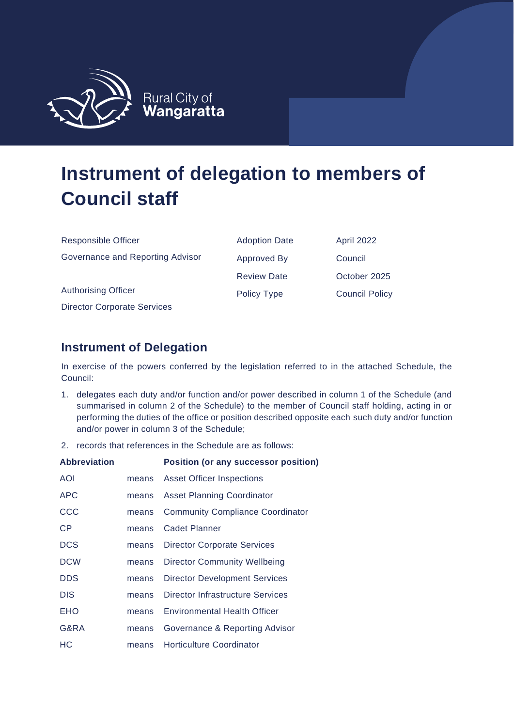

| <b>Responsible Officer</b>         | <b>Adoption Date</b> | April 2022            |
|------------------------------------|----------------------|-----------------------|
| Governance and Reporting Advisor   | Approved By          | Council               |
|                                    | <b>Review Date</b>   | October 2025          |
| <b>Authorising Officer</b>         | Policy Type          | <b>Council Policy</b> |
| <b>Director Corporate Services</b> |                      |                       |

## **Instrument of Delegation**

In exercise of the powers conferred by the legislation referred to in the attached Schedule, the Council:

- 1. delegates each duty and/or function and/or power described in column 1 of the Schedule (and summarised in column 2 of the Schedule) to the member of Council staff holding, acting in or performing the duties of the office or position described opposite each such duty and/or function and/or power in column 3 of the Schedule;
- 2. records that references in the Schedule are as follows:

| <b>Abbreviation</b> |       | <b>Position (or any successor position)</b> |
|---------------------|-------|---------------------------------------------|
| AOI                 | means | Asset Officer Inspections                   |
| <b>APC</b>          | means | <b>Asset Planning Coordinator</b>           |
| CCC                 | means | <b>Community Compliance Coordinator</b>     |
| <b>CP</b>           | means | Cadet Planner                               |
| <b>DCS</b>          | means | <b>Director Corporate Services</b>          |
| <b>DCW</b>          | means | Director Community Wellbeing                |
| <b>DDS</b>          | means | <b>Director Development Services</b>        |
| <b>DIS</b>          | means | <b>Director Infrastructure Services</b>     |
| <b>EHO</b>          | means | <b>Environmental Health Officer</b>         |
| G&RA                | means | Governance & Reporting Advisor              |
| HС                  | means | <b>Horticulture Coordinator</b>             |
|                     |       |                                             |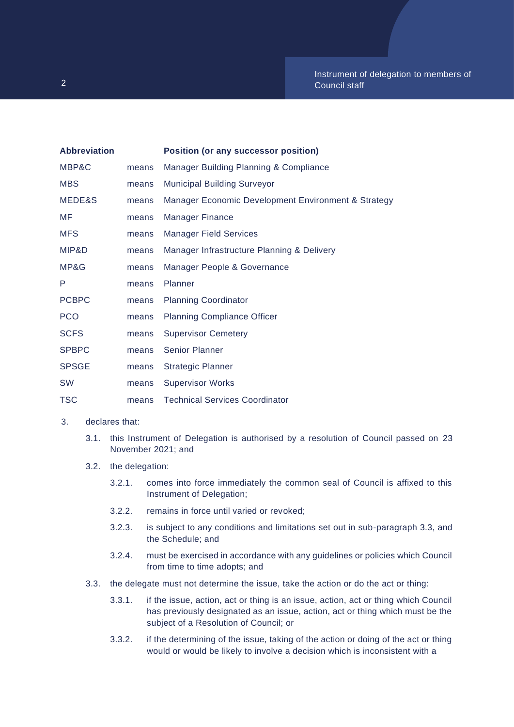| <b>Abbreviation</b> |       | Position (or any successor position)                |
|---------------------|-------|-----------------------------------------------------|
| MBP&C               | means | Manager Building Planning & Compliance              |
| <b>MBS</b>          | means | <b>Municipal Building Surveyor</b>                  |
| MEDE&S              | means | Manager Economic Development Environment & Strategy |
| MF                  | means | <b>Manager Finance</b>                              |
| <b>MFS</b>          | means | <b>Manager Field Services</b>                       |
| MIP&D               | means | Manager Infrastructure Planning & Delivery          |
| MP&G                | means | Manager People & Governance                         |
| P                   | means | Planner                                             |
| <b>PCBPC</b>        | means | <b>Planning Coordinator</b>                         |
| <b>PCO</b>          | means | <b>Planning Compliance Officer</b>                  |
| <b>SCFS</b>         | means | <b>Supervisor Cemetery</b>                          |
| <b>SPBPC</b>        | means | <b>Senior Planner</b>                               |
| <b>SPSGE</b>        | means | <b>Strategic Planner</b>                            |
| <b>SW</b>           | means | <b>Supervisor Works</b>                             |
| <b>TSC</b>          | means | <b>Technical Services Coordinator</b>               |

## 3. declares that:

- 3.1. this Instrument of Delegation is authorised by a resolution of Council passed on 23 November 2021; and
- 3.2. the delegation:
	- 3.2.1. comes into force immediately the common seal of Council is affixed to this Instrument of Delegation;
	- 3.2.2. remains in force until varied or revoked;
	- 3.2.3. is subject to any conditions and limitations set out in sub-paragraph 3.3, and the Schedule; and
	- 3.2.4. must be exercised in accordance with any guidelines or policies which Council from time to time adopts; and
- 3.3. the delegate must not determine the issue, take the action or do the act or thing:
	- 3.3.1. if the issue, action, act or thing is an issue, action, act or thing which Council has previously designated as an issue, action, act or thing which must be the subject of a Resolution of Council; or
	- 3.3.2. if the determining of the issue, taking of the action or doing of the act or thing would or would be likely to involve a decision which is inconsistent with a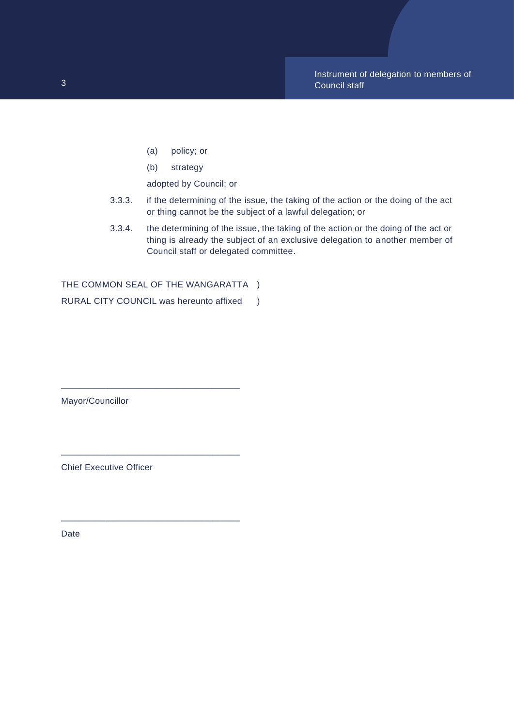- (a) policy; or
- (b) strategy

adopted by Council; or

- 3.3.3. if the determining of the issue, the taking of the action or the doing of the act or thing cannot be the subject of a lawful delegation; or
- 3.3.4. the determining of the issue, the taking of the action or the doing of the act or thing is already the subject of an exclusive delegation to another member of Council staff or delegated committee.

THE COMMON SEAL OF THE WANGARATTA ) RURAL CITY COUNCIL was hereunto affixed )

\_\_\_\_\_\_\_\_\_\_\_\_\_\_\_\_\_\_\_\_\_\_\_\_\_\_\_\_\_\_\_\_\_\_\_\_

\_\_\_\_\_\_\_\_\_\_\_\_\_\_\_\_\_\_\_\_\_\_\_\_\_\_\_\_\_\_\_\_\_\_\_\_

\_\_\_\_\_\_\_\_\_\_\_\_\_\_\_\_\_\_\_\_\_\_\_\_\_\_\_\_\_\_\_\_\_\_\_\_

Mayor/Councillor

Chief Executive Officer

Date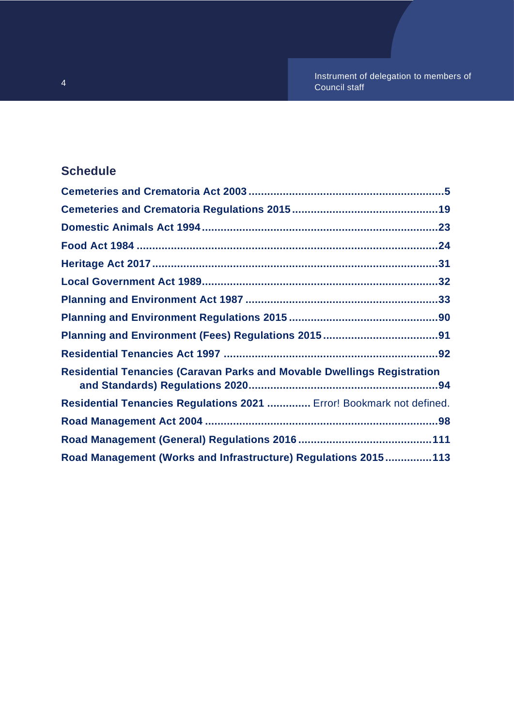## **Schedule**

| <b>Residential Tenancies (Caravan Parks and Movable Dwellings Registration</b> |  |
|--------------------------------------------------------------------------------|--|
| Residential Tenancies Regulations 2021  Error! Bookmark not defined.           |  |
|                                                                                |  |
|                                                                                |  |
| Road Management (Works and Infrastructure) Regulations 2015113                 |  |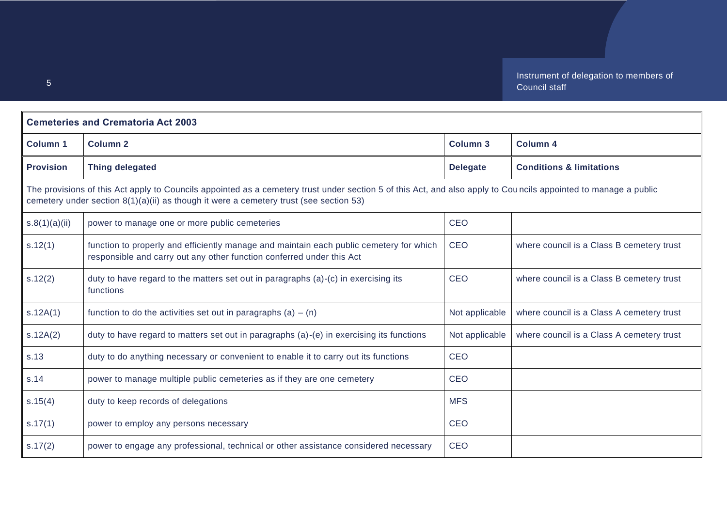<span id="page-4-0"></span>

| <b>Cemeteries and Crematoria Act 2003</b>                                                                                                                                                                                                                   |                                                                                                                                                                  |                 |                                           |
|-------------------------------------------------------------------------------------------------------------------------------------------------------------------------------------------------------------------------------------------------------------|------------------------------------------------------------------------------------------------------------------------------------------------------------------|-----------------|-------------------------------------------|
| <b>Column 1</b>                                                                                                                                                                                                                                             | <b>Column 2</b>                                                                                                                                                  | <b>Column 3</b> | <b>Column 4</b>                           |
| <b>Provision</b>                                                                                                                                                                                                                                            | <b>Thing delegated</b>                                                                                                                                           | <b>Delegate</b> | <b>Conditions &amp; limitations</b>       |
| The provisions of this Act apply to Councils appointed as a cemetery trust under section 5 of this Act, and also apply to Councils appointed to manage a public<br>cemetery under section $8(1)(a)(ii)$ as though it were a cemetery trust (see section 53) |                                                                                                                                                                  |                 |                                           |
| s.8(1)(a)(ii)                                                                                                                                                                                                                                               | power to manage one or more public cemeteries                                                                                                                    | <b>CEO</b>      |                                           |
| s.12(1)                                                                                                                                                                                                                                                     | function to properly and efficiently manage and maintain each public cemetery for which<br>responsible and carry out any other function conferred under this Act | <b>CEO</b>      | where council is a Class B cemetery trust |
| s.12(2)                                                                                                                                                                                                                                                     | duty to have regard to the matters set out in paragraphs (a)-(c) in exercising its<br>functions                                                                  | <b>CEO</b>      | where council is a Class B cemetery trust |
| s.12A(1)                                                                                                                                                                                                                                                    | function to do the activities set out in paragraphs (a) $-$ (n)                                                                                                  | Not applicable  | where council is a Class A cemetery trust |
| s.12A(2)                                                                                                                                                                                                                                                    | duty to have regard to matters set out in paragraphs $(a)$ - $(e)$ in exercising its functions                                                                   | Not applicable  | where council is a Class A cemetery trust |
| s.13                                                                                                                                                                                                                                                        | duty to do anything necessary or convenient to enable it to carry out its functions                                                                              | <b>CEO</b>      |                                           |
| s.14                                                                                                                                                                                                                                                        | power to manage multiple public cemeteries as if they are one cemetery                                                                                           | <b>CEO</b>      |                                           |
| s.15(4)                                                                                                                                                                                                                                                     | duty to keep records of delegations                                                                                                                              | <b>MFS</b>      |                                           |
| s.17(1)                                                                                                                                                                                                                                                     | power to employ any persons necessary                                                                                                                            | <b>CEO</b>      |                                           |
| s.17(2)                                                                                                                                                                                                                                                     | power to engage any professional, technical or other assistance considered necessary                                                                             | CEO             |                                           |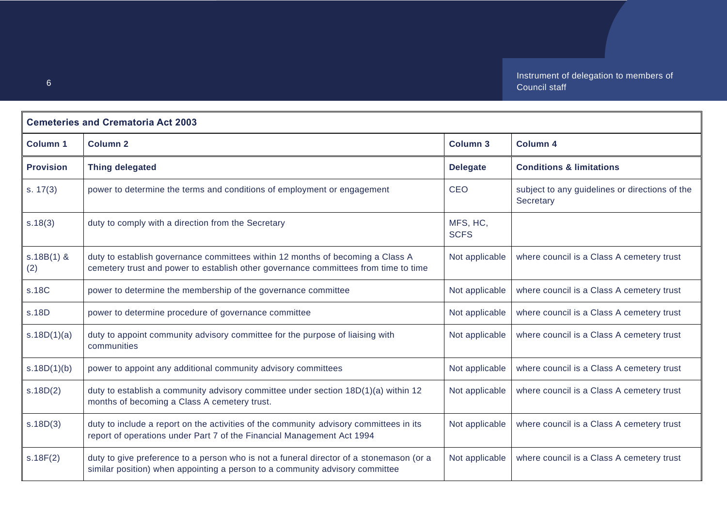| <b>Cemeteries and Crematoria Act 2003</b> |                                                                                                                                                                         |                         |                                                             |
|-------------------------------------------|-------------------------------------------------------------------------------------------------------------------------------------------------------------------------|-------------------------|-------------------------------------------------------------|
| <b>Column 1</b>                           | <b>Column 2</b>                                                                                                                                                         | Column 3                | <b>Column 4</b>                                             |
| <b>Provision</b>                          | <b>Thing delegated</b>                                                                                                                                                  | <b>Delegate</b>         | <b>Conditions &amp; limitations</b>                         |
| s. 17(3)                                  | power to determine the terms and conditions of employment or engagement                                                                                                 | <b>CEO</b>              | subject to any guidelines or directions of the<br>Secretary |
| s.18(3)                                   | duty to comply with a direction from the Secretary                                                                                                                      | MFS, HC,<br><b>SCFS</b> |                                                             |
| $s.18B(1)$ &<br>(2)                       | duty to establish governance committees within 12 months of becoming a Class A<br>cemetery trust and power to establish other governance committees from time to time   | Not applicable          | where council is a Class A cemetery trust                   |
| s.18C                                     | power to determine the membership of the governance committee                                                                                                           | Not applicable          | where council is a Class A cemetery trust                   |
| s.18D                                     | power to determine procedure of governance committee                                                                                                                    | Not applicable          | where council is a Class A cemetery trust                   |
| s.18D(1)(a)                               | duty to appoint community advisory committee for the purpose of liaising with<br>communities                                                                            | Not applicable          | where council is a Class A cemetery trust                   |
| s.18D(1)(b)                               | power to appoint any additional community advisory committees                                                                                                           | Not applicable          | where council is a Class A cemetery trust                   |
| s.18D(2)                                  | duty to establish a community advisory committee under section 18D(1)(a) within 12<br>months of becoming a Class A cemetery trust.                                      | Not applicable          | where council is a Class A cemetery trust                   |
| s.18D(3)                                  | duty to include a report on the activities of the community advisory committees in its<br>report of operations under Part 7 of the Financial Management Act 1994        | Not applicable          | where council is a Class A cemetery trust                   |
| s.18F(2)                                  | duty to give preference to a person who is not a funeral director of a stonemason (or a<br>similar position) when appointing a person to a community advisory committee | Not applicable          | where council is a Class A cemetery trust                   |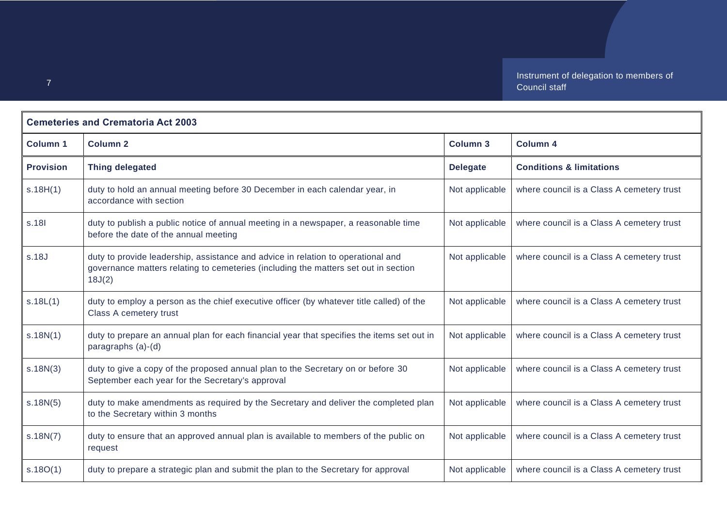| <b>Cemeteries and Crematoria Act 2003</b> |                                                                                                                                                                                   |                 |                                           |
|-------------------------------------------|-----------------------------------------------------------------------------------------------------------------------------------------------------------------------------------|-----------------|-------------------------------------------|
| <b>Column 1</b>                           | Column <sub>2</sub>                                                                                                                                                               | <b>Column 3</b> | <b>Column 4</b>                           |
| <b>Provision</b>                          | <b>Thing delegated</b>                                                                                                                                                            | <b>Delegate</b> | <b>Conditions &amp; limitations</b>       |
| s.18H(1)                                  | duty to hold an annual meeting before 30 December in each calendar year, in<br>accordance with section                                                                            | Not applicable  | where council is a Class A cemetery trust |
| s.18                                      | duty to publish a public notice of annual meeting in a newspaper, a reasonable time<br>before the date of the annual meeting                                                      | Not applicable  | where council is a Class A cemetery trust |
| s.18J                                     | duty to provide leadership, assistance and advice in relation to operational and<br>governance matters relating to cemeteries (including the matters set out in section<br>18J(2) | Not applicable  | where council is a Class A cemetery trust |
| s.18L(1)                                  | duty to employ a person as the chief executive officer (by whatever title called) of the<br>Class A cemetery trust                                                                | Not applicable  | where council is a Class A cemetery trust |
| s.18N(1)                                  | duty to prepare an annual plan for each financial year that specifies the items set out in<br>paragraphs (a)-(d)                                                                  | Not applicable  | where council is a Class A cemetery trust |
| s.18N(3)                                  | duty to give a copy of the proposed annual plan to the Secretary on or before 30<br>September each year for the Secretary's approval                                              | Not applicable  | where council is a Class A cemetery trust |
| s.18N(5)                                  | duty to make amendments as required by the Secretary and deliver the completed plan<br>to the Secretary within 3 months                                                           | Not applicable  | where council is a Class A cemetery trust |
| s.18N(7)                                  | duty to ensure that an approved annual plan is available to members of the public on<br>request                                                                                   | Not applicable  | where council is a Class A cemetery trust |
| s.18O(1)                                  | duty to prepare a strategic plan and submit the plan to the Secretary for approval                                                                                                | Not applicable  | where council is a Class A cemetery trust |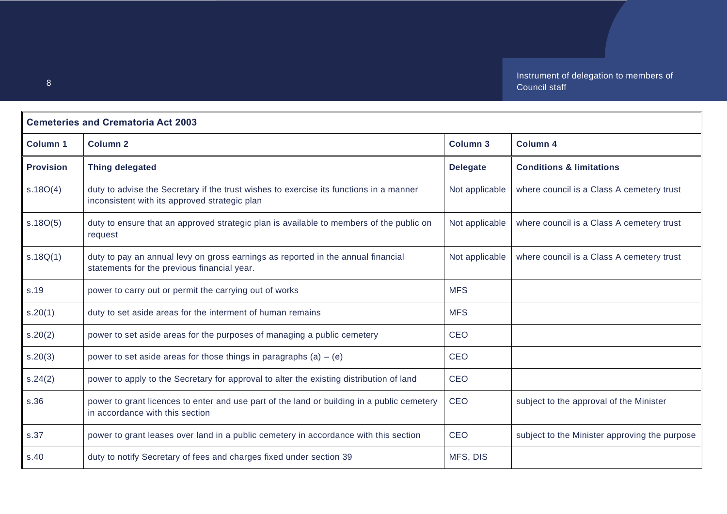| <b>Cemeteries and Crematoria Act 2003</b> |                                                                                                                                         |                 |                                               |
|-------------------------------------------|-----------------------------------------------------------------------------------------------------------------------------------------|-----------------|-----------------------------------------------|
| <b>Column 1</b>                           | <b>Column 2</b>                                                                                                                         | <b>Column 3</b> | <b>Column 4</b>                               |
| <b>Provision</b>                          | <b>Thing delegated</b>                                                                                                                  | <b>Delegate</b> | <b>Conditions &amp; limitations</b>           |
| s.18O(4)                                  | duty to advise the Secretary if the trust wishes to exercise its functions in a manner<br>inconsistent with its approved strategic plan | Not applicable  | where council is a Class A cemetery trust     |
| s.18O(5)                                  | duty to ensure that an approved strategic plan is available to members of the public on<br>request                                      | Not applicable  | where council is a Class A cemetery trust     |
| s.18Q(1)                                  | duty to pay an annual levy on gross earnings as reported in the annual financial<br>statements for the previous financial year.         | Not applicable  | where council is a Class A cemetery trust     |
| s.19                                      | power to carry out or permit the carrying out of works                                                                                  | <b>MFS</b>      |                                               |
| s.20(1)                                   | duty to set aside areas for the interment of human remains                                                                              | <b>MFS</b>      |                                               |
| s.20(2)                                   | power to set aside areas for the purposes of managing a public cemetery                                                                 | <b>CEO</b>      |                                               |
| s.20(3)                                   | power to set aside areas for those things in paragraphs (a) $-$ (e)                                                                     | <b>CEO</b>      |                                               |
| s.24(2)                                   | power to apply to the Secretary for approval to alter the existing distribution of land                                                 | <b>CEO</b>      |                                               |
| s.36                                      | power to grant licences to enter and use part of the land or building in a public cemetery<br>in accordance with this section           | <b>CEO</b>      | subject to the approval of the Minister       |
| s.37                                      | power to grant leases over land in a public cemetery in accordance with this section                                                    | <b>CEO</b>      | subject to the Minister approving the purpose |
| s.40                                      | duty to notify Secretary of fees and charges fixed under section 39                                                                     | MFS, DIS        |                                               |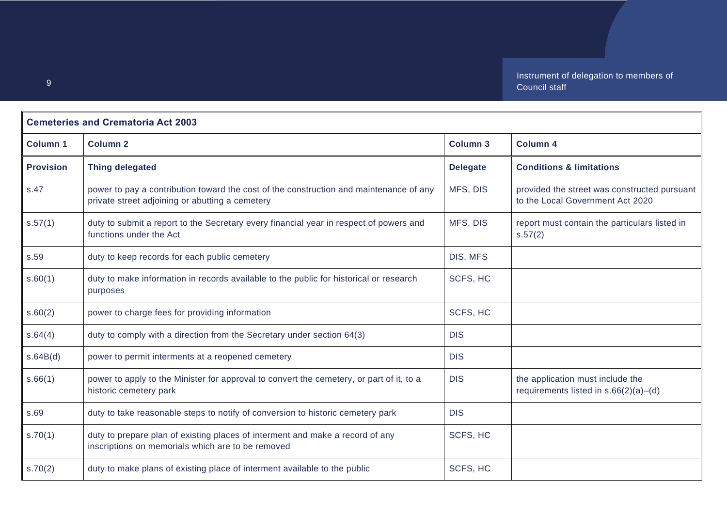| <b>Cemeteries and Crematoria Act 2003</b> |                                                                                                                                           |                 |                                                                                  |
|-------------------------------------------|-------------------------------------------------------------------------------------------------------------------------------------------|-----------------|----------------------------------------------------------------------------------|
| <b>Column 1</b>                           | <b>Column 2</b>                                                                                                                           | <b>Column 3</b> | <b>Column 4</b>                                                                  |
| <b>Provision</b>                          | <b>Thing delegated</b>                                                                                                                    | <b>Delegate</b> | <b>Conditions &amp; limitations</b>                                              |
| s.47                                      | power to pay a contribution toward the cost of the construction and maintenance of any<br>private street adjoining or abutting a cemetery | MFS, DIS        | provided the street was constructed pursuant<br>to the Local Government Act 2020 |
| s.57(1)                                   | duty to submit a report to the Secretary every financial year in respect of powers and<br>functions under the Act                         | MFS, DIS        | report must contain the particulars listed in<br>s.57(2)                         |
| s.59                                      | duty to keep records for each public cemetery                                                                                             | DIS, MFS        |                                                                                  |
| s.60(1)                                   | duty to make information in records available to the public for historical or research<br>purposes                                        | SCFS, HC        |                                                                                  |
| s.60(2)                                   | power to charge fees for providing information                                                                                            | SCFS, HC        |                                                                                  |
| s.64(4)                                   | duty to comply with a direction from the Secretary under section 64(3)                                                                    | <b>DIS</b>      |                                                                                  |
| s.64B(d)                                  | power to permit interments at a reopened cemetery                                                                                         | <b>DIS</b>      |                                                                                  |
| s.66(1)                                   | power to apply to the Minister for approval to convert the cemetery, or part of it, to a<br>historic cemetery park                        | <b>DIS</b>      | the application must include the<br>requirements listed in s.66(2)(a)-(d)        |
| s.69                                      | duty to take reasonable steps to notify of conversion to historic cemetery park                                                           | <b>DIS</b>      |                                                                                  |
| s.70(1)                                   | duty to prepare plan of existing places of interment and make a record of any<br>inscriptions on memorials which are to be removed        | SCFS, HC        |                                                                                  |
| s.70(2)                                   | duty to make plans of existing place of interment available to the public                                                                 | SCFS, HC        |                                                                                  |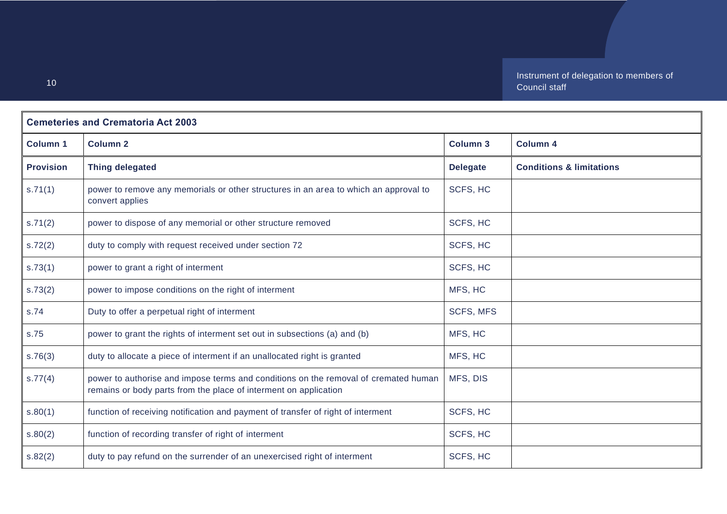| <b>Cemeteries and Crematoria Act 2003</b> |                                                                                                                                                         |                  |                                     |
|-------------------------------------------|---------------------------------------------------------------------------------------------------------------------------------------------------------|------------------|-------------------------------------|
| <b>Column 1</b>                           | <b>Column 2</b>                                                                                                                                         | <b>Column 3</b>  | <b>Column 4</b>                     |
| <b>Provision</b>                          | <b>Thing delegated</b>                                                                                                                                  | <b>Delegate</b>  | <b>Conditions &amp; limitations</b> |
| s.71(1)                                   | power to remove any memorials or other structures in an area to which an approval to<br>convert applies                                                 | SCFS, HC         |                                     |
| s.71(2)                                   | power to dispose of any memorial or other structure removed                                                                                             | SCFS, HC         |                                     |
| s.72(2)                                   | duty to comply with request received under section 72                                                                                                   | SCFS, HC         |                                     |
| s.73(1)                                   | power to grant a right of interment                                                                                                                     | SCFS, HC         |                                     |
| s.73(2)                                   | power to impose conditions on the right of interment                                                                                                    | MFS, HC          |                                     |
| s.74                                      | Duty to offer a perpetual right of interment                                                                                                            | <b>SCFS, MFS</b> |                                     |
| s.75                                      | power to grant the rights of interment set out in subsections (a) and (b)                                                                               | MFS, HC          |                                     |
| s.76(3)                                   | duty to allocate a piece of interment if an unallocated right is granted                                                                                | MFS, HC          |                                     |
| s.77(4)                                   | power to authorise and impose terms and conditions on the removal of cremated human<br>remains or body parts from the place of interment on application | MFS, DIS         |                                     |
| s.80(1)                                   | function of receiving notification and payment of transfer of right of interment                                                                        | SCFS, HC         |                                     |
| s.80(2)                                   | function of recording transfer of right of interment                                                                                                    | SCFS, HC         |                                     |
| s.82(2)                                   | duty to pay refund on the surrender of an unexercised right of interment                                                                                | SCFS, HC         |                                     |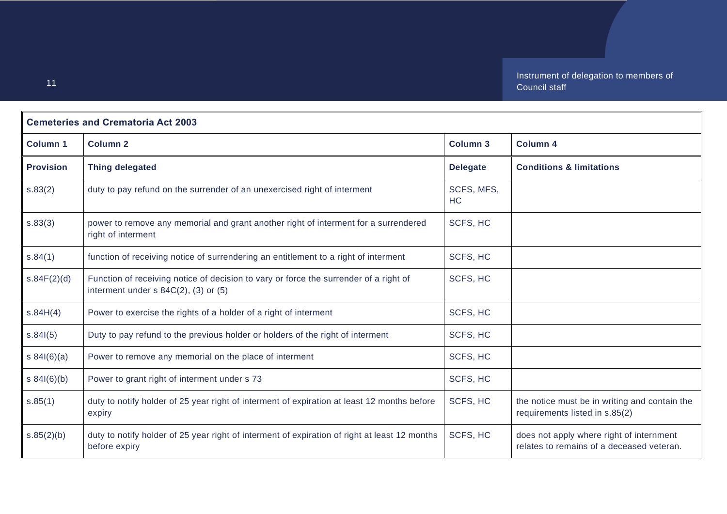| <b>Cemeteries and Crematoria Act 2003</b> |                                                                                                                                 |                         |                                                                                       |
|-------------------------------------------|---------------------------------------------------------------------------------------------------------------------------------|-------------------------|---------------------------------------------------------------------------------------|
| <b>Column 1</b>                           | <b>Column 2</b>                                                                                                                 | <b>Column 3</b>         | <b>Column 4</b>                                                                       |
| <b>Provision</b>                          | <b>Thing delegated</b>                                                                                                          | <b>Delegate</b>         | <b>Conditions &amp; limitations</b>                                                   |
| s.83(2)                                   | duty to pay refund on the surrender of an unexercised right of interment                                                        | SCFS, MFS,<br><b>HC</b> |                                                                                       |
| s.83(3)                                   | power to remove any memorial and grant another right of interment for a surrendered<br>right of interment                       | SCFS, HC                |                                                                                       |
| s.84(1)                                   | function of receiving notice of surrendering an entitlement to a right of interment                                             | SCFS, HC                |                                                                                       |
| s.84F(2)(d)                               | Function of receiving notice of decision to vary or force the surrender of a right of<br>interment under $s$ 84C(2), (3) or (5) | SCFS, HC                |                                                                                       |
| s.84H(4)                                  | Power to exercise the rights of a holder of a right of interment                                                                | SCFS, HC                |                                                                                       |
| s.84(5)                                   | Duty to pay refund to the previous holder or holders of the right of interment                                                  | SCFS, HC                |                                                                                       |
| s $84I(6)(a)$                             | Power to remove any memorial on the place of interment                                                                          | SCFS, HC                |                                                                                       |
| s 84I(6)(b)                               | Power to grant right of interment under s 73                                                                                    | SCFS, HC                |                                                                                       |
| s.85(1)                                   | duty to notify holder of 25 year right of interment of expiration at least 12 months before<br>expiry                           | SCFS, HC                | the notice must be in writing and contain the<br>requirements listed in s.85(2)       |
| s.85(2)(b)                                | duty to notify holder of 25 year right of interment of expiration of right at least 12 months<br>before expiry                  | SCFS, HC                | does not apply where right of internment<br>relates to remains of a deceased veteran. |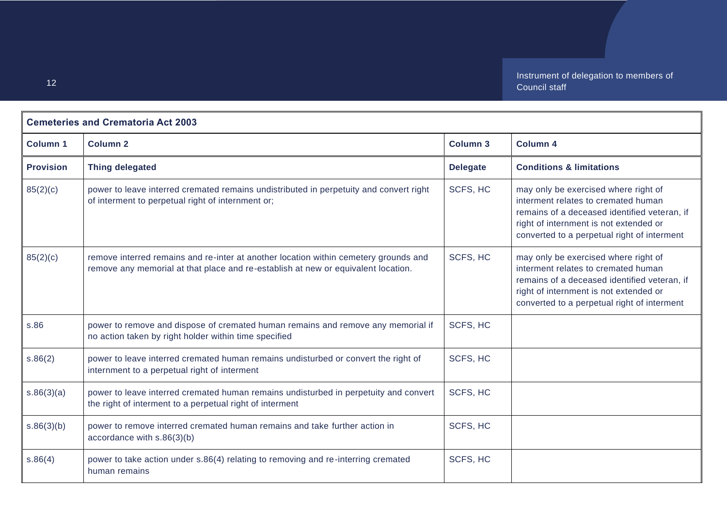| <b>Cemeteries and Crematoria Act 2003</b> |                                                                                                                                                                           |                 |                                                                                                                                                                                                                      |
|-------------------------------------------|---------------------------------------------------------------------------------------------------------------------------------------------------------------------------|-----------------|----------------------------------------------------------------------------------------------------------------------------------------------------------------------------------------------------------------------|
| <b>Column 1</b>                           | <b>Column 2</b>                                                                                                                                                           | <b>Column 3</b> | <b>Column 4</b>                                                                                                                                                                                                      |
| <b>Provision</b>                          | <b>Thing delegated</b>                                                                                                                                                    | <b>Delegate</b> | <b>Conditions &amp; limitations</b>                                                                                                                                                                                  |
| 85(2)(c)                                  | power to leave interred cremated remains undistributed in perpetuity and convert right<br>of interment to perpetual right of internment or;                               | SCFS, HC        | may only be exercised where right of<br>interment relates to cremated human<br>remains of a deceased identified veteran, if<br>right of internment is not extended or<br>converted to a perpetual right of interment |
| 85(2)(c)                                  | remove interred remains and re-inter at another location within cemetery grounds and<br>remove any memorial at that place and re-establish at new or equivalent location. | SCFS, HC        | may only be exercised where right of<br>interment relates to cremated human<br>remains of a deceased identified veteran, if<br>right of internment is not extended or<br>converted to a perpetual right of interment |
| s.86                                      | power to remove and dispose of cremated human remains and remove any memorial if<br>no action taken by right holder within time specified                                 | SCFS, HC        |                                                                                                                                                                                                                      |
| s.86(2)                                   | power to leave interred cremated human remains undisturbed or convert the right of<br>internment to a perpetual right of interment                                        | SCFS, HC        |                                                                                                                                                                                                                      |
| s.86(3)(a)                                | power to leave interred cremated human remains undisturbed in perpetuity and convert<br>the right of interment to a perpetual right of interment                          | SCFS, HC        |                                                                                                                                                                                                                      |
| s.86(3)(b)                                | power to remove interred cremated human remains and take further action in<br>accordance with s.86(3)(b)                                                                  | SCFS, HC        |                                                                                                                                                                                                                      |
| s.86(4)                                   | power to take action under s.86(4) relating to removing and re-interring cremated<br>human remains                                                                        | SCFS, HC        |                                                                                                                                                                                                                      |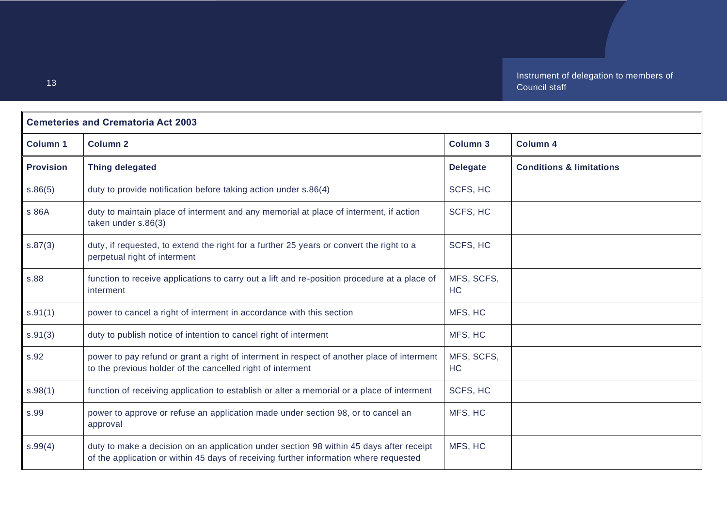| <b>Cemeteries and Crematoria Act 2003</b> |                                                                                                                                                                                  |                  |                                     |
|-------------------------------------------|----------------------------------------------------------------------------------------------------------------------------------------------------------------------------------|------------------|-------------------------------------|
| <b>Column 1</b>                           | <b>Column 2</b>                                                                                                                                                                  | <b>Column 3</b>  | <b>Column 4</b>                     |
| <b>Provision</b>                          | <b>Thing delegated</b>                                                                                                                                                           | <b>Delegate</b>  | <b>Conditions &amp; limitations</b> |
| s.86(5)                                   | duty to provide notification before taking action under s.86(4)                                                                                                                  | SCFS, HC         |                                     |
| s 86A                                     | duty to maintain place of interment and any memorial at place of interment, if action<br>taken under s.86(3)                                                                     | SCFS, HC         |                                     |
| s.87(3)                                   | duty, if requested, to extend the right for a further 25 years or convert the right to a<br>perpetual right of interment                                                         | SCFS, HC         |                                     |
| s.88                                      | function to receive applications to carry out a lift and re-position procedure at a place of<br>interment                                                                        | MFS, SCFS,<br>HC |                                     |
| s.91(1)                                   | power to cancel a right of interment in accordance with this section                                                                                                             | MFS, HC          |                                     |
| s.91(3)                                   | duty to publish notice of intention to cancel right of interment                                                                                                                 | MFS, HC          |                                     |
| s.92                                      | power to pay refund or grant a right of interment in respect of another place of interment<br>to the previous holder of the cancelled right of interment                         | MFS, SCFS,<br>HC |                                     |
| s.98(1)                                   | function of receiving application to establish or alter a memorial or a place of interment                                                                                       | SCFS, HC         |                                     |
| s.99                                      | power to approve or refuse an application made under section 98, or to cancel an<br>approval                                                                                     | MFS, HC          |                                     |
| s.99(4)                                   | duty to make a decision on an application under section 98 within 45 days after receipt<br>of the application or within 45 days of receiving further information where requested | MFS, HC          |                                     |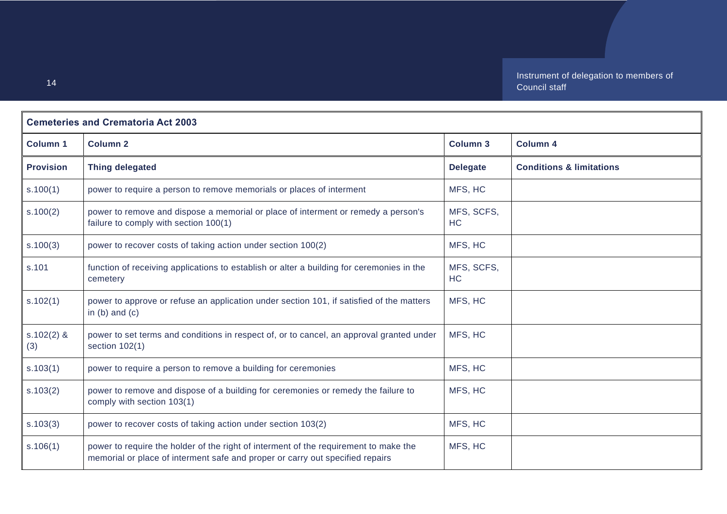| <b>Cemeteries and Crematoria Act 2003</b> |                                                                                                                                                                       |                         |                                     |
|-------------------------------------------|-----------------------------------------------------------------------------------------------------------------------------------------------------------------------|-------------------------|-------------------------------------|
| <b>Column 1</b>                           | <b>Column 2</b>                                                                                                                                                       | <b>Column 3</b>         | <b>Column 4</b>                     |
| <b>Provision</b>                          | <b>Thing delegated</b>                                                                                                                                                | <b>Delegate</b>         | <b>Conditions &amp; limitations</b> |
| s.100(1)                                  | power to require a person to remove memorials or places of interment                                                                                                  | MFS, HC                 |                                     |
| s.100(2)                                  | power to remove and dispose a memorial or place of interment or remedy a person's<br>failure to comply with section 100(1)                                            | MFS, SCFS,<br><b>HC</b> |                                     |
| s.100(3)                                  | power to recover costs of taking action under section 100(2)                                                                                                          | MFS, HC                 |                                     |
| s.101                                     | function of receiving applications to establish or alter a building for ceremonies in the<br>cemetery                                                                 | MFS, SCFS,<br>HC        |                                     |
| s.102(1)                                  | power to approve or refuse an application under section 101, if satisfied of the matters<br>in $(b)$ and $(c)$                                                        | MFS, HC                 |                                     |
| $s.102(2)$ &<br>(3)                       | power to set terms and conditions in respect of, or to cancel, an approval granted under<br>section $102(1)$                                                          | MFS, HC                 |                                     |
| s.103(1)                                  | power to require a person to remove a building for ceremonies                                                                                                         | MFS, HC                 |                                     |
| s.103(2)                                  | power to remove and dispose of a building for ceremonies or remedy the failure to<br>comply with section 103(1)                                                       | MFS, HC                 |                                     |
| s.103(3)                                  | power to recover costs of taking action under section 103(2)                                                                                                          | MFS, HC                 |                                     |
| s.106(1)                                  | power to require the holder of the right of interment of the requirement to make the<br>memorial or place of interment safe and proper or carry out specified repairs | MFS, HC                 |                                     |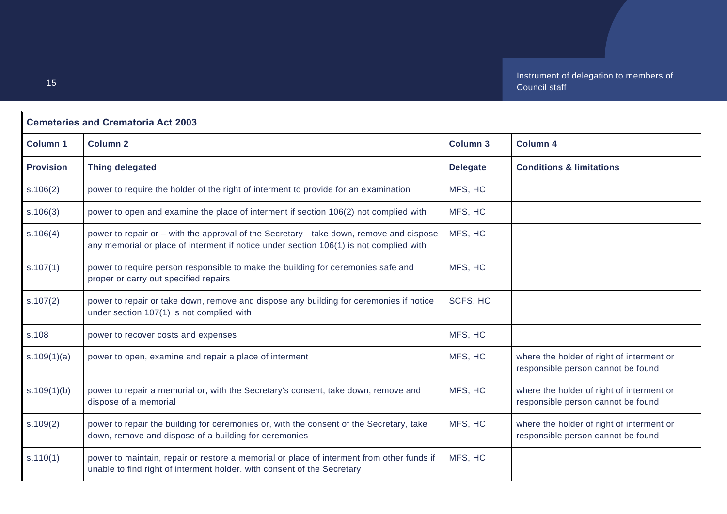| <b>Cemeteries and Crematoria Act 2003</b> |                                                                                                                                                                                   |                 |                                                                                 |
|-------------------------------------------|-----------------------------------------------------------------------------------------------------------------------------------------------------------------------------------|-----------------|---------------------------------------------------------------------------------|
| <b>Column 1</b>                           | <b>Column 2</b>                                                                                                                                                                   | <b>Column 3</b> | <b>Column 4</b>                                                                 |
| <b>Provision</b>                          | <b>Thing delegated</b>                                                                                                                                                            | <b>Delegate</b> | <b>Conditions &amp; limitations</b>                                             |
| s.106(2)                                  | power to require the holder of the right of interment to provide for an examination                                                                                               | MFS, HC         |                                                                                 |
| s.106(3)                                  | power to open and examine the place of interment if section 106(2) not complied with                                                                                              | MFS, HC         |                                                                                 |
| s.106(4)                                  | power to repair or - with the approval of the Secretary - take down, remove and dispose<br>any memorial or place of interment if notice under section 106(1) is not complied with | MFS, HC         |                                                                                 |
| s.107(1)                                  | power to require person responsible to make the building for ceremonies safe and<br>proper or carry out specified repairs                                                         | MFS, HC         |                                                                                 |
| s.107(2)                                  | power to repair or take down, remove and dispose any building for ceremonies if notice<br>under section 107(1) is not complied with                                               | SCFS, HC        |                                                                                 |
| s.108                                     | power to recover costs and expenses                                                                                                                                               | MFS, HC         |                                                                                 |
| s.109(1)(a)                               | power to open, examine and repair a place of interment                                                                                                                            | MFS, HC         | where the holder of right of interment or<br>responsible person cannot be found |
| s.109(1)(b)                               | power to repair a memorial or, with the Secretary's consent, take down, remove and<br>dispose of a memorial                                                                       | MFS, HC         | where the holder of right of interment or<br>responsible person cannot be found |
| s.109(2)                                  | power to repair the building for ceremonies or, with the consent of the Secretary, take<br>down, remove and dispose of a building for ceremonies                                  | MFS, HC         | where the holder of right of interment or<br>responsible person cannot be found |
| s.110(1)                                  | power to maintain, repair or restore a memorial or place of interment from other funds if<br>unable to find right of interment holder. with consent of the Secretary              | MFS, HC         |                                                                                 |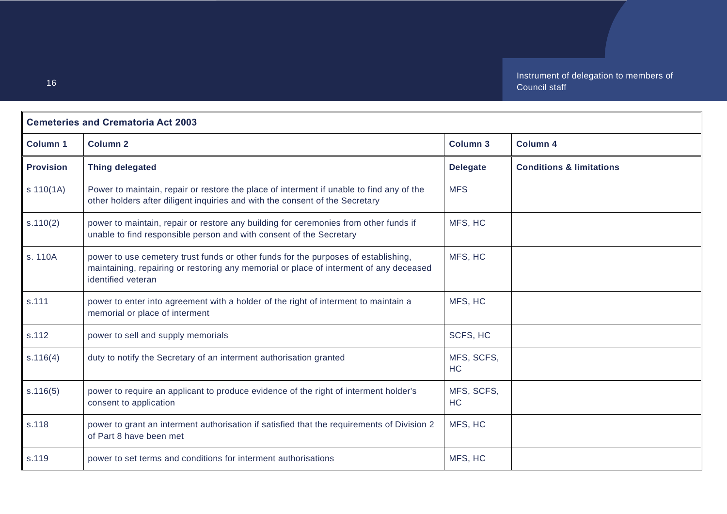| <b>Cemeteries and Crematoria Act 2003</b> |                                                                                                                                                                                                    |                  |                                     |
|-------------------------------------------|----------------------------------------------------------------------------------------------------------------------------------------------------------------------------------------------------|------------------|-------------------------------------|
| <b>Column 1</b>                           | <b>Column 2</b>                                                                                                                                                                                    | <b>Column 3</b>  | <b>Column 4</b>                     |
| <b>Provision</b>                          | <b>Thing delegated</b>                                                                                                                                                                             | <b>Delegate</b>  | <b>Conditions &amp; limitations</b> |
| s 110(1A)                                 | Power to maintain, repair or restore the place of interment if unable to find any of the<br>other holders after diligent inquiries and with the consent of the Secretary                           | <b>MFS</b>       |                                     |
| s.110(2)                                  | power to maintain, repair or restore any building for ceremonies from other funds if<br>unable to find responsible person and with consent of the Secretary                                        | MFS, HC          |                                     |
| s. 110A                                   | power to use cemetery trust funds or other funds for the purposes of establishing,<br>maintaining, repairing or restoring any memorial or place of interment of any deceased<br>identified veteran | MFS, HC          |                                     |
| s.111                                     | power to enter into agreement with a holder of the right of interment to maintain a<br>memorial or place of interment                                                                              | MFS, HC          |                                     |
| s.112                                     | power to sell and supply memorials                                                                                                                                                                 | SCFS, HC         |                                     |
| s.116(4)                                  | duty to notify the Secretary of an interment authorisation granted                                                                                                                                 | MFS, SCFS,<br>HC |                                     |
| s.116(5)                                  | power to require an applicant to produce evidence of the right of interment holder's<br>consent to application                                                                                     | MFS, SCFS,<br>HC |                                     |
| s.118                                     | power to grant an interment authorisation if satisfied that the requirements of Division 2<br>of Part 8 have been met                                                                              | MFS, HC          |                                     |
| s.119                                     | power to set terms and conditions for interment authorisations                                                                                                                                     | MFS, HC          |                                     |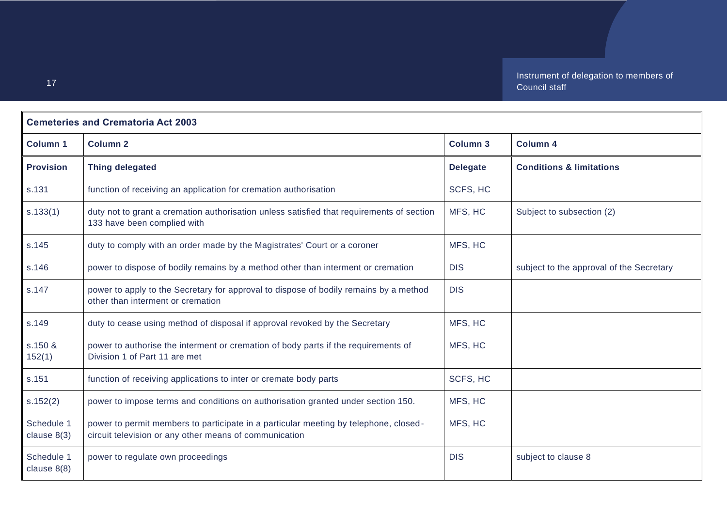| <b>Cemeteries and Crematoria Act 2003</b> |                                                                                                                                                |                 |                                          |
|-------------------------------------------|------------------------------------------------------------------------------------------------------------------------------------------------|-----------------|------------------------------------------|
| <b>Column 1</b>                           | <b>Column 2</b>                                                                                                                                | <b>Column 3</b> | <b>Column 4</b>                          |
| <b>Provision</b>                          | <b>Thing delegated</b>                                                                                                                         | <b>Delegate</b> | <b>Conditions &amp; limitations</b>      |
| s.131                                     | function of receiving an application for cremation authorisation                                                                               | SCFS, HC        |                                          |
| s.133(1)                                  | duty not to grant a cremation authorisation unless satisfied that requirements of section<br>133 have been complied with                       | MFS, HC         | Subject to subsection (2)                |
| s.145                                     | duty to comply with an order made by the Magistrates' Court or a coroner                                                                       | MFS, HC         |                                          |
| s.146                                     | power to dispose of bodily remains by a method other than interment or cremation                                                               | <b>DIS</b>      | subject to the approval of the Secretary |
| s.147                                     | power to apply to the Secretary for approval to dispose of bodily remains by a method<br>other than interment or cremation                     | <b>DIS</b>      |                                          |
| s.149                                     | duty to cease using method of disposal if approval revoked by the Secretary                                                                    | MFS, HC         |                                          |
| s.150 &<br>152(1)                         | power to authorise the interment or cremation of body parts if the requirements of<br>Division 1 of Part 11 are met                            | MFS, HC         |                                          |
| s.151                                     | function of receiving applications to inter or cremate body parts                                                                              | SCFS, HC        |                                          |
| s.152(2)                                  | power to impose terms and conditions on authorisation granted under section 150.                                                               | MFS, HC         |                                          |
| Schedule 1<br>clause $8(3)$               | power to permit members to participate in a particular meeting by telephone, closed-<br>circuit television or any other means of communication | MFS, HC         |                                          |
| Schedule 1<br>clause $8(8)$               | power to regulate own proceedings                                                                                                              | <b>DIS</b>      | subject to clause 8                      |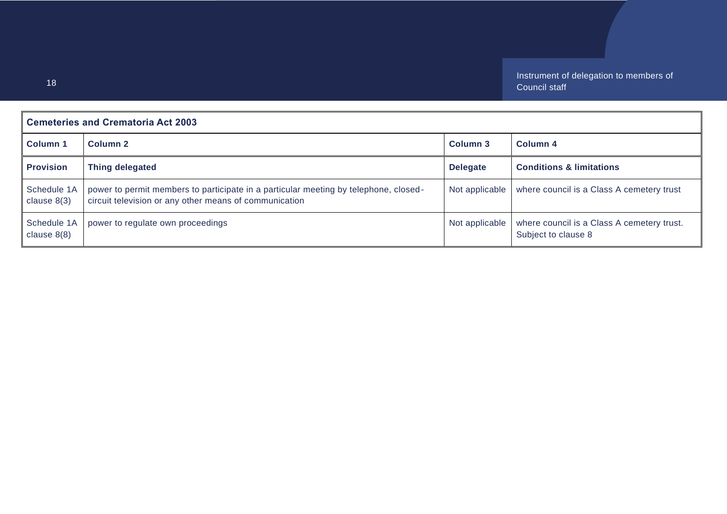| <b>Cemeteries and Crematoria Act 2003</b> |                                                                                                                                                |                     |                                                                   |
|-------------------------------------------|------------------------------------------------------------------------------------------------------------------------------------------------|---------------------|-------------------------------------------------------------------|
| <b>Column 1</b>                           | Column <sub>2</sub>                                                                                                                            | Column <sub>3</sub> | Column <sub>4</sub>                                               |
| <b>Provision</b>                          | Thing delegated                                                                                                                                | <b>Delegate</b>     | <b>Conditions &amp; limitations</b>                               |
| Schedule 1A<br>clause $8(3)$              | power to permit members to participate in a particular meeting by telephone, closed-<br>circuit television or any other means of communication | Not applicable      | where council is a Class A cemetery trust                         |
| Schedule 1A<br>clause $8(8)$              | power to regulate own proceedings                                                                                                              | Not applicable      | where council is a Class A cemetery trust.<br>Subject to clause 8 |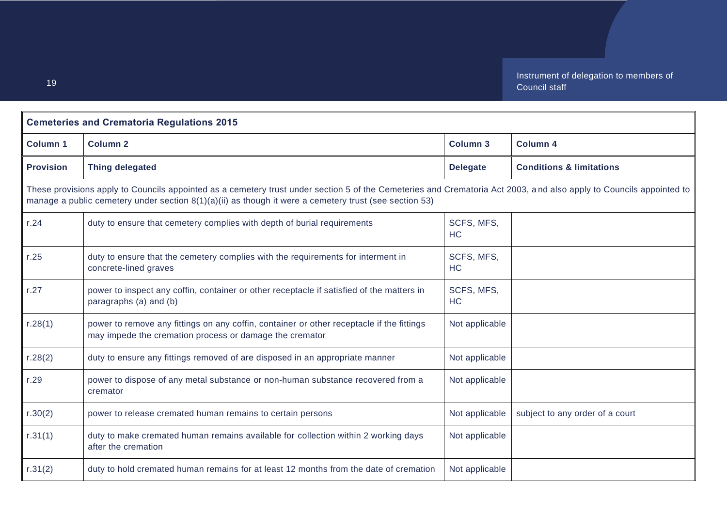<span id="page-18-0"></span>

| <b>Cemeteries and Crematoria Regulations 2015</b> |                                                                                                                                                                                                                                                                                 |                         |                                     |
|---------------------------------------------------|---------------------------------------------------------------------------------------------------------------------------------------------------------------------------------------------------------------------------------------------------------------------------------|-------------------------|-------------------------------------|
| <b>Column 1</b>                                   | <b>Column 2</b>                                                                                                                                                                                                                                                                 | <b>Column 3</b>         | <b>Column 4</b>                     |
| <b>Provision</b>                                  | <b>Thing delegated</b>                                                                                                                                                                                                                                                          | <b>Delegate</b>         | <b>Conditions &amp; limitations</b> |
|                                                   | These provisions apply to Councils appointed as a cemetery trust under section 5 of the Cemeteries and Crematoria Act 2003, and also apply to Councils appointed to<br>manage a public cemetery under section $8(1)(a)(ii)$ as though it were a cemetery trust (see section 53) |                         |                                     |
| r.24                                              | duty to ensure that cemetery complies with depth of burial requirements                                                                                                                                                                                                         | SCFS, MFS,<br>HC        |                                     |
| r.25                                              | duty to ensure that the cemetery complies with the requirements for interment in<br>concrete-lined graves                                                                                                                                                                       | SCFS, MFS,<br><b>HC</b> |                                     |
| r.27                                              | power to inspect any coffin, container or other receptacle if satisfied of the matters in<br>paragraphs (a) and (b)                                                                                                                                                             | SCFS, MFS,<br><b>HC</b> |                                     |
| r.28(1)                                           | power to remove any fittings on any coffin, container or other receptacle if the fittings<br>may impede the cremation process or damage the cremator                                                                                                                            | Not applicable          |                                     |
| r.28(2)                                           | duty to ensure any fittings removed of are disposed in an appropriate manner                                                                                                                                                                                                    | Not applicable          |                                     |
| r.29                                              | power to dispose of any metal substance or non-human substance recovered from a<br>cremator                                                                                                                                                                                     | Not applicable          |                                     |
| r.30(2)                                           | power to release cremated human remains to certain persons                                                                                                                                                                                                                      | Not applicable          | subject to any order of a court     |
| r.31(1)                                           | duty to make cremated human remains available for collection within 2 working days<br>after the cremation                                                                                                                                                                       | Not applicable          |                                     |
| r.31(2)                                           | duty to hold cremated human remains for at least 12 months from the date of cremation                                                                                                                                                                                           | Not applicable          |                                     |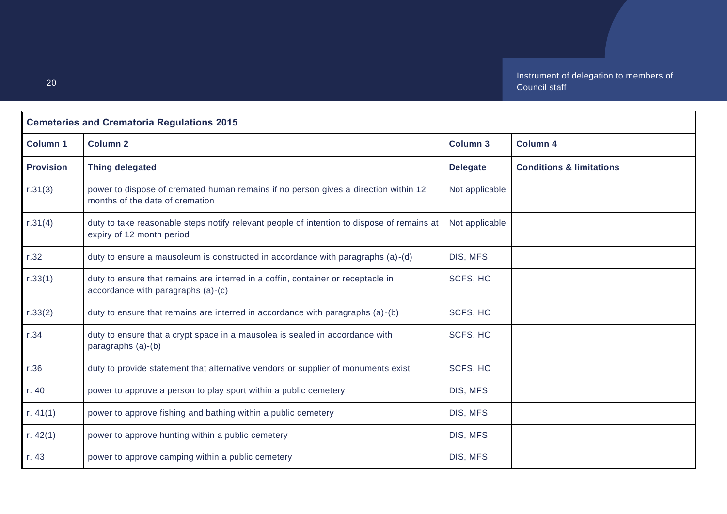| <b>Cemeteries and Crematoria Regulations 2015</b> |                                                                                                                         |                 |                                     |
|---------------------------------------------------|-------------------------------------------------------------------------------------------------------------------------|-----------------|-------------------------------------|
| <b>Column 1</b>                                   | <b>Column 2</b>                                                                                                         | <b>Column 3</b> | <b>Column 4</b>                     |
| <b>Provision</b>                                  | <b>Thing delegated</b>                                                                                                  | <b>Delegate</b> | <b>Conditions &amp; limitations</b> |
| r.31(3)                                           | power to dispose of cremated human remains if no person gives a direction within 12<br>months of the date of cremation  | Not applicable  |                                     |
| r.31(4)                                           | duty to take reasonable steps notify relevant people of intention to dispose of remains at<br>expiry of 12 month period | Not applicable  |                                     |
| r.32                                              | duty to ensure a mausoleum is constructed in accordance with paragraphs (a)-(d)                                         | DIS, MFS        |                                     |
| r.33(1)                                           | duty to ensure that remains are interred in a coffin, container or receptacle in<br>accordance with paragraphs (a)-(c)  | SCFS, HC        |                                     |
| r.33(2)                                           | duty to ensure that remains are interred in accordance with paragraphs (a)-(b)                                          | SCFS, HC        |                                     |
| r.34                                              | duty to ensure that a crypt space in a mausolea is sealed in accordance with<br>paragraphs (a)-(b)                      | SCFS, HC        |                                     |
| r.36                                              | duty to provide statement that alternative vendors or supplier of monuments exist                                       | SCFS, HC        |                                     |
| r. 40                                             | power to approve a person to play sport within a public cemetery                                                        | DIS, MFS        |                                     |
| r. $41(1)$                                        | power to approve fishing and bathing within a public cemetery                                                           | DIS, MFS        |                                     |
| r. $42(1)$                                        | power to approve hunting within a public cemetery                                                                       | DIS, MFS        |                                     |
| r. 43                                             | power to approve camping within a public cemetery                                                                       | DIS, MFS        |                                     |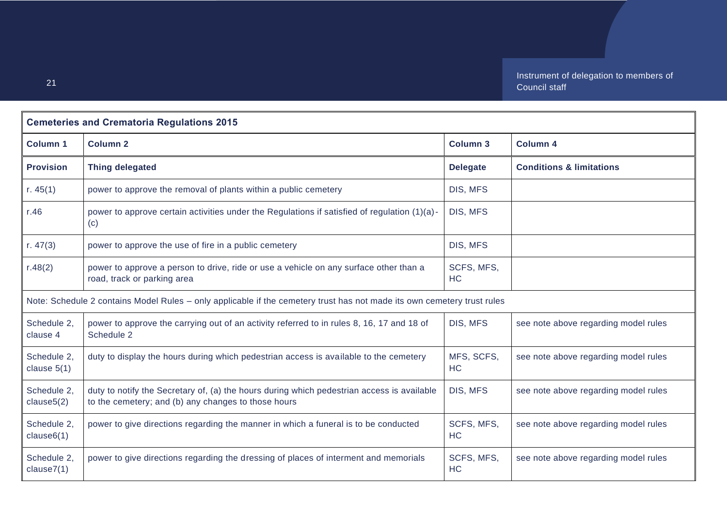| <b>Cemeteries and Crematoria Regulations 2015</b> |                                                                                                                                                   |                         |                                      |
|---------------------------------------------------|---------------------------------------------------------------------------------------------------------------------------------------------------|-------------------------|--------------------------------------|
| <b>Column 1</b>                                   | <b>Column 2</b>                                                                                                                                   | <b>Column 3</b>         | <b>Column 4</b>                      |
| <b>Provision</b>                                  | <b>Thing delegated</b>                                                                                                                            | <b>Delegate</b>         | <b>Conditions &amp; limitations</b>  |
| r. $45(1)$                                        | power to approve the removal of plants within a public cemetery                                                                                   | DIS, MFS                |                                      |
| r.46                                              | power to approve certain activities under the Regulations if satisfied of regulation (1)(a)-<br>(c)                                               | DIS, MFS                |                                      |
| r. $47(3)$                                        | power to approve the use of fire in a public cemetery                                                                                             | DIS, MFS                |                                      |
| r.48(2)                                           | power to approve a person to drive, ride or use a vehicle on any surface other than a<br>road, track or parking area                              | SCFS, MFS,<br>HC        |                                      |
|                                                   | Note: Schedule 2 contains Model Rules - only applicable if the cemetery trust has not made its own cemetery trust rules                           |                         |                                      |
| Schedule 2,<br>clause 4                           | power to approve the carrying out of an activity referred to in rules 8, 16, 17 and 18 of<br>Schedule 2                                           | DIS, MFS                | see note above regarding model rules |
| Schedule 2,<br>clause $5(1)$                      | duty to display the hours during which pedestrian access is available to the cemetery                                                             | MFS, SCFS,<br><b>HC</b> | see note above regarding model rules |
| Schedule 2,<br>clause5(2)                         | duty to notify the Secretary of, (a) the hours during which pedestrian access is available<br>to the cemetery; and (b) any changes to those hours | DIS, MFS                | see note above regarding model rules |
| Schedule 2,<br>clause6(1)                         | power to give directions regarding the manner in which a funeral is to be conducted                                                               | SCFS, MFS,<br><b>HC</b> | see note above regarding model rules |
| Schedule 2,<br>clause7(1)                         | power to give directions regarding the dressing of places of interment and memorials                                                              | SCFS, MFS,<br>HC        | see note above regarding model rules |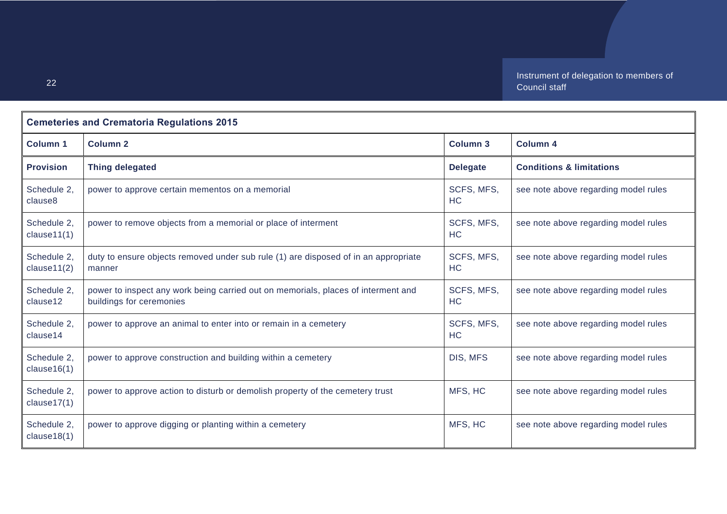| <b>Cemeteries and Crematoria Regulations 2015</b> |                                                                                                               |                         |                                      |
|---------------------------------------------------|---------------------------------------------------------------------------------------------------------------|-------------------------|--------------------------------------|
| <b>Column 1</b>                                   | <b>Column 2</b>                                                                                               | <b>Column 3</b>         | <b>Column 4</b>                      |
| <b>Provision</b>                                  | <b>Thing delegated</b>                                                                                        | <b>Delegate</b>         | <b>Conditions &amp; limitations</b>  |
| Schedule 2,<br>clause8                            | power to approve certain mementos on a memorial                                                               | SCFS, MFS,<br>HC        | see note above regarding model rules |
| Schedule 2,<br>clause11(1)                        | power to remove objects from a memorial or place of interment                                                 | SCFS, MFS,<br><b>HC</b> | see note above regarding model rules |
| Schedule 2,<br>clause11(2)                        | duty to ensure objects removed under sub rule (1) are disposed of in an appropriate<br>manner                 | SCFS, MFS,<br>HC        | see note above regarding model rules |
| Schedule 2,<br>clause12                           | power to inspect any work being carried out on memorials, places of interment and<br>buildings for ceremonies | SCFS, MFS,<br>HC        | see note above regarding model rules |
| Schedule 2,<br>clause14                           | power to approve an animal to enter into or remain in a cemetery                                              | SCFS, MFS,<br><b>HC</b> | see note above regarding model rules |
| Schedule 2,<br>clause16(1)                        | power to approve construction and building within a cemetery                                                  | DIS, MFS                | see note above regarding model rules |
| Schedule 2,<br>clause $17(1)$                     | power to approve action to disturb or demolish property of the cemetery trust                                 | MFS, HC                 | see note above regarding model rules |
| Schedule 2,<br>clause18(1)                        | power to approve digging or planting within a cemetery                                                        | MFS, HC                 | see note above regarding model rules |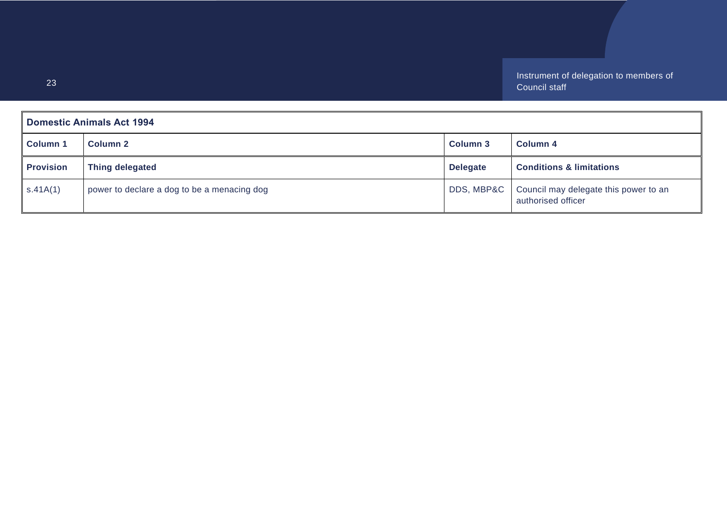<span id="page-22-0"></span>

| <b>Domestic Animals Act 1994</b> |                                             |                 |                                                             |
|----------------------------------|---------------------------------------------|-----------------|-------------------------------------------------------------|
| <b>Column 1</b>                  | Column 2                                    | Column 3        | Column 4                                                    |
| <b>Provision</b>                 | <b>Thing delegated</b>                      | <b>Delegate</b> | <b>Conditions &amp; limitations</b>                         |
| S.41A(1)                         | power to declare a dog to be a menacing dog | DDS, MBP&C      | Council may delegate this power to an<br>authorised officer |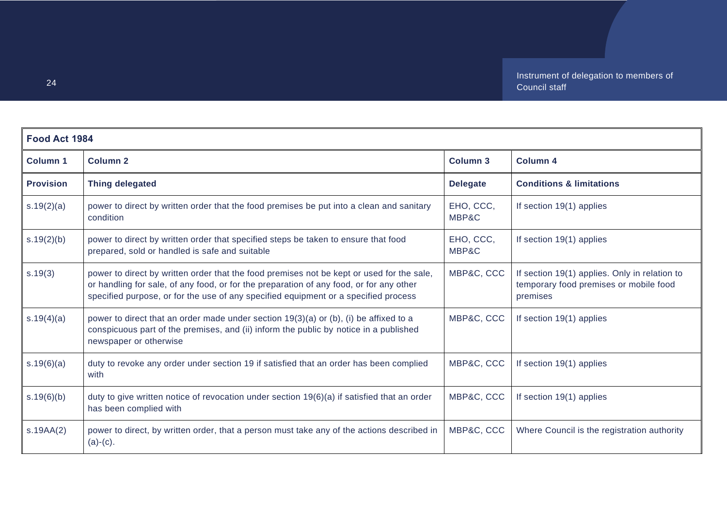<span id="page-23-0"></span>

| Food Act 1984    |                                                                                                                                                                                                                                                                             |                    |                                                                                                     |
|------------------|-----------------------------------------------------------------------------------------------------------------------------------------------------------------------------------------------------------------------------------------------------------------------------|--------------------|-----------------------------------------------------------------------------------------------------|
| <b>Column 1</b>  | <b>Column 2</b>                                                                                                                                                                                                                                                             | <b>Column 3</b>    | <b>Column 4</b>                                                                                     |
| <b>Provision</b> | <b>Thing delegated</b>                                                                                                                                                                                                                                                      | <b>Delegate</b>    | <b>Conditions &amp; limitations</b>                                                                 |
| s.19(2)(a)       | power to direct by written order that the food premises be put into a clean and sanitary<br>condition                                                                                                                                                                       | EHO, CCC,<br>MBP&C | If section 19(1) applies                                                                            |
| s.19(2)(b)       | power to direct by written order that specified steps be taken to ensure that food<br>prepared, sold or handled is safe and suitable                                                                                                                                        | EHO, CCC,<br>MBP&C | If section 19(1) applies                                                                            |
| s.19(3)          | power to direct by written order that the food premises not be kept or used for the sale,<br>or handling for sale, of any food, or for the preparation of any food, or for any other<br>specified purpose, or for the use of any specified equipment or a specified process | MBP&C, CCC         | If section 19(1) applies. Only in relation to<br>temporary food premises or mobile food<br>premises |
| s.19(4)(a)       | power to direct that an order made under section 19(3)(a) or (b), (i) be affixed to a<br>conspicuous part of the premises, and (ii) inform the public by notice in a published<br>newspaper or otherwise                                                                    | MBP&C, CCC         | If section 19(1) applies                                                                            |
| s.19(6)(a)       | duty to revoke any order under section 19 if satisfied that an order has been complied<br>with                                                                                                                                                                              | MBP&C, CCC         | If section 19(1) applies                                                                            |
| s.19(6)(b)       | duty to give written notice of revocation under section 19(6)(a) if satisfied that an order<br>has been complied with                                                                                                                                                       | MBP&C, CCC         | If section 19(1) applies                                                                            |
| S.19AA(2)        | power to direct, by written order, that a person must take any of the actions described in<br>$(a)-(c)$ .                                                                                                                                                                   | MBP&C, CCC         | Where Council is the registration authority                                                         |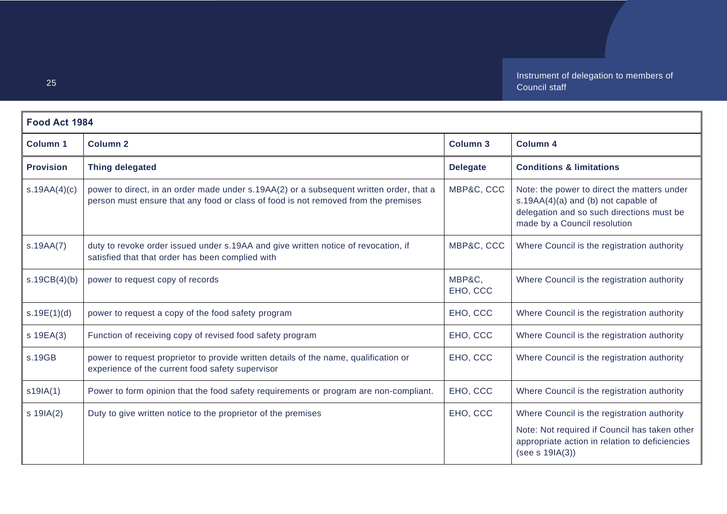| Food Act 1984    |                                                                                                                                                                               |                    |                                                                                                                                                                   |
|------------------|-------------------------------------------------------------------------------------------------------------------------------------------------------------------------------|--------------------|-------------------------------------------------------------------------------------------------------------------------------------------------------------------|
| <b>Column 1</b>  | <b>Column 2</b>                                                                                                                                                               | <b>Column 3</b>    | <b>Column 4</b>                                                                                                                                                   |
| <b>Provision</b> | <b>Thing delegated</b>                                                                                                                                                        | <b>Delegate</b>    | <b>Conditions &amp; limitations</b>                                                                                                                               |
| s.19AA(4)(c)     | power to direct, in an order made under s.19AA(2) or a subsequent written order, that a<br>person must ensure that any food or class of food is not removed from the premises | MBP&C, CCC         | Note: the power to direct the matters under<br>s.19AA(4)(a) and (b) not capable of<br>delegation and so such directions must be<br>made by a Council resolution   |
| s.19AA(7)        | duty to revoke order issued under s.19AA and give written notice of revocation, if<br>satisfied that that order has been complied with                                        | MBP&C, CCC         | Where Council is the registration authority                                                                                                                       |
| s.19CB(4)(b)     | power to request copy of records                                                                                                                                              | MBP&C,<br>EHO, CCC | Where Council is the registration authority                                                                                                                       |
| s.19E(1)(d)      | power to request a copy of the food safety program                                                                                                                            | EHO, CCC           | Where Council is the registration authority                                                                                                                       |
| s 19EA(3)        | Function of receiving copy of revised food safety program                                                                                                                     | EHO, CCC           | Where Council is the registration authority                                                                                                                       |
| s.19GB           | power to request proprietor to provide written details of the name, qualification or<br>experience of the current food safety supervisor                                      | EHO, CCC           | Where Council is the registration authority                                                                                                                       |
| s19IA(1)         | Power to form opinion that the food safety requirements or program are non-compliant.                                                                                         | EHO, CCC           | Where Council is the registration authority                                                                                                                       |
| $s$ 19IA(2)      | Duty to give written notice to the proprietor of the premises                                                                                                                 | EHO, CCC           | Where Council is the registration authority<br>Note: Not required if Council has taken other<br>appropriate action in relation to deficiencies<br>(see s 19IA(3)) |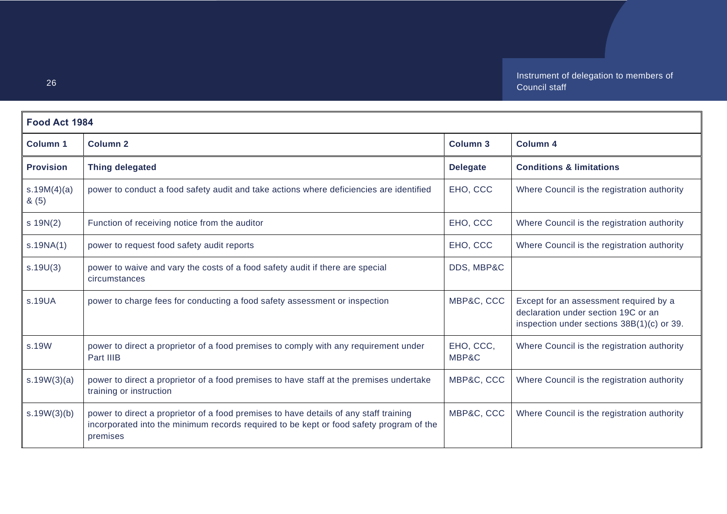| Food Act 1984       |                                                                                                                                                                                              |                    |                                                                                                                             |
|---------------------|----------------------------------------------------------------------------------------------------------------------------------------------------------------------------------------------|--------------------|-----------------------------------------------------------------------------------------------------------------------------|
| <b>Column 1</b>     | <b>Column 2</b>                                                                                                                                                                              | Column 3           | Column 4                                                                                                                    |
| <b>Provision</b>    | <b>Thing delegated</b>                                                                                                                                                                       | <b>Delegate</b>    | <b>Conditions &amp; limitations</b>                                                                                         |
| s.19M(4)(a)<br>8(5) | power to conduct a food safety audit and take actions where deficiencies are identified                                                                                                      | EHO, CCC           | Where Council is the registration authority                                                                                 |
| $s$ 19N(2)          | Function of receiving notice from the auditor                                                                                                                                                | EHO, CCC           | Where Council is the registration authority                                                                                 |
| s.19NA(1)           | power to request food safety audit reports                                                                                                                                                   | EHO, CCC           | Where Council is the registration authority                                                                                 |
| s.19U(3)            | power to waive and vary the costs of a food safety audit if there are special<br>circumstances                                                                                               | DDS, MBP&C         |                                                                                                                             |
| s.19UA              | power to charge fees for conducting a food safety assessment or inspection                                                                                                                   | MBP&C, CCC         | Except for an assessment required by a<br>declaration under section 19C or an<br>inspection under sections 38B(1)(c) or 39. |
| s.19W               | power to direct a proprietor of a food premises to comply with any requirement under<br>Part IIIB                                                                                            | EHO, CCC,<br>MBP&C | Where Council is the registration authority                                                                                 |
| s.19W(3)(a)         | power to direct a proprietor of a food premises to have staff at the premises undertake<br>training or instruction                                                                           | MBP&C, CCC         | Where Council is the registration authority                                                                                 |
| s.19W(3)(b)         | power to direct a proprietor of a food premises to have details of any staff training<br>incorporated into the minimum records required to be kept or food safety program of the<br>premises | MBP&C, CCC         | Where Council is the registration authority                                                                                 |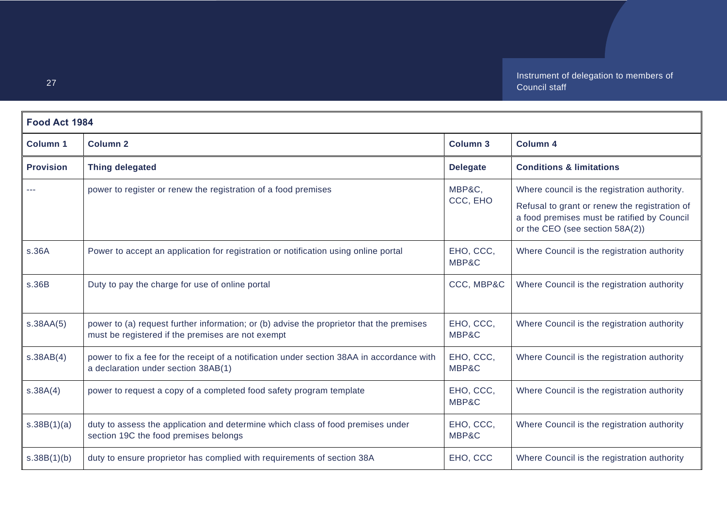| Food Act 1984    |                                                                                                                                               |                    |                                                                                                                                                                                 |
|------------------|-----------------------------------------------------------------------------------------------------------------------------------------------|--------------------|---------------------------------------------------------------------------------------------------------------------------------------------------------------------------------|
| <b>Column 1</b>  | <b>Column 2</b>                                                                                                                               | <b>Column 3</b>    | <b>Column 4</b>                                                                                                                                                                 |
| <b>Provision</b> | <b>Thing delegated</b>                                                                                                                        | <b>Delegate</b>    | <b>Conditions &amp; limitations</b>                                                                                                                                             |
|                  | power to register or renew the registration of a food premises                                                                                | MBP&C,<br>CCC, EHO | Where council is the registration authority.<br>Refusal to grant or renew the registration of<br>a food premises must be ratified by Council<br>or the CEO (see section 58A(2)) |
| s.36A            | Power to accept an application for registration or notification using online portal                                                           | EHO, CCC,<br>MBP&C | Where Council is the registration authority                                                                                                                                     |
| s.36B            | Duty to pay the charge for use of online portal                                                                                               | CCC, MBP&C         | Where Council is the registration authority                                                                                                                                     |
| s.38AA(5)        | power to (a) request further information; or (b) advise the proprietor that the premises<br>must be registered if the premises are not exempt | EHO, CCC,<br>MBP&C | Where Council is the registration authority                                                                                                                                     |
| s.38AB(4)        | power to fix a fee for the receipt of a notification under section 38AA in accordance with<br>a declaration under section 38AB(1)             | EHO, CCC,<br>MBP&C | Where Council is the registration authority                                                                                                                                     |
| s.38A(4)         | power to request a copy of a completed food safety program template                                                                           | EHO, CCC,<br>MBP&C | Where Council is the registration authority                                                                                                                                     |
| s.38B(1)(a)      | duty to assess the application and determine which class of food premises under<br>section 19C the food premises belongs                      | EHO, CCC,<br>MBP&C | Where Council is the registration authority                                                                                                                                     |
| s.38B(1)(b)      | duty to ensure proprietor has complied with requirements of section 38A                                                                       | EHO, CCC           | Where Council is the registration authority                                                                                                                                     |

27

 $\blacksquare$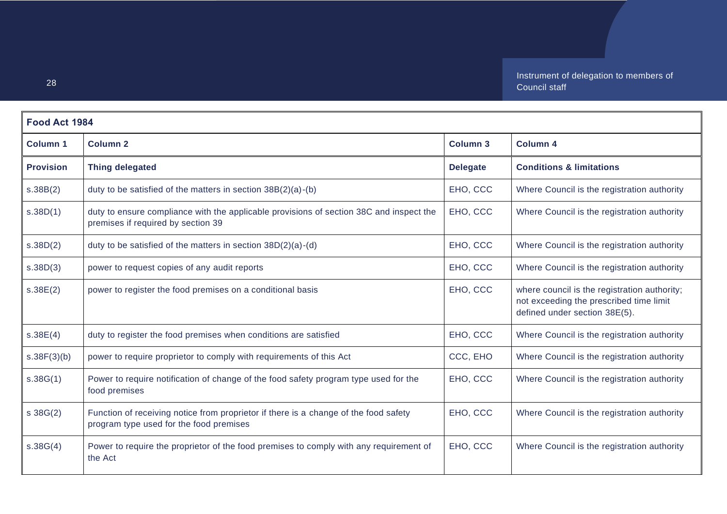| Food Act 1984    |                                                                                                                                 |                 |                                                                                                                          |
|------------------|---------------------------------------------------------------------------------------------------------------------------------|-----------------|--------------------------------------------------------------------------------------------------------------------------|
| Column 1         | <b>Column 2</b>                                                                                                                 | <b>Column 3</b> | Column 4                                                                                                                 |
| <b>Provision</b> | <b>Thing delegated</b>                                                                                                          | <b>Delegate</b> | <b>Conditions &amp; limitations</b>                                                                                      |
| s.38B(2)         | duty to be satisfied of the matters in section 38B(2)(a)-(b)                                                                    | EHO, CCC        | Where Council is the registration authority                                                                              |
| s.38D(1)         | duty to ensure compliance with the applicable provisions of section 38C and inspect the<br>premises if required by section 39   | EHO, CCC        | Where Council is the registration authority                                                                              |
| s.38D(2)         | duty to be satisfied of the matters in section $38D(2)(a)-(d)$                                                                  | EHO, CCC        | Where Council is the registration authority                                                                              |
| s.38D(3)         | power to request copies of any audit reports                                                                                    | EHO, CCC        | Where Council is the registration authority                                                                              |
| s.38E(2)         | power to register the food premises on a conditional basis                                                                      | EHO, CCC        | where council is the registration authority;<br>not exceeding the prescribed time limit<br>defined under section 38E(5). |
| s.38E(4)         | duty to register the food premises when conditions are satisfied                                                                | EHO, CCC        | Where Council is the registration authority                                                                              |
| s.38F(3)(b)      | power to require proprietor to comply with requirements of this Act                                                             | CCC, EHO        | Where Council is the registration authority                                                                              |
| s.38G(1)         | Power to require notification of change of the food safety program type used for the<br>food premises                           | EHO, CCC        | Where Council is the registration authority                                                                              |
| $s \, 38G(2)$    | Function of receiving notice from proprietor if there is a change of the food safety<br>program type used for the food premises | EHO, CCC        | Where Council is the registration authority                                                                              |
| s.38G(4)         | Power to require the proprietor of the food premises to comply with any requirement of<br>the Act                               | EHO, CCC        | Where Council is the registration authority                                                                              |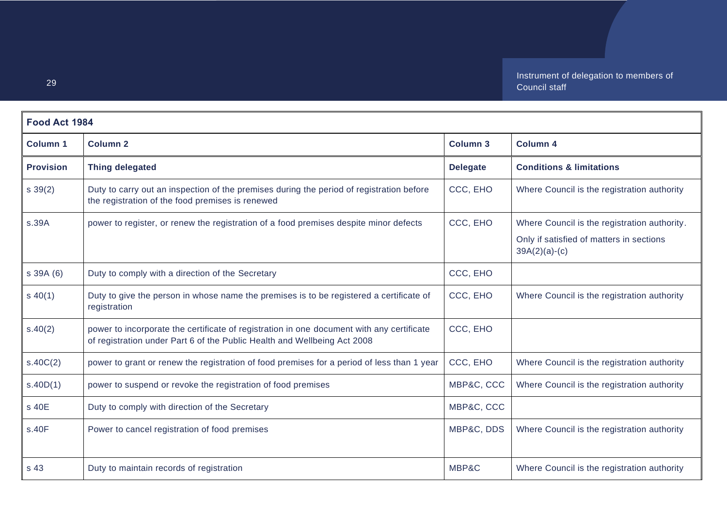| Food Act 1984    |                                                                                                                                                                       |                 |                                                             |
|------------------|-----------------------------------------------------------------------------------------------------------------------------------------------------------------------|-----------------|-------------------------------------------------------------|
| <b>Column 1</b>  | <b>Column 2</b>                                                                                                                                                       | <b>Column 3</b> | <b>Column 4</b>                                             |
| <b>Provision</b> | <b>Thing delegated</b>                                                                                                                                                | <b>Delegate</b> | <b>Conditions &amp; limitations</b>                         |
| $s \, 39(2)$     | Duty to carry out an inspection of the premises during the period of registration before<br>the registration of the food premises is renewed                          | CCC, EHO        | Where Council is the registration authority                 |
| s.39A            | power to register, or renew the registration of a food premises despite minor defects                                                                                 | CCC, EHO        | Where Council is the registration authority.                |
|                  |                                                                                                                                                                       |                 | Only if satisfied of matters in sections<br>$39A(2)(a)-(c)$ |
| s 39A (6)        | Duty to comply with a direction of the Secretary                                                                                                                      | CCC, EHO        |                                                             |
| $s\ 40(1)$       | Duty to give the person in whose name the premises is to be registered a certificate of<br>registration                                                               | CCC, EHO        | Where Council is the registration authority                 |
| s.40(2)          | power to incorporate the certificate of registration in one document with any certificate<br>of registration under Part 6 of the Public Health and Wellbeing Act 2008 | CCC, EHO        |                                                             |
| s.40C(2)         | power to grant or renew the registration of food premises for a period of less than 1 year                                                                            | CCC, EHO        | Where Council is the registration authority                 |
| s.40D(1)         | power to suspend or revoke the registration of food premises                                                                                                          | MBP&C, CCC      | Where Council is the registration authority                 |
| s 40E            | Duty to comply with direction of the Secretary                                                                                                                        | MBP&C, CCC      |                                                             |
| s.40F            | Power to cancel registration of food premises                                                                                                                         | MBP&C, DDS      | Where Council is the registration authority                 |
| s 43             | Duty to maintain records of registration                                                                                                                              | MBP&C           | Where Council is the registration authority                 |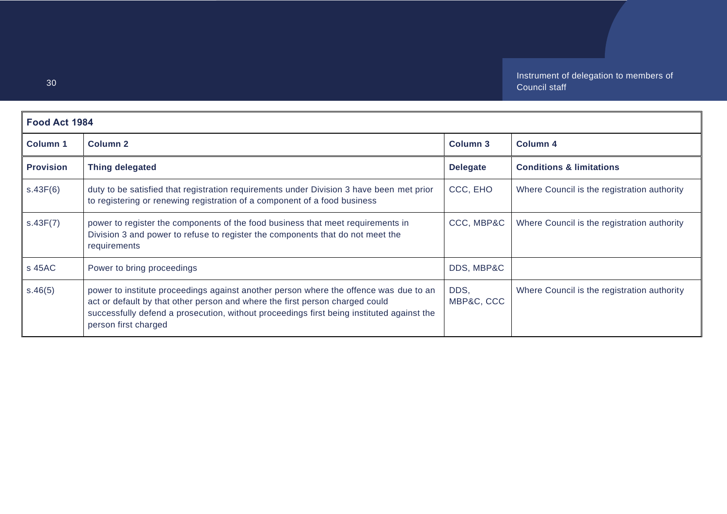| Food Act 1984    |                                                                                                                                                                                                                                                                                            |                    |                                             |
|------------------|--------------------------------------------------------------------------------------------------------------------------------------------------------------------------------------------------------------------------------------------------------------------------------------------|--------------------|---------------------------------------------|
| <b>Column 1</b>  | Column <sub>2</sub>                                                                                                                                                                                                                                                                        | <b>Column 3</b>    | Column 4                                    |
| <b>Provision</b> | <b>Thing delegated</b>                                                                                                                                                                                                                                                                     | <b>Delegate</b>    | <b>Conditions &amp; limitations</b>         |
| s.43F(6)         | duty to be satisfied that registration requirements under Division 3 have been met prior<br>to registering or renewing registration of a component of a food business                                                                                                                      | CCC, EHO           | Where Council is the registration authority |
| s.43F(7)         | power to register the components of the food business that meet requirements in<br>Division 3 and power to refuse to register the components that do not meet the<br>requirements                                                                                                          | CCC, MBP&C         | Where Council is the registration authority |
| s 45AC           | Power to bring proceedings                                                                                                                                                                                                                                                                 | DDS, MBP&C         |                                             |
| s.46(5)          | power to institute proceedings against another person where the offence was due to an<br>act or default by that other person and where the first person charged could<br>successfully defend a prosecution, without proceedings first being instituted against the<br>person first charged | DDS,<br>MBP&C, CCC | Where Council is the registration authority |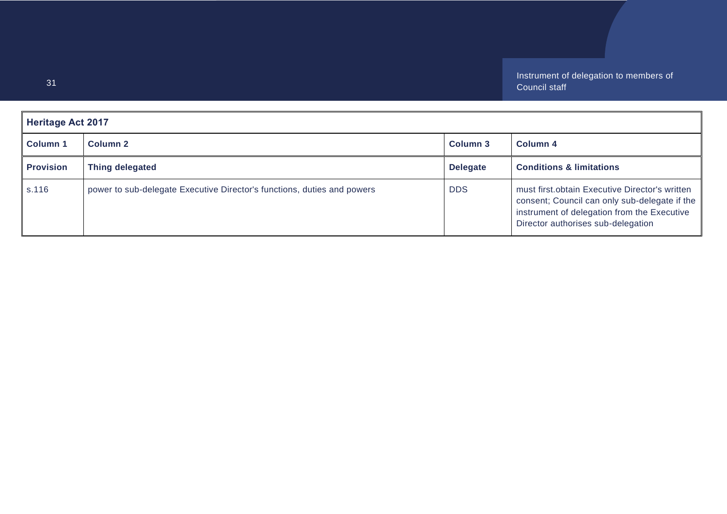<span id="page-30-0"></span>

| <b>Heritage Act 2017</b> |                                                                         |                 |                                                                                                                                                                                      |
|--------------------------|-------------------------------------------------------------------------|-----------------|--------------------------------------------------------------------------------------------------------------------------------------------------------------------------------------|
| <b>Column 1</b>          | Column 2                                                                | Column 3        | Column 4                                                                                                                                                                             |
| <b>Provision</b>         | Thing delegated                                                         | <b>Delegate</b> | <b>Conditions &amp; limitations</b>                                                                                                                                                  |
| s.116                    | power to sub-delegate Executive Director's functions, duties and powers | <b>DDS</b>      | must first obtain Executive Director's written<br>consent; Council can only sub-delegate if the<br>instrument of delegation from the Executive<br>Director authorises sub-delegation |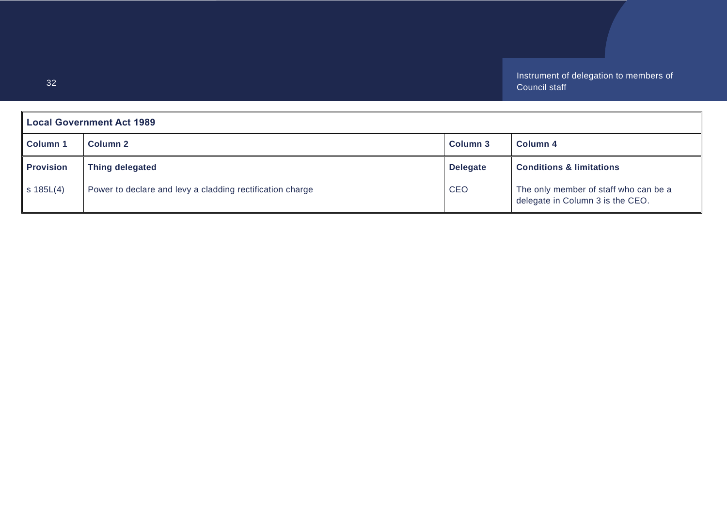<span id="page-31-0"></span>

| <b>Local Government Act 1989</b> |                                                           |                 |                                                                           |
|----------------------------------|-----------------------------------------------------------|-----------------|---------------------------------------------------------------------------|
| <b>Column 1</b>                  | Column 2                                                  | Column 3        | Column 4                                                                  |
| <b>Provision</b>                 | <b>Thing delegated</b>                                    | <b>Delegate</b> | <b>Conditions &amp; limitations</b>                                       |
| $s$ 185L $(4)$                   | Power to declare and levy a cladding rectification charge | <b>CEO</b>      | The only member of staff who can be a<br>delegate in Column 3 is the CEO. |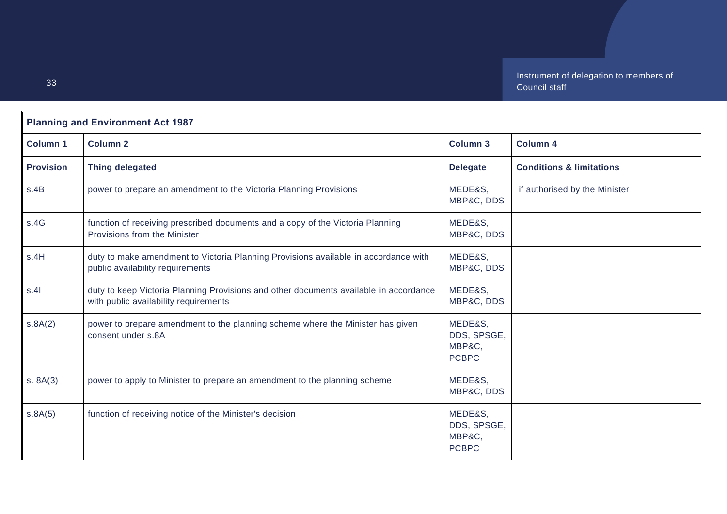<span id="page-32-0"></span>

| <b>Planning and Environment Act 1987</b> |                                                                                                                                |                                                  |                                     |
|------------------------------------------|--------------------------------------------------------------------------------------------------------------------------------|--------------------------------------------------|-------------------------------------|
| <b>Column 1</b>                          | <b>Column 2</b>                                                                                                                | <b>Column 3</b>                                  | <b>Column 4</b>                     |
| <b>Provision</b>                         | <b>Thing delegated</b>                                                                                                         | <b>Delegate</b>                                  | <b>Conditions &amp; limitations</b> |
| s.4B                                     | power to prepare an amendment to the Victoria Planning Provisions                                                              | MEDE&S,<br>MBP&C, DDS                            | if authorised by the Minister       |
| s.4G                                     | function of receiving prescribed documents and a copy of the Victoria Planning<br>Provisions from the Minister                 | MEDE&S,<br>MBP&C, DDS                            |                                     |
| s.4H                                     | duty to make amendment to Victoria Planning Provisions available in accordance with<br>public availability requirements        | MEDE&S,<br>MBP&C, DDS                            |                                     |
| s.41                                     | duty to keep Victoria Planning Provisions and other documents available in accordance<br>with public availability requirements | MEDE&S,<br>MBP&C, DDS                            |                                     |
| s.8A(2)                                  | power to prepare amendment to the planning scheme where the Minister has given<br>consent under s.8A                           | MEDE&S,<br>DDS, SPSGE,<br>MBP&C.<br><b>PCBPC</b> |                                     |
| s. 8A(3)                                 | power to apply to Minister to prepare an amendment to the planning scheme                                                      | MEDE&S,<br>MBP&C, DDS                            |                                     |
| s.8A(5)                                  | function of receiving notice of the Minister's decision                                                                        | MEDE&S,<br>DDS, SPSGE,<br>MBP&C,<br><b>PCBPC</b> |                                     |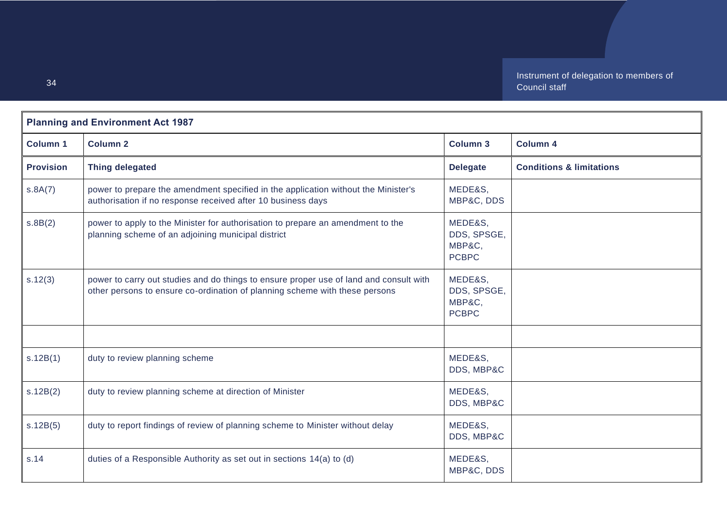| <b>Planning and Environment Act 1987</b> |                                                                                                                                                                       |                                                  |                                     |
|------------------------------------------|-----------------------------------------------------------------------------------------------------------------------------------------------------------------------|--------------------------------------------------|-------------------------------------|
| <b>Column 1</b>                          | <b>Column 2</b>                                                                                                                                                       | <b>Column 3</b>                                  | <b>Column 4</b>                     |
| <b>Provision</b>                         | <b>Thing delegated</b>                                                                                                                                                | <b>Delegate</b>                                  | <b>Conditions &amp; limitations</b> |
| s.8A(7)                                  | power to prepare the amendment specified in the application without the Minister's<br>authorisation if no response received after 10 business days                    | MEDE&S,<br>MBP&C, DDS                            |                                     |
| s.8B(2)                                  | power to apply to the Minister for authorisation to prepare an amendment to the<br>planning scheme of an adjoining municipal district                                 | MEDE&S,<br>DDS, SPSGE,<br>MBP&C,<br><b>PCBPC</b> |                                     |
| s.12(3)                                  | power to carry out studies and do things to ensure proper use of land and consult with<br>other persons to ensure co-ordination of planning scheme with these persons | MEDE&S,<br>DDS, SPSGE,<br>MBP&C,<br><b>PCBPC</b> |                                     |
|                                          |                                                                                                                                                                       |                                                  |                                     |
| s.12B(1)                                 | duty to review planning scheme                                                                                                                                        | MEDE&S,<br>DDS, MBP&C                            |                                     |
| s.12B(2)                                 | duty to review planning scheme at direction of Minister                                                                                                               | MEDE&S,<br>DDS, MBP&C                            |                                     |
| s.12B(5)                                 | duty to report findings of review of planning scheme to Minister without delay                                                                                        | MEDE&S,<br>DDS, MBP&C                            |                                     |
| s.14                                     | duties of a Responsible Authority as set out in sections 14(a) to (d)                                                                                                 | MEDE&S,<br>MBP&C, DDS                            |                                     |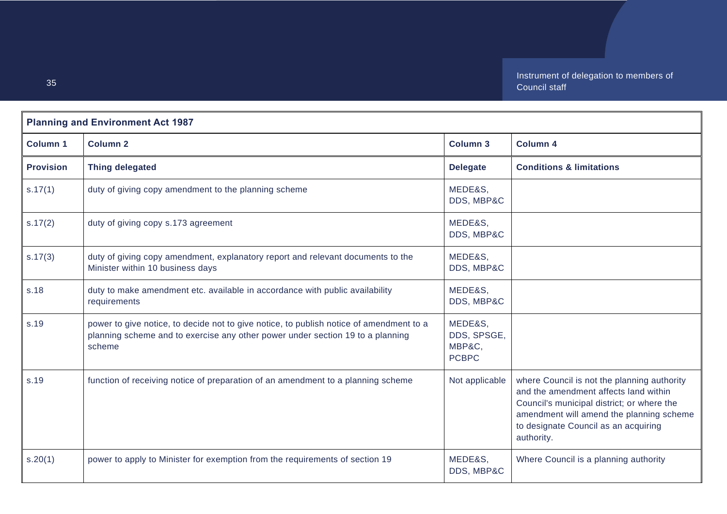| <b>Planning and Environment Act 1987</b> |                                                                                                                                                                                     |                                                  |                                                                                                                                                                                                                                      |
|------------------------------------------|-------------------------------------------------------------------------------------------------------------------------------------------------------------------------------------|--------------------------------------------------|--------------------------------------------------------------------------------------------------------------------------------------------------------------------------------------------------------------------------------------|
| <b>Column 1</b>                          | <b>Column 2</b>                                                                                                                                                                     | <b>Column 3</b>                                  | <b>Column 4</b>                                                                                                                                                                                                                      |
| <b>Provision</b>                         | <b>Thing delegated</b>                                                                                                                                                              | <b>Delegate</b>                                  | <b>Conditions &amp; limitations</b>                                                                                                                                                                                                  |
| s.17(1)                                  | duty of giving copy amendment to the planning scheme                                                                                                                                | MEDE&S,<br>DDS, MBP&C                            |                                                                                                                                                                                                                                      |
| s.17(2)                                  | duty of giving copy s.173 agreement                                                                                                                                                 | MEDE&S,<br>DDS, MBP&C                            |                                                                                                                                                                                                                                      |
| s.17(3)                                  | duty of giving copy amendment, explanatory report and relevant documents to the<br>Minister within 10 business days                                                                 | MEDE&S,<br>DDS, MBP&C                            |                                                                                                                                                                                                                                      |
| s.18                                     | duty to make amendment etc. available in accordance with public availability<br>requirements                                                                                        | MEDE&S,<br>DDS, MBP&C                            |                                                                                                                                                                                                                                      |
| s.19                                     | power to give notice, to decide not to give notice, to publish notice of amendment to a<br>planning scheme and to exercise any other power under section 19 to a planning<br>scheme | MEDE&S,<br>DDS, SPSGE,<br>MBP&C,<br><b>PCBPC</b> |                                                                                                                                                                                                                                      |
| s.19                                     | function of receiving notice of preparation of an amendment to a planning scheme                                                                                                    | Not applicable                                   | where Council is not the planning authority<br>and the amendment affects land within<br>Council's municipal district; or where the<br>amendment will amend the planning scheme<br>to designate Council as an acquiring<br>authority. |
| s.20(1)                                  | power to apply to Minister for exemption from the requirements of section 19                                                                                                        | MEDE&S,<br>DDS, MBP&C                            | Where Council is a planning authority                                                                                                                                                                                                |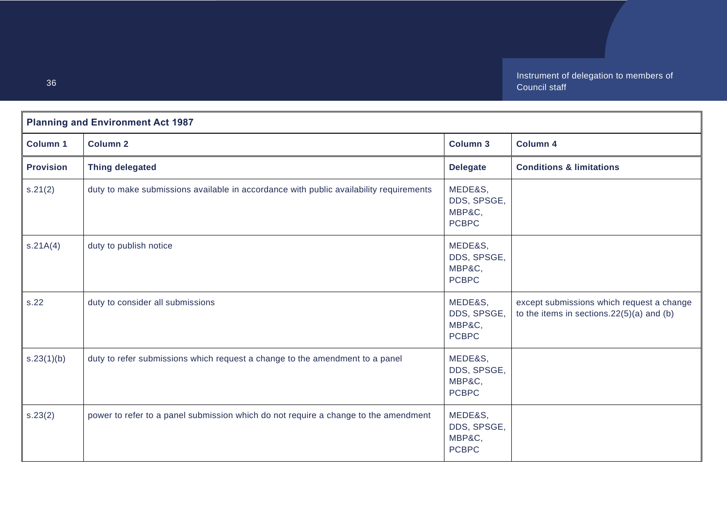| <b>Planning and Environment Act 1987</b> |                                                                                        |                                                  |                                                                                           |
|------------------------------------------|----------------------------------------------------------------------------------------|--------------------------------------------------|-------------------------------------------------------------------------------------------|
| <b>Column 1</b>                          | <b>Column 2</b>                                                                        | <b>Column 3</b>                                  | <b>Column 4</b>                                                                           |
| <b>Provision</b>                         | <b>Thing delegated</b>                                                                 | <b>Delegate</b>                                  | <b>Conditions &amp; limitations</b>                                                       |
| s.21(2)                                  | duty to make submissions available in accordance with public availability requirements | MEDE&S,<br>DDS, SPSGE,<br>MBP&C,<br><b>PCBPC</b> |                                                                                           |
| S.21A(4)                                 | duty to publish notice                                                                 | MEDE&S,<br>DDS, SPSGE,<br>MBP&C,<br><b>PCBPC</b> |                                                                                           |
| s.22                                     | duty to consider all submissions                                                       | MEDE&S,<br>DDS, SPSGE,<br>MBP&C,<br><b>PCBPC</b> | except submissions which request a change<br>to the items in sections. $22(5)(a)$ and (b) |
| s.23(1)(b)                               | duty to refer submissions which request a change to the amendment to a panel           | MEDE&S,<br>DDS, SPSGE,<br>MBP&C,<br><b>PCBPC</b> |                                                                                           |
| s.23(2)                                  | power to refer to a panel submission which do not require a change to the amendment    | MEDE&S,<br>DDS, SPSGE,<br>MBP&C,<br><b>PCBPC</b> |                                                                                           |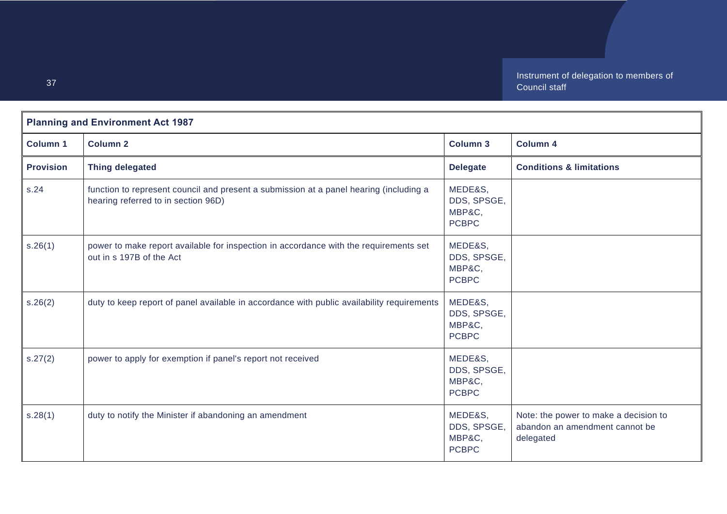| <b>Planning and Environment Act 1987</b> |                                                                                                                               |                                                  |                                                                                      |
|------------------------------------------|-------------------------------------------------------------------------------------------------------------------------------|--------------------------------------------------|--------------------------------------------------------------------------------------|
| <b>Column 1</b>                          | <b>Column 2</b>                                                                                                               | Column 3                                         | <b>Column 4</b>                                                                      |
| <b>Provision</b>                         | Thing delegated                                                                                                               | <b>Delegate</b>                                  | <b>Conditions &amp; limitations</b>                                                  |
| s.24                                     | function to represent council and present a submission at a panel hearing (including a<br>hearing referred to in section 96D) | MEDE&S,<br>DDS, SPSGE,<br>MBP&C,<br><b>PCBPC</b> |                                                                                      |
| s.26(1)                                  | power to make report available for inspection in accordance with the requirements set<br>out in s 197B of the Act             | MEDE&S,<br>DDS, SPSGE,<br>MBP&C,<br><b>PCBPC</b> |                                                                                      |
| s.26(2)                                  | duty to keep report of panel available in accordance with public availability requirements                                    | MEDE&S,<br>DDS, SPSGE,<br>MBP&C,<br><b>PCBPC</b> |                                                                                      |
| s.27(2)                                  | power to apply for exemption if panel's report not received                                                                   | MEDE&S,<br>DDS, SPSGE,<br>MBP&C,<br><b>PCBPC</b> |                                                                                      |
| s.28(1)                                  | duty to notify the Minister if abandoning an amendment                                                                        | MEDE&S,<br>DDS, SPSGE,<br>MBP&C,<br><b>PCBPC</b> | Note: the power to make a decision to<br>abandon an amendment cannot be<br>delegated |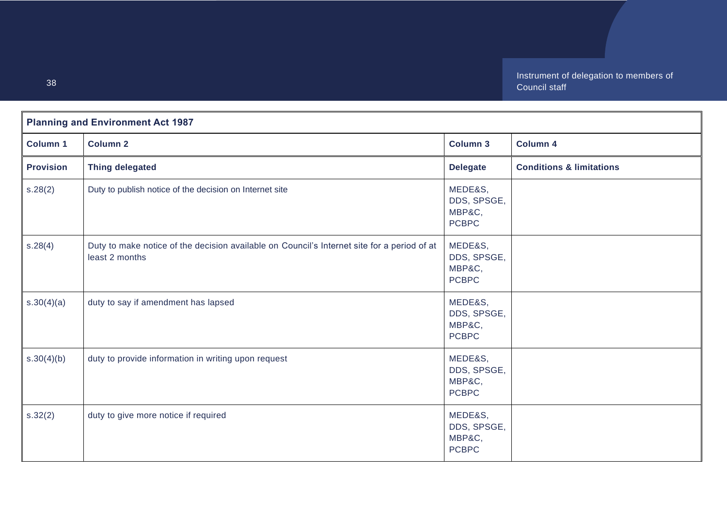| <b>Planning and Environment Act 1987</b> |                                                                                                               |                                                  |                                     |
|------------------------------------------|---------------------------------------------------------------------------------------------------------------|--------------------------------------------------|-------------------------------------|
| <b>Column 1</b>                          | <b>Column 2</b>                                                                                               | <b>Column 3</b>                                  | <b>Column 4</b>                     |
| <b>Provision</b>                         | <b>Thing delegated</b>                                                                                        | <b>Delegate</b>                                  | <b>Conditions &amp; limitations</b> |
| s.28(2)                                  | Duty to publish notice of the decision on Internet site                                                       | MEDE&S,<br>DDS, SPSGE,<br>MBP&C,<br><b>PCBPC</b> |                                     |
| s.28(4)                                  | Duty to make notice of the decision available on Council's Internet site for a period of at<br>least 2 months | MEDE&S,<br>DDS, SPSGE,<br>MBP&C,<br><b>PCBPC</b> |                                     |
| s.30(4)(a)                               | duty to say if amendment has lapsed                                                                           | MEDE&S,<br>DDS, SPSGE,<br>MBP&C,<br><b>PCBPC</b> |                                     |
| s.30(4)(b)                               | duty to provide information in writing upon request                                                           | MEDE&S,<br>DDS, SPSGE,<br>MBP&C,<br><b>PCBPC</b> |                                     |
| s.32(2)                                  | duty to give more notice if required                                                                          | MEDE&S,<br>DDS, SPSGE,<br>MBP&C,<br><b>PCBPC</b> |                                     |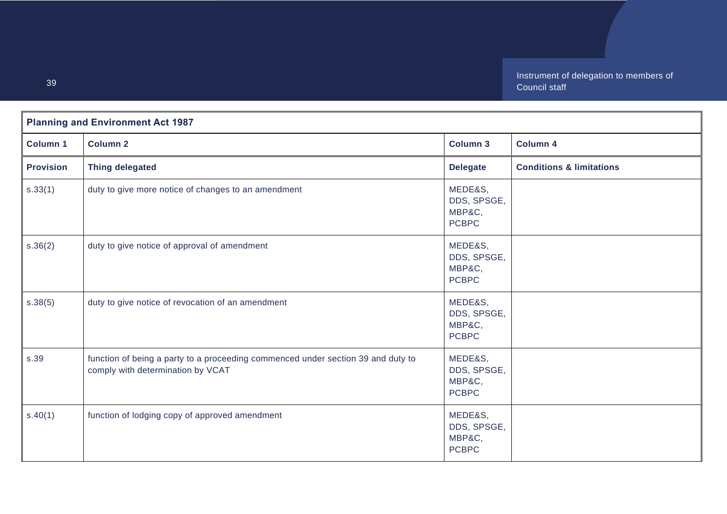|                  | <b>Planning and Environment Act 1987</b>                                                                              |                                                  |                                     |  |
|------------------|-----------------------------------------------------------------------------------------------------------------------|--------------------------------------------------|-------------------------------------|--|
| <b>Column 1</b>  | <b>Column 2</b>                                                                                                       | <b>Column 3</b>                                  | <b>Column 4</b>                     |  |
| <b>Provision</b> | <b>Thing delegated</b>                                                                                                | <b>Delegate</b>                                  | <b>Conditions &amp; limitations</b> |  |
| s.33(1)          | duty to give more notice of changes to an amendment                                                                   | MEDE&S,<br>DDS, SPSGE,<br>MBP&C,<br><b>PCBPC</b> |                                     |  |
| s.36(2)          | duty to give notice of approval of amendment                                                                          | MEDE&S,<br>DDS, SPSGE,<br>MBP&C,<br><b>PCBPC</b> |                                     |  |
| s.38(5)          | duty to give notice of revocation of an amendment                                                                     | MEDE&S,<br>DDS, SPSGE,<br>MBP&C,<br><b>PCBPC</b> |                                     |  |
| s.39             | function of being a party to a proceeding commenced under section 39 and duty to<br>comply with determination by VCAT | MEDE&S,<br>DDS, SPSGE,<br>MBP&C,<br><b>PCBPC</b> |                                     |  |
| s.40(1)          | function of lodging copy of approved amendment                                                                        | MEDE&S,<br>DDS, SPSGE,<br>MBP&C,<br><b>PCBPC</b> |                                     |  |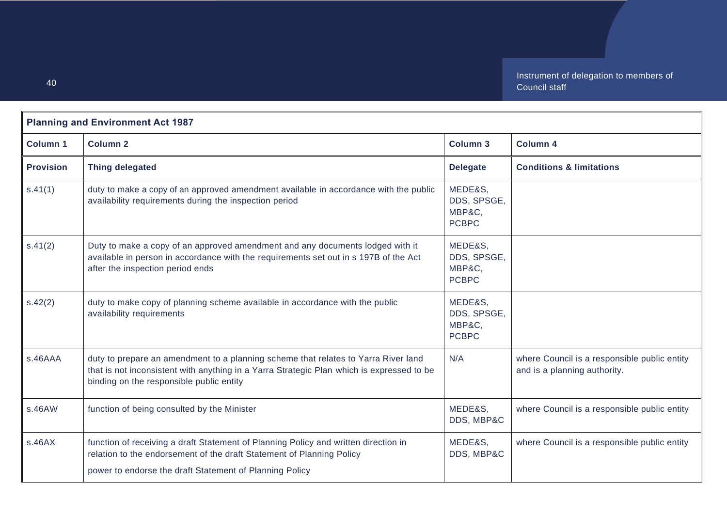| <b>Planning and Environment Act 1987</b> |                                                                                                                                                                                                                             |                                                  |                                                                              |
|------------------------------------------|-----------------------------------------------------------------------------------------------------------------------------------------------------------------------------------------------------------------------------|--------------------------------------------------|------------------------------------------------------------------------------|
| <b>Column 1</b>                          | <b>Column 2</b>                                                                                                                                                                                                             | <b>Column 3</b>                                  | <b>Column 4</b>                                                              |
| <b>Provision</b>                         | <b>Thing delegated</b>                                                                                                                                                                                                      | <b>Delegate</b>                                  | <b>Conditions &amp; limitations</b>                                          |
| s.41(1)                                  | duty to make a copy of an approved amendment available in accordance with the public<br>availability requirements during the inspection period                                                                              | MEDE&S,<br>DDS, SPSGE,<br>MBP&C,<br><b>PCBPC</b> |                                                                              |
| s.41(2)                                  | Duty to make a copy of an approved amendment and any documents lodged with it<br>available in person in accordance with the requirements set out in s 197B of the Act<br>after the inspection period ends                   | MEDE&S,<br>DDS, SPSGE,<br>MBP&C,<br><b>PCBPC</b> |                                                                              |
| s.42(2)                                  | duty to make copy of planning scheme available in accordance with the public<br>availability requirements                                                                                                                   | MEDE&S,<br>DDS, SPSGE,<br>MBP&C,<br><b>PCBPC</b> |                                                                              |
| s.46AAA                                  | duty to prepare an amendment to a planning scheme that relates to Yarra River land<br>that is not inconsistent with anything in a Yarra Strategic Plan which is expressed to be<br>binding on the responsible public entity | N/A                                              | where Council is a responsible public entity<br>and is a planning authority. |
| s.46AW                                   | function of being consulted by the Minister                                                                                                                                                                                 | MEDE&S,<br>DDS, MBP&C                            | where Council is a responsible public entity                                 |
| s.46AX                                   | function of receiving a draft Statement of Planning Policy and written direction in<br>relation to the endorsement of the draft Statement of Planning Policy<br>power to endorse the draft Statement of Planning Policy     | MEDE&S,<br>DDS, MBP&C                            | where Council is a responsible public entity                                 |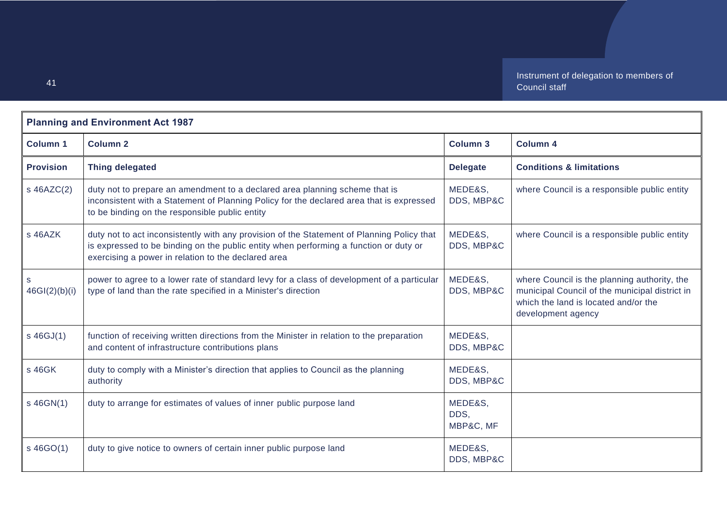| <b>Planning and Environment Act 1987</b> |                                                                                                                                                                                                                                            |                              |                                                                                                                                                              |
|------------------------------------------|--------------------------------------------------------------------------------------------------------------------------------------------------------------------------------------------------------------------------------------------|------------------------------|--------------------------------------------------------------------------------------------------------------------------------------------------------------|
| <b>Column 1</b>                          | <b>Column 2</b>                                                                                                                                                                                                                            | <b>Column 3</b>              | Column 4                                                                                                                                                     |
| <b>Provision</b>                         | <b>Thing delegated</b>                                                                                                                                                                                                                     | <b>Delegate</b>              | <b>Conditions &amp; limitations</b>                                                                                                                          |
| s 46AZC(2)                               | duty not to prepare an amendment to a declared area planning scheme that is<br>inconsistent with a Statement of Planning Policy for the declared area that is expressed<br>to be binding on the responsible public entity                  | MEDE&S,<br>DDS, MBP&C        | where Council is a responsible public entity                                                                                                                 |
| s 46AZK                                  | duty not to act inconsistently with any provision of the Statement of Planning Policy that<br>is expressed to be binding on the public entity when performing a function or duty or<br>exercising a power in relation to the declared area | MEDE&S,<br>DDS, MBP&C        | where Council is a responsible public entity                                                                                                                 |
| 46GI(2)(b)(i)                            | power to agree to a lower rate of standard levy for a class of development of a particular<br>type of land than the rate specified in a Minister's direction                                                                               | MEDE&S,<br>DDS, MBP&C        | where Council is the planning authority, the<br>municipal Council of the municipal district in<br>which the land is located and/or the<br>development agency |
| s 46GJ(1)                                | function of receiving written directions from the Minister in relation to the preparation<br>and content of infrastructure contributions plans                                                                                             | MEDE&S,<br>DDS, MBP&C        |                                                                                                                                                              |
| s 46GK                                   | duty to comply with a Minister's direction that applies to Council as the planning<br>authority                                                                                                                                            | MEDE&S,<br>DDS, MBP&C        |                                                                                                                                                              |
| s 46GN(1)                                | duty to arrange for estimates of values of inner public purpose land                                                                                                                                                                       | MEDE&S,<br>DDS.<br>MBP&C, MF |                                                                                                                                                              |
| s 46GO(1)                                | duty to give notice to owners of certain inner public purpose land                                                                                                                                                                         | MEDE&S,<br>DDS, MBP&C        |                                                                                                                                                              |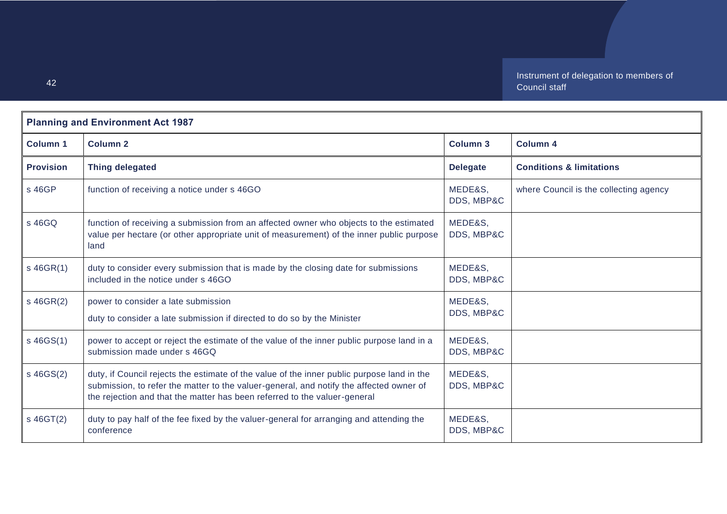| <b>Planning and Environment Act 1987</b> |                                                                                                                                                                                                                                                                    |                       |                                        |
|------------------------------------------|--------------------------------------------------------------------------------------------------------------------------------------------------------------------------------------------------------------------------------------------------------------------|-----------------------|----------------------------------------|
| Column <sub>1</sub>                      | Column <sub>2</sub>                                                                                                                                                                                                                                                | Column <sub>3</sub>   | <b>Column 4</b>                        |
| <b>Provision</b>                         | <b>Thing delegated</b>                                                                                                                                                                                                                                             | <b>Delegate</b>       | <b>Conditions &amp; limitations</b>    |
| s 46GP                                   | function of receiving a notice under s 46GO                                                                                                                                                                                                                        | MEDE&S.<br>DDS, MBP&C | where Council is the collecting agency |
| s 46GQ                                   | function of receiving a submission from an affected owner who objects to the estimated<br>value per hectare (or other appropriate unit of measurement) of the inner public purpose<br>land                                                                         | MEDE&S,<br>DDS, MBP&C |                                        |
| $s$ 46GR(1)                              | duty to consider every submission that is made by the closing date for submissions<br>included in the notice under s 46GO                                                                                                                                          | MEDE&S,<br>DDS, MBP&C |                                        |
| $s$ 46GR(2)                              | power to consider a late submission<br>duty to consider a late submission if directed to do so by the Minister                                                                                                                                                     | MEDE&S,<br>DDS, MBP&C |                                        |
| s 46GS(1)                                | power to accept or reject the estimate of the value of the inner public purpose land in a<br>submission made under s 46GQ                                                                                                                                          | MEDE&S,<br>DDS, MBP&C |                                        |
| $s$ 46GS $(2)$                           | duty, if Council rejects the estimate of the value of the inner public purpose land in the<br>submission, to refer the matter to the valuer-general, and notify the affected owner of<br>the rejection and that the matter has been referred to the valuer-general | MEDE&S,<br>DDS, MBP&C |                                        |
| $s$ 46GT $(2)$                           | duty to pay half of the fee fixed by the valuer-general for arranging and attending the<br>conference                                                                                                                                                              | MEDE&S,<br>DDS, MBP&C |                                        |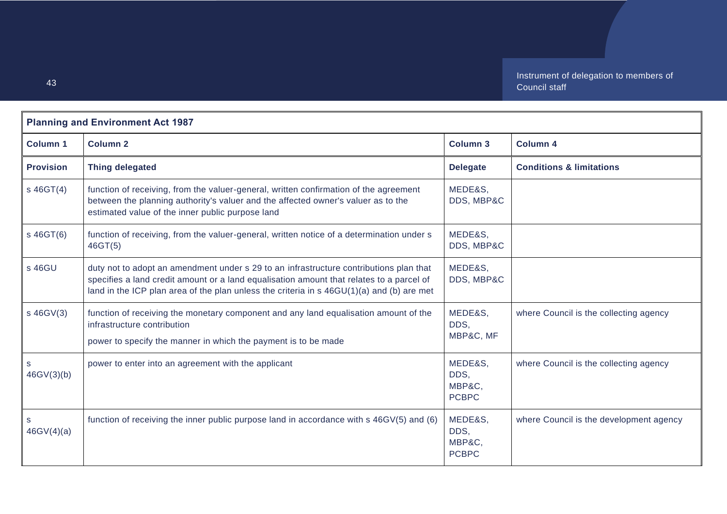| <b>Planning and Environment Act 1987</b> |                                                                                                                                                                                                                                                                                 |                                           |                                         |
|------------------------------------------|---------------------------------------------------------------------------------------------------------------------------------------------------------------------------------------------------------------------------------------------------------------------------------|-------------------------------------------|-----------------------------------------|
| <b>Column 1</b>                          | <b>Column 2</b>                                                                                                                                                                                                                                                                 | <b>Column 3</b>                           | <b>Column 4</b>                         |
| <b>Provision</b>                         | <b>Thing delegated</b>                                                                                                                                                                                                                                                          | <b>Delegate</b>                           | <b>Conditions &amp; limitations</b>     |
| $s$ 46GT(4)                              | function of receiving, from the valuer-general, written confirmation of the agreement<br>between the planning authority's valuer and the affected owner's valuer as to the<br>estimated value of the inner public purpose land                                                  | MEDE&S,<br>DDS, MBP&C                     |                                         |
| s 46GT(6)                                | function of receiving, from the valuer-general, written notice of a determination under s<br>46GT(5)                                                                                                                                                                            | MEDE&S,<br>DDS, MBP&C                     |                                         |
| s 46GU                                   | duty not to adopt an amendment under s 29 to an infrastructure contributions plan that<br>specifies a land credit amount or a land equalisation amount that relates to a parcel of<br>land in the ICP plan area of the plan unless the criteria in s 46GU(1)(a) and (b) are met | MEDE&S,<br>DDS, MBP&C                     |                                         |
| s 46GV(3)                                | function of receiving the monetary component and any land equalisation amount of the<br>infrastructure contribution<br>power to specify the manner in which the payment is to be made                                                                                           | MEDE&S,<br>DDS,<br>MBP&C, MF              | where Council is the collecting agency  |
| S<br>46GV(3)(b)                          | power to enter into an agreement with the applicant                                                                                                                                                                                                                             | MEDE&S,<br>DDS,<br>MBP&C,<br><b>PCBPC</b> | where Council is the collecting agency  |
| S<br>46GV(4)(a)                          | function of receiving the inner public purpose land in accordance with s 46GV(5) and (6)                                                                                                                                                                                        | MEDE&S,<br>DDS,<br>MBP&C,<br><b>PCBPC</b> | where Council is the development agency |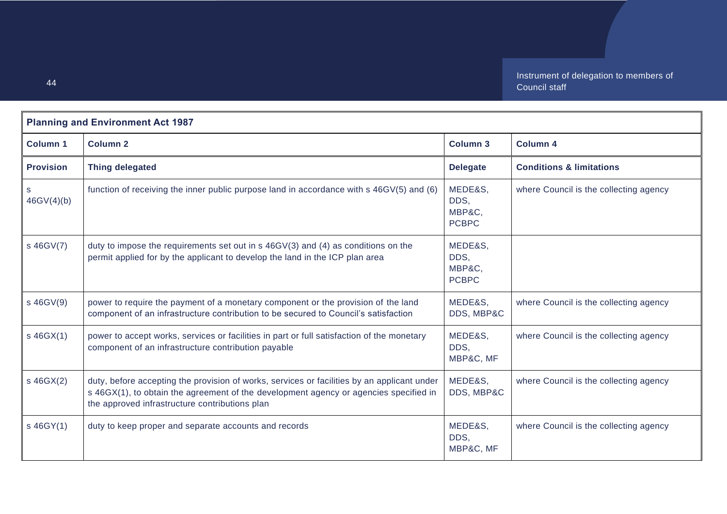| <b>Planning and Environment Act 1987</b> |                                                                                                                                                                                                                                        |                                           |                                        |
|------------------------------------------|----------------------------------------------------------------------------------------------------------------------------------------------------------------------------------------------------------------------------------------|-------------------------------------------|----------------------------------------|
| <b>Column 1</b>                          | <b>Column 2</b>                                                                                                                                                                                                                        | <b>Column 3</b>                           | <b>Column 4</b>                        |
| <b>Provision</b>                         | <b>Thing delegated</b>                                                                                                                                                                                                                 | <b>Delegate</b>                           | <b>Conditions &amp; limitations</b>    |
| S<br>46GV(4)(b)                          | function of receiving the inner public purpose land in accordance with s 46GV(5) and (6)                                                                                                                                               | MEDE&S,<br>DDS,<br>MBP&C.<br><b>PCBPC</b> | where Council is the collecting agency |
| s 46GV(7)                                | duty to impose the requirements set out in $s$ 46GV(3) and (4) as conditions on the<br>permit applied for by the applicant to develop the land in the ICP plan area                                                                    | MEDE&S,<br>DDS,<br>MBP&C,<br><b>PCBPC</b> |                                        |
| s 46GV(9)                                | power to require the payment of a monetary component or the provision of the land<br>component of an infrastructure contribution to be secured to Council's satisfaction                                                               | MEDE&S,<br>DDS, MBP&C                     | where Council is the collecting agency |
| $s$ 46GX(1)                              | power to accept works, services or facilities in part or full satisfaction of the monetary<br>component of an infrastructure contribution payable                                                                                      | MEDE&S,<br>DDS,<br>MBP&C, MF              | where Council is the collecting agency |
| s 46GX(2)                                | duty, before accepting the provision of works, services or facilities by an applicant under<br>s 46GX(1), to obtain the agreement of the development agency or agencies specified in<br>the approved infrastructure contributions plan | MEDE&S,<br>DDS, MBP&C                     | where Council is the collecting agency |
| s 46GY(1)                                | duty to keep proper and separate accounts and records                                                                                                                                                                                  | MEDE&S,<br>DDS.<br>MBP&C, MF              | where Council is the collecting agency |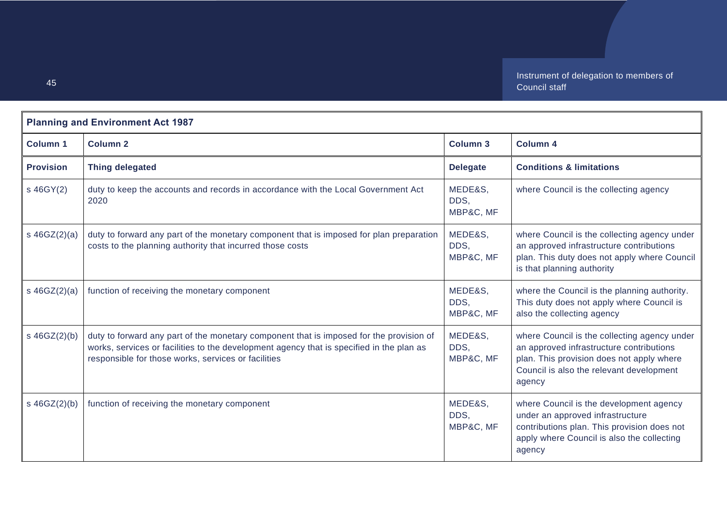|                  | <b>Planning and Environment Act 1987</b>                                                                                                                                                                                                   |                              |                                                                                                                                                                                             |  |
|------------------|--------------------------------------------------------------------------------------------------------------------------------------------------------------------------------------------------------------------------------------------|------------------------------|---------------------------------------------------------------------------------------------------------------------------------------------------------------------------------------------|--|
| <b>Column 1</b>  | <b>Column 2</b>                                                                                                                                                                                                                            | Column 3                     | <b>Column 4</b>                                                                                                                                                                             |  |
| <b>Provision</b> | <b>Thing delegated</b>                                                                                                                                                                                                                     | <b>Delegate</b>              | <b>Conditions &amp; limitations</b>                                                                                                                                                         |  |
| s 46GY(2)        | duty to keep the accounts and records in accordance with the Local Government Act<br>2020                                                                                                                                                  | MEDE&S,<br>DDS,<br>MBP&C, MF | where Council is the collecting agency                                                                                                                                                      |  |
| s $46GZ(2)(a)$   | duty to forward any part of the monetary component that is imposed for plan preparation<br>costs to the planning authority that incurred those costs                                                                                       | MEDE&S,<br>DDS,<br>MBP&C, MF | where Council is the collecting agency under<br>an approved infrastructure contributions<br>plan. This duty does not apply where Council<br>is that planning authority                      |  |
| s $46GZ(2)(a)$   | function of receiving the monetary component                                                                                                                                                                                               | MEDE&S,<br>DDS.<br>MBP&C, MF | where the Council is the planning authority.<br>This duty does not apply where Council is<br>also the collecting agency                                                                     |  |
| $s \ 46GZ(2)(b)$ | duty to forward any part of the monetary component that is imposed for the provision of<br>works, services or facilities to the development agency that is specified in the plan as<br>responsible for those works, services or facilities | MEDE&S,<br>DDS.<br>MBP&C, MF | where Council is the collecting agency under<br>an approved infrastructure contributions<br>plan. This provision does not apply where<br>Council is also the relevant development<br>agency |  |
| s $46GZ(2)(b)$   | function of receiving the monetary component                                                                                                                                                                                               | MEDE&S,<br>DDS,<br>MBP&C, MF | where Council is the development agency<br>under an approved infrastructure<br>contributions plan. This provision does not<br>apply where Council is also the collecting<br>agency          |  |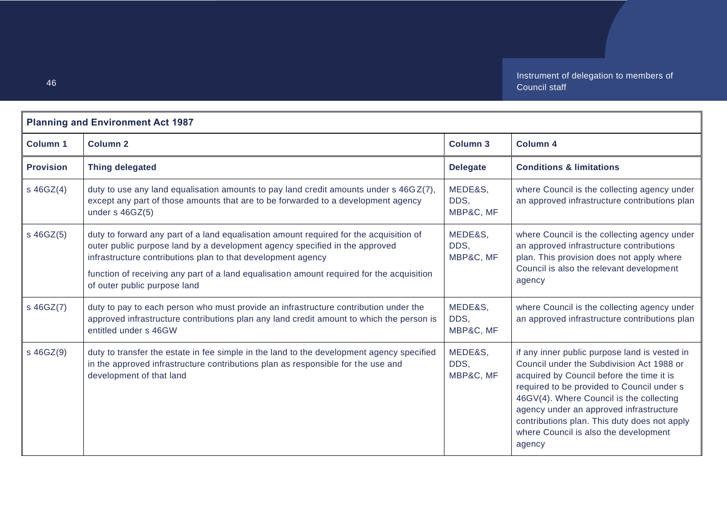| <b>Planning and Environment Act 1987</b> |                                                                                                                                                                                                                                                                                                                                                                    |                              |                                                                                                                                                                                                                                                                                                                                                                                 |
|------------------------------------------|--------------------------------------------------------------------------------------------------------------------------------------------------------------------------------------------------------------------------------------------------------------------------------------------------------------------------------------------------------------------|------------------------------|---------------------------------------------------------------------------------------------------------------------------------------------------------------------------------------------------------------------------------------------------------------------------------------------------------------------------------------------------------------------------------|
| <b>Column 1</b>                          | <b>Column 2</b>                                                                                                                                                                                                                                                                                                                                                    | <b>Column 3</b>              | <b>Column 4</b>                                                                                                                                                                                                                                                                                                                                                                 |
| <b>Provision</b>                         | <b>Thing delegated</b>                                                                                                                                                                                                                                                                                                                                             | <b>Delegate</b>              | <b>Conditions &amp; limitations</b>                                                                                                                                                                                                                                                                                                                                             |
| s 46GZ(4)                                | duty to use any land equalisation amounts to pay land credit amounts under $s$ 46GZ(7),<br>except any part of those amounts that are to be forwarded to a development agency<br>under $s$ 46GZ(5)                                                                                                                                                                  | MEDE&S,<br>DDS.<br>MBP&C, MF | where Council is the collecting agency under<br>an approved infrastructure contributions plan                                                                                                                                                                                                                                                                                   |
| s 46GZ(5)                                | duty to forward any part of a land equalisation amount required for the acquisition of<br>outer public purpose land by a development agency specified in the approved<br>infrastructure contributions plan to that development agency<br>function of receiving any part of a land equalisation amount required for the acquisition<br>of outer public purpose land | MEDE&S,<br>DDS,<br>MBP&C, MF | where Council is the collecting agency under<br>an approved infrastructure contributions<br>plan. This provision does not apply where<br>Council is also the relevant development<br>agency                                                                                                                                                                                     |
| s 46GZ(7)                                | duty to pay to each person who must provide an infrastructure contribution under the<br>approved infrastructure contributions plan any land credit amount to which the person is<br>entitled under s 46GW                                                                                                                                                          | MEDE&S,<br>DDS,<br>MBP&C, MF | where Council is the collecting agency under<br>an approved infrastructure contributions plan                                                                                                                                                                                                                                                                                   |
| s 46GZ(9)                                | duty to transfer the estate in fee simple in the land to the development agency specified<br>in the approved infrastructure contributions plan as responsible for the use and<br>development of that land                                                                                                                                                          | MEDE&S,<br>DDS,<br>MBP&C, MF | if any inner public purpose land is vested in<br>Council under the Subdivision Act 1988 or<br>acquired by Council before the time it is<br>required to be provided to Council under s<br>46GV(4). Where Council is the collecting<br>agency under an approved infrastructure<br>contributions plan. This duty does not apply<br>where Council is also the development<br>agency |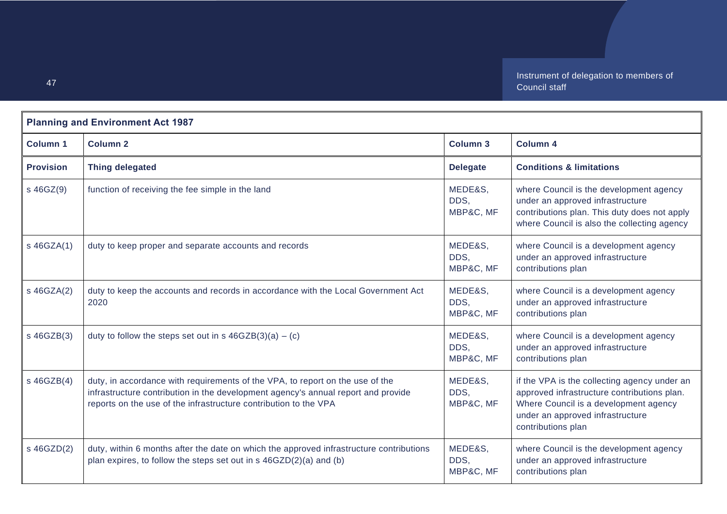| <b>Planning and Environment Act 1987</b> |                                                                                                                                                                                                                                        |                              |                                                                                                                                                                                                |
|------------------------------------------|----------------------------------------------------------------------------------------------------------------------------------------------------------------------------------------------------------------------------------------|------------------------------|------------------------------------------------------------------------------------------------------------------------------------------------------------------------------------------------|
| <b>Column 1</b>                          | <b>Column 2</b>                                                                                                                                                                                                                        | <b>Column 3</b>              | <b>Column 4</b>                                                                                                                                                                                |
| <b>Provision</b>                         | <b>Thing delegated</b>                                                                                                                                                                                                                 | <b>Delegate</b>              | <b>Conditions &amp; limitations</b>                                                                                                                                                            |
| s 46GZ(9)                                | function of receiving the fee simple in the land                                                                                                                                                                                       | MEDE&S,<br>DDS,<br>MBP&C, MF | where Council is the development agency<br>under an approved infrastructure<br>contributions plan. This duty does not apply<br>where Council is also the collecting agency                     |
| s 46GZA(1)                               | duty to keep proper and separate accounts and records                                                                                                                                                                                  | MEDE&S,<br>DDS.<br>MBP&C, MF | where Council is a development agency<br>under an approved infrastructure<br>contributions plan                                                                                                |
| s 46GZA(2)                               | duty to keep the accounts and records in accordance with the Local Government Act<br>2020                                                                                                                                              | MEDE&S,<br>DDS,<br>MBP&C, MF | where Council is a development agency<br>under an approved infrastructure<br>contributions plan                                                                                                |
| s 46GZB(3)                               | duty to follow the steps set out in s $46GZB(3)(a) - (c)$                                                                                                                                                                              | MEDE&S,<br>DDS.<br>MBP&C, MF | where Council is a development agency<br>under an approved infrastructure<br>contributions plan                                                                                                |
| s 46GZB(4)                               | duty, in accordance with requirements of the VPA, to report on the use of the<br>infrastructure contribution in the development agency's annual report and provide<br>reports on the use of the infrastructure contribution to the VPA | MEDE&S,<br>DDS,<br>MBP&C, MF | if the VPA is the collecting agency under an<br>approved infrastructure contributions plan.<br>Where Council is a development agency<br>under an approved infrastructure<br>contributions plan |
| s 46GZD(2)                               | duty, within 6 months after the date on which the approved infrastructure contributions<br>plan expires, to follow the steps set out in s 46GZD(2)(a) and (b)                                                                          | MEDE&S,<br>DDS.<br>MBP&C, MF | where Council is the development agency<br>under an approved infrastructure<br>contributions plan                                                                                              |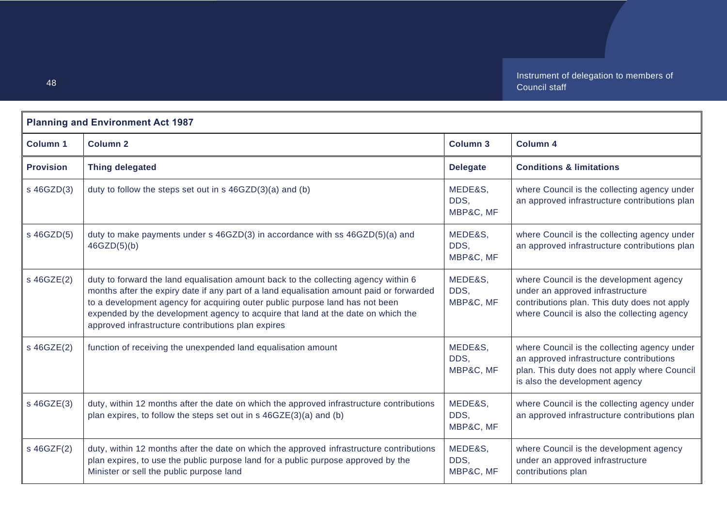| <b>Planning and Environment Act 1987</b> |                                                                                                                                                                                                                                                                                                                                                                                                           |                              |                                                                                                                                                                            |
|------------------------------------------|-----------------------------------------------------------------------------------------------------------------------------------------------------------------------------------------------------------------------------------------------------------------------------------------------------------------------------------------------------------------------------------------------------------|------------------------------|----------------------------------------------------------------------------------------------------------------------------------------------------------------------------|
| <b>Column 1</b>                          | <b>Column 2</b>                                                                                                                                                                                                                                                                                                                                                                                           | <b>Column 3</b>              | <b>Column 4</b>                                                                                                                                                            |
| <b>Provision</b>                         | <b>Thing delegated</b>                                                                                                                                                                                                                                                                                                                                                                                    | <b>Delegate</b>              | <b>Conditions &amp; limitations</b>                                                                                                                                        |
| s 46GZD(3)                               | duty to follow the steps set out in s 46GZD(3)(a) and (b)                                                                                                                                                                                                                                                                                                                                                 | MEDE&S,<br>DDS,<br>MBP&C, MF | where Council is the collecting agency under<br>an approved infrastructure contributions plan                                                                              |
| s 46GZD(5)                               | duty to make payments under s 46GZD(3) in accordance with ss 46GZD(5)(a) and<br>46GZD(5)(b)                                                                                                                                                                                                                                                                                                               | MEDE&S,<br>DDS,<br>MBP&C, MF | where Council is the collecting agency under<br>an approved infrastructure contributions plan                                                                              |
| s 46GZE(2)                               | duty to forward the land equalisation amount back to the collecting agency within 6<br>months after the expiry date if any part of a land equalisation amount paid or forwarded<br>to a development agency for acquiring outer public purpose land has not been<br>expended by the development agency to acquire that land at the date on which the<br>approved infrastructure contributions plan expires | MEDE&S,<br>DDS,<br>MBP&C, MF | where Council is the development agency<br>under an approved infrastructure<br>contributions plan. This duty does not apply<br>where Council is also the collecting agency |
| s 46GZE(2)                               | function of receiving the unexpended land equalisation amount                                                                                                                                                                                                                                                                                                                                             | MEDE&S,<br>DDS.<br>MBP&C, MF | where Council is the collecting agency under<br>an approved infrastructure contributions<br>plan. This duty does not apply where Council<br>is also the development agency |
| s 46GZE(3)                               | duty, within 12 months after the date on which the approved infrastructure contributions<br>plan expires, to follow the steps set out in s 46GZE(3)(a) and (b)                                                                                                                                                                                                                                            | MEDE&S,<br>DDS.<br>MBP&C, MF | where Council is the collecting agency under<br>an approved infrastructure contributions plan                                                                              |
| s 46GZF(2)                               | duty, within 12 months after the date on which the approved infrastructure contributions<br>plan expires, to use the public purpose land for a public purpose approved by the<br>Minister or sell the public purpose land                                                                                                                                                                                 | MEDE&S,<br>DDS.<br>MBP&C, MF | where Council is the development agency<br>under an approved infrastructure<br>contributions plan                                                                          |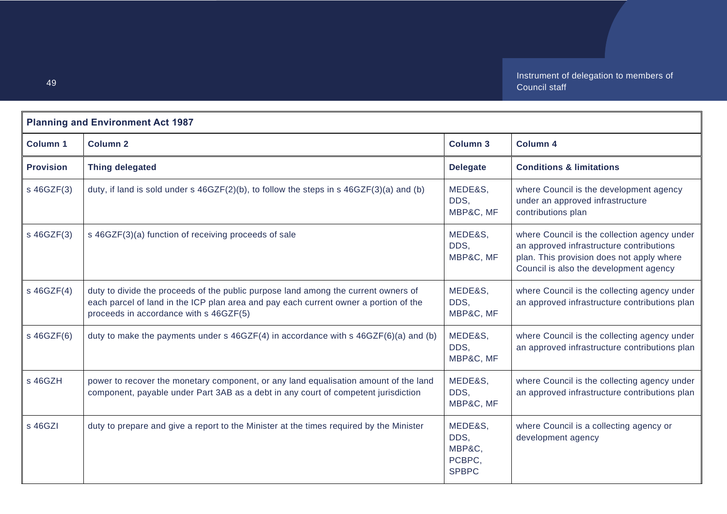| <b>Planning and Environment Act 1987</b> |                                                                                                                                                                                                                      |                                                     |                                                                                                                                                                                 |
|------------------------------------------|----------------------------------------------------------------------------------------------------------------------------------------------------------------------------------------------------------------------|-----------------------------------------------------|---------------------------------------------------------------------------------------------------------------------------------------------------------------------------------|
| <b>Column 1</b>                          | <b>Column 2</b>                                                                                                                                                                                                      | <b>Column 3</b>                                     | <b>Column 4</b>                                                                                                                                                                 |
| <b>Provision</b>                         | <b>Thing delegated</b>                                                                                                                                                                                               | <b>Delegate</b>                                     | <b>Conditions &amp; limitations</b>                                                                                                                                             |
| s 46GZF(3)                               | duty, if land is sold under $s$ 46GZF(2)(b), to follow the steps in $s$ 46GZF(3)(a) and (b)                                                                                                                          | MEDE&S,<br>DDS,<br>MBP&C, MF                        | where Council is the development agency<br>under an approved infrastructure<br>contributions plan                                                                               |
| s 46GZF(3)                               | s 46GZF(3)(a) function of receiving proceeds of sale                                                                                                                                                                 | MEDE&S,<br>DDS.<br>MBP&C, MF                        | where Council is the collection agency under<br>an approved infrastructure contributions<br>plan. This provision does not apply where<br>Council is also the development agency |
| $s$ 46GZF $(4)$                          | duty to divide the proceeds of the public purpose land among the current owners of<br>each parcel of land in the ICP plan area and pay each current owner a portion of the<br>proceeds in accordance with s 46GZF(5) | MEDE&S,<br>DDS.<br>MBP&C, MF                        | where Council is the collecting agency under<br>an approved infrastructure contributions plan                                                                                   |
| $s$ 46GZF $(6)$                          | duty to make the payments under $s$ 46GZF(4) in accordance with $s$ 46GZF(6)(a) and (b)                                                                                                                              | MEDE&S,<br>DDS.<br>MBP&C, MF                        | where Council is the collecting agency under<br>an approved infrastructure contributions plan                                                                                   |
| s 46GZH                                  | power to recover the monetary component, or any land equalisation amount of the land<br>component, payable under Part 3AB as a debt in any court of competent jurisdiction                                           | MEDE&S,<br>DDS.<br>MBP&C, MF                        | where Council is the collecting agency under<br>an approved infrastructure contributions plan                                                                                   |
| s 46GZI                                  | duty to prepare and give a report to the Minister at the times required by the Minister                                                                                                                              | MEDE&S,<br>DDS,<br>MBP&C,<br>PCBPC,<br><b>SPBPC</b> | where Council is a collecting agency or<br>development agency                                                                                                                   |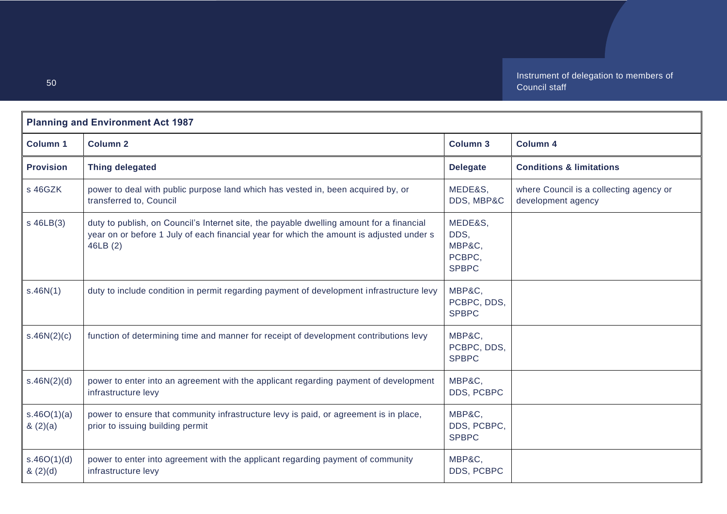| <b>Planning and Environment Act 1987</b> |                                                                                                                                                                                                 |                                                     |                                                               |
|------------------------------------------|-------------------------------------------------------------------------------------------------------------------------------------------------------------------------------------------------|-----------------------------------------------------|---------------------------------------------------------------|
| <b>Column 1</b>                          | <b>Column 2</b>                                                                                                                                                                                 | <b>Column 3</b>                                     | <b>Column 4</b>                                               |
| <b>Provision</b>                         | <b>Thing delegated</b>                                                                                                                                                                          | <b>Delegate</b>                                     | <b>Conditions &amp; limitations</b>                           |
| s 46GZK                                  | power to deal with public purpose land which has vested in, been acquired by, or<br>transferred to, Council                                                                                     | MEDE&S,<br>DDS, MBP&C                               | where Council is a collecting agency or<br>development agency |
| $s$ 46LB $(3)$                           | duty to publish, on Council's Internet site, the payable dwelling amount for a financial<br>year on or before 1 July of each financial year for which the amount is adjusted under s<br>46LB(2) | MEDE&S,<br>DDS,<br>MBP&C,<br>PCBPC,<br><b>SPBPC</b> |                                                               |
| s.46N(1)                                 | duty to include condition in permit regarding payment of development infrastructure levy                                                                                                        | MBP&C,<br>PCBPC, DDS,<br><b>SPBPC</b>               |                                                               |
| s.46N(2)(c)                              | function of determining time and manner for receipt of development contributions levy                                                                                                           | MBP&C,<br>PCBPC, DDS,<br><b>SPBPC</b>               |                                                               |
| s.46N(2)(d)                              | power to enter into an agreement with the applicant regarding payment of development<br>infrastructure levy                                                                                     | MBP&C.<br>DDS, PCBPC                                |                                                               |
| s.46O(1)(a)<br>(2)(a)                    | power to ensure that community infrastructure levy is paid, or agreement is in place,<br>prior to issuing building permit                                                                       | MBP&C,<br>DDS, PCBPC,<br><b>SPBPC</b>               |                                                               |
| s.46O(1)(d)<br>(2)(d)                    | power to enter into agreement with the applicant regarding payment of community<br>infrastructure levy                                                                                          | MBP&C,<br>DDS, PCBPC                                |                                                               |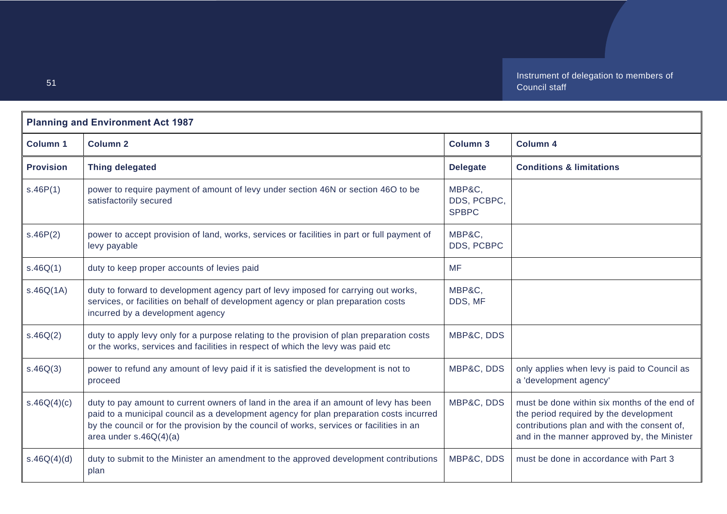| <b>Planning and Environment Act 1987</b> |                                                                                                                                                                                                                                                                                                            |                                       |                                                                                                                                                                                      |
|------------------------------------------|------------------------------------------------------------------------------------------------------------------------------------------------------------------------------------------------------------------------------------------------------------------------------------------------------------|---------------------------------------|--------------------------------------------------------------------------------------------------------------------------------------------------------------------------------------|
| <b>Column 1</b>                          | <b>Column 2</b>                                                                                                                                                                                                                                                                                            | <b>Column 3</b>                       | <b>Column 4</b>                                                                                                                                                                      |
| <b>Provision</b>                         | <b>Thing delegated</b>                                                                                                                                                                                                                                                                                     | <b>Delegate</b>                       | <b>Conditions &amp; limitations</b>                                                                                                                                                  |
| s.46P(1)                                 | power to require payment of amount of levy under section 46N or section 46O to be<br>satisfactorily secured                                                                                                                                                                                                | MBP&C,<br>DDS, PCBPC,<br><b>SPBPC</b> |                                                                                                                                                                                      |
| s.46P(2)                                 | power to accept provision of land, works, services or facilities in part or full payment of<br>levy payable                                                                                                                                                                                                | MBP&C.<br>DDS, PCBPC                  |                                                                                                                                                                                      |
| s.46Q(1)                                 | duty to keep proper accounts of levies paid                                                                                                                                                                                                                                                                | <b>MF</b>                             |                                                                                                                                                                                      |
| s.46Q(1A)                                | duty to forward to development agency part of levy imposed for carrying out works,<br>services, or facilities on behalf of development agency or plan preparation costs<br>incurred by a development agency                                                                                                | MBP&C.<br>DDS, MF                     |                                                                                                                                                                                      |
| s.46Q(2)                                 | duty to apply levy only for a purpose relating to the provision of plan preparation costs<br>or the works, services and facilities in respect of which the levy was paid etc                                                                                                                               | MBP&C, DDS                            |                                                                                                                                                                                      |
| s.46Q(3)                                 | power to refund any amount of levy paid if it is satisfied the development is not to<br>proceed                                                                                                                                                                                                            | MBP&C, DDS                            | only applies when levy is paid to Council as<br>a 'development agency'                                                                                                               |
| s.46Q(4)(c)                              | duty to pay amount to current owners of land in the area if an amount of levy has been<br>paid to a municipal council as a development agency for plan preparation costs incurred<br>by the council or for the provision by the council of works, services or facilities in an<br>area under $s.46Q(4)(a)$ | MBP&C, DDS                            | must be done within six months of the end of<br>the period required by the development<br>contributions plan and with the consent of,<br>and in the manner approved by, the Minister |
| s.46Q(4)(d)                              | duty to submit to the Minister an amendment to the approved development contributions<br>plan                                                                                                                                                                                                              | MBP&C, DDS                            | must be done in accordance with Part 3                                                                                                                                               |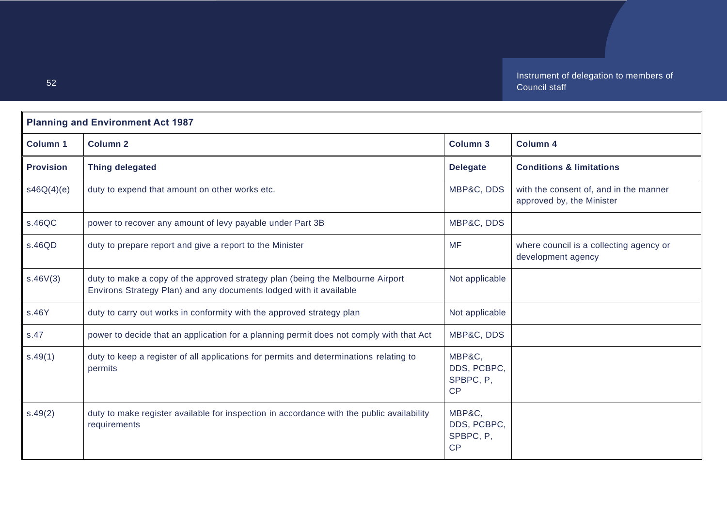| <b>Planning and Environment Act 1987</b> |                                                                                                                                                      |                                          |                                                                     |
|------------------------------------------|------------------------------------------------------------------------------------------------------------------------------------------------------|------------------------------------------|---------------------------------------------------------------------|
| <b>Column 1</b>                          | <b>Column 2</b>                                                                                                                                      | <b>Column 3</b>                          | <b>Column 4</b>                                                     |
| <b>Provision</b>                         | <b>Thing delegated</b>                                                                                                                               | <b>Delegate</b>                          | <b>Conditions &amp; limitations</b>                                 |
| s46Q(4)(e)                               | duty to expend that amount on other works etc.                                                                                                       | MBP&C, DDS                               | with the consent of, and in the manner<br>approved by, the Minister |
| s.46QC                                   | power to recover any amount of levy payable under Part 3B                                                                                            | MBP&C, DDS                               |                                                                     |
| s.46QD                                   | duty to prepare report and give a report to the Minister                                                                                             | <b>MF</b>                                | where council is a collecting agency or<br>development agency       |
| s.46V(3)                                 | duty to make a copy of the approved strategy plan (being the Melbourne Airport<br>Environs Strategy Plan) and any documents lodged with it available | Not applicable                           |                                                                     |
| s.46Y                                    | duty to carry out works in conformity with the approved strategy plan                                                                                | Not applicable                           |                                                                     |
| s.47                                     | power to decide that an application for a planning permit does not comply with that Act                                                              | MBP&C, DDS                               |                                                                     |
| s.49(1)                                  | duty to keep a register of all applications for permits and determinations relating to<br>permits                                                    | MBP&C,<br>DDS, PCBPC,<br>SPBPC, P,<br>CP |                                                                     |
| s.49(2)                                  | duty to make register available for inspection in accordance with the public availability<br>requirements                                            | MBP&C.<br>DDS, PCBPC,<br>SPBPC, P,<br>CP |                                                                     |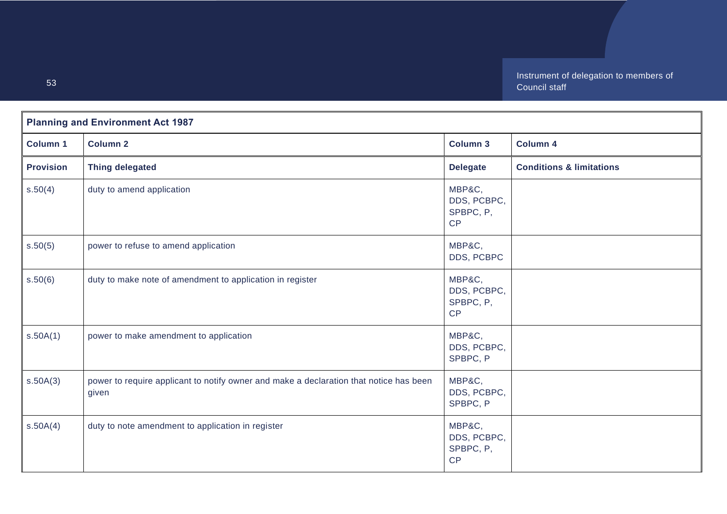| <b>Planning and Environment Act 1987</b> |                                                                                                 |                                          |                                     |
|------------------------------------------|-------------------------------------------------------------------------------------------------|------------------------------------------|-------------------------------------|
| <b>Column 1</b>                          | <b>Column 2</b>                                                                                 | <b>Column 3</b>                          | Column 4                            |
| <b>Provision</b>                         | <b>Thing delegated</b>                                                                          | <b>Delegate</b>                          | <b>Conditions &amp; limitations</b> |
| s.50(4)                                  | duty to amend application                                                                       | MBP&C,<br>DDS, PCBPC,<br>SPBPC, P,<br>CP |                                     |
| s.50(5)                                  | power to refuse to amend application                                                            | MBP&C,<br>DDS, PCBPC                     |                                     |
| s.50(6)                                  | duty to make note of amendment to application in register                                       | MBP&C,<br>DDS, PCBPC,<br>SPBPC, P,<br>CP |                                     |
| s.50A(1)                                 | power to make amendment to application                                                          | MBP&C,<br>DDS, PCBPC,<br>SPBPC, P        |                                     |
| s.50A(3)                                 | power to require applicant to notify owner and make a declaration that notice has been<br>given | MBP&C,<br>DDS, PCBPC,<br>SPBPC, P        |                                     |
| s.50A(4)                                 | duty to note amendment to application in register                                               | MBP&C,<br>DDS, PCBPC,<br>SPBPC, P,<br>CP |                                     |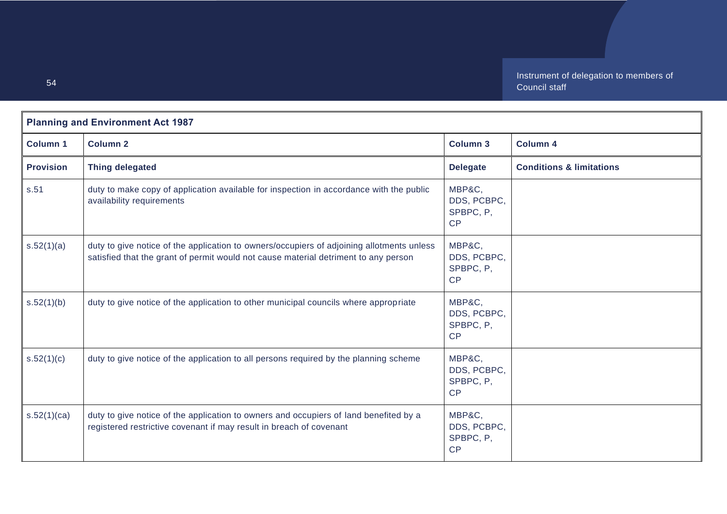| <b>Planning and Environment Act 1987</b> |                                                                                                                                                                                  |                                          |                                     |
|------------------------------------------|----------------------------------------------------------------------------------------------------------------------------------------------------------------------------------|------------------------------------------|-------------------------------------|
| <b>Column 1</b>                          | <b>Column 2</b>                                                                                                                                                                  | <b>Column 3</b>                          | <b>Column 4</b>                     |
| <b>Provision</b>                         | <b>Thing delegated</b>                                                                                                                                                           | <b>Delegate</b>                          | <b>Conditions &amp; limitations</b> |
| s.51                                     | duty to make copy of application available for inspection in accordance with the public<br>availability requirements                                                             | MBP&C,<br>DDS, PCBPC,<br>SPBPC, P,<br>CP |                                     |
| s.52(1)(a)                               | duty to give notice of the application to owners/occupiers of adjoining allotments unless<br>satisfied that the grant of permit would not cause material detriment to any person | MBP&C,<br>DDS, PCBPC,<br>SPBPC, P,<br>CP |                                     |
| s.52(1)(b)                               | duty to give notice of the application to other municipal councils where appropriate                                                                                             | MBP&C,<br>DDS, PCBPC,<br>SPBPC, P,<br>CP |                                     |
| s.52(1)(c)                               | duty to give notice of the application to all persons required by the planning scheme                                                                                            | MBP&C,<br>DDS, PCBPC,<br>SPBPC, P,<br>CP |                                     |
| s.52(1)(ca)                              | duty to give notice of the application to owners and occupiers of land benefited by a<br>registered restrictive covenant if may result in breach of covenant                     | MBP&C,<br>DDS, PCBPC,<br>SPBPC, P,<br>CP |                                     |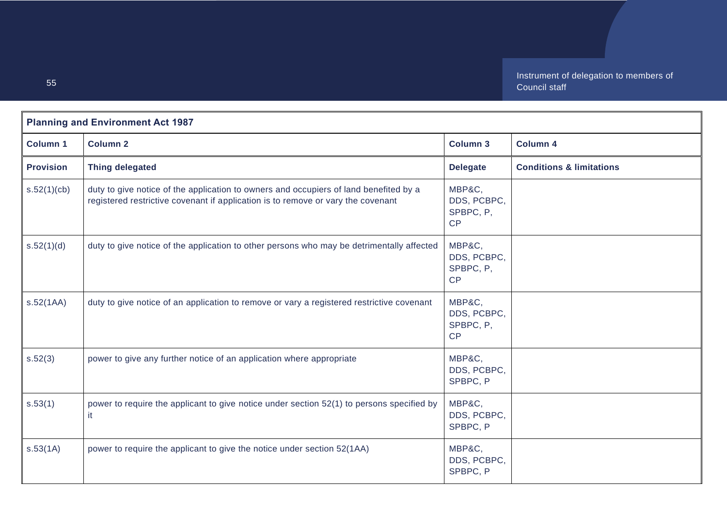| <b>Planning and Environment Act 1987</b> |                                                                                                                                                                           |                                          |                                     |
|------------------------------------------|---------------------------------------------------------------------------------------------------------------------------------------------------------------------------|------------------------------------------|-------------------------------------|
| <b>Column 1</b>                          | <b>Column 2</b>                                                                                                                                                           | Column 3                                 | <b>Column 4</b>                     |
| <b>Provision</b>                         | <b>Thing delegated</b>                                                                                                                                                    | <b>Delegate</b>                          | <b>Conditions &amp; limitations</b> |
| s.52(1)(cb)                              | duty to give notice of the application to owners and occupiers of land benefited by a<br>registered restrictive covenant if application is to remove or vary the covenant | MBP&C,<br>DDS, PCBPC,<br>SPBPC, P,<br>CP |                                     |
| s.52(1)(d)                               | duty to give notice of the application to other persons who may be detrimentally affected                                                                                 | MBP&C,<br>DDS, PCBPC,<br>SPBPC, P,<br>CP |                                     |
| s.52(1AA)                                | duty to give notice of an application to remove or vary a registered restrictive covenant                                                                                 | MBP&C,<br>DDS, PCBPC,<br>SPBPC, P,<br>CP |                                     |
| s.52(3)                                  | power to give any further notice of an application where appropriate                                                                                                      | MBP&C,<br>DDS, PCBPC,<br>SPBPC, P        |                                     |
| s.53(1)                                  | power to require the applicant to give notice under section 52(1) to persons specified by<br>it.                                                                          | MBP&C,<br>DDS, PCBPC,<br>SPBPC, P        |                                     |
| s.53(1A)                                 | power to require the applicant to give the notice under section 52(1AA)                                                                                                   | MBP&C,<br>DDS, PCBPC,<br>SPBPC, P        |                                     |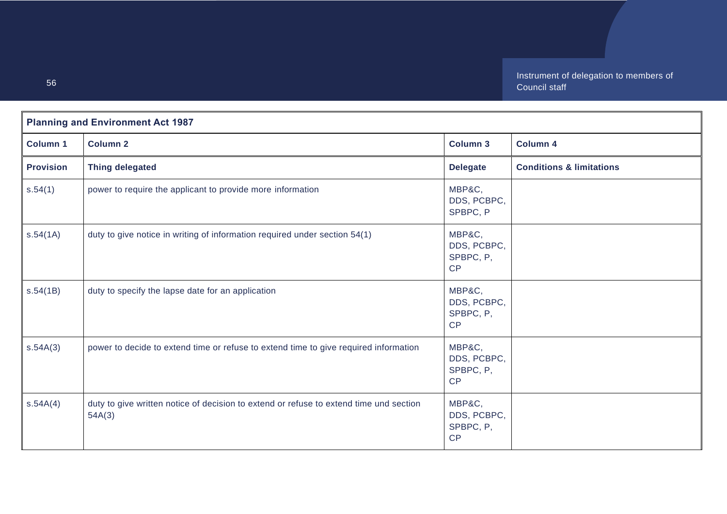| <b>Planning and Environment Act 1987</b> |                                                                                                  |                                          |                                     |
|------------------------------------------|--------------------------------------------------------------------------------------------------|------------------------------------------|-------------------------------------|
| <b>Column 1</b>                          | <b>Column 2</b>                                                                                  | <b>Column 3</b>                          | Column 4                            |
| <b>Provision</b>                         | <b>Thing delegated</b>                                                                           | <b>Delegate</b>                          | <b>Conditions &amp; limitations</b> |
| s.54(1)                                  | power to require the applicant to provide more information                                       | MBP&C,<br>DDS, PCBPC,<br>SPBPC, P        |                                     |
| s.54(1A)                                 | duty to give notice in writing of information required under section 54(1)                       | MBP&C,<br>DDS, PCBPC,<br>SPBPC, P,<br>CP |                                     |
| s.54(1B)                                 | duty to specify the lapse date for an application                                                | MBP&C,<br>DDS, PCBPC,<br>SPBPC, P,<br>CP |                                     |
| s.54A(3)                                 | power to decide to extend time or refuse to extend time to give required information             | MBP&C,<br>DDS, PCBPC,<br>SPBPC, P,<br>CP |                                     |
| s.54A(4)                                 | duty to give written notice of decision to extend or refuse to extend time und section<br>54A(3) | MBP&C,<br>DDS, PCBPC,<br>SPBPC, P,<br>CP |                                     |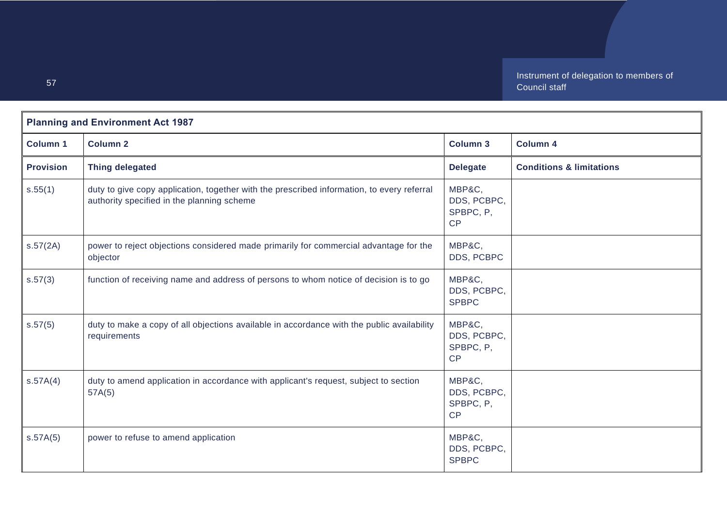| <b>Planning and Environment Act 1987</b> |                                                                                                                                          |                                          |                                     |
|------------------------------------------|------------------------------------------------------------------------------------------------------------------------------------------|------------------------------------------|-------------------------------------|
| <b>Column 1</b>                          | <b>Column 2</b>                                                                                                                          | <b>Column 3</b>                          | <b>Column 4</b>                     |
| <b>Provision</b>                         | <b>Thing delegated</b>                                                                                                                   | <b>Delegate</b>                          | <b>Conditions &amp; limitations</b> |
| s.55(1)                                  | duty to give copy application, together with the prescribed information, to every referral<br>authority specified in the planning scheme | MBP&C,<br>DDS, PCBPC,<br>SPBPC, P,<br>CP |                                     |
| s.57(2A)                                 | power to reject objections considered made primarily for commercial advantage for the<br>objector                                        | MBP&C,<br>DDS, PCBPC                     |                                     |
| s.57(3)                                  | function of receiving name and address of persons to whom notice of decision is to go                                                    | MBP&C,<br>DDS, PCBPC,<br><b>SPBPC</b>    |                                     |
| s.57(5)                                  | duty to make a copy of all objections available in accordance with the public availability<br>requirements                               | MBP&C,<br>DDS, PCBPC,<br>SPBPC, P,<br>CP |                                     |
| S.57A(4)                                 | duty to amend application in accordance with applicant's request, subject to section<br>57A(5)                                           | MBP&C,<br>DDS, PCBPC,<br>SPBPC, P,<br>CP |                                     |
| s.57A(5)                                 | power to refuse to amend application                                                                                                     | MBP&C,<br>DDS, PCBPC,<br><b>SPBPC</b>    |                                     |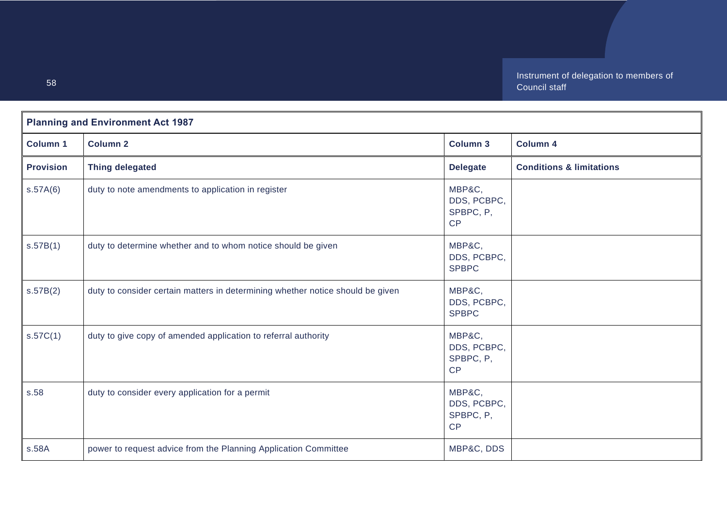| <b>Planning and Environment Act 1987</b> |                                                                                |                                          |                                     |
|------------------------------------------|--------------------------------------------------------------------------------|------------------------------------------|-------------------------------------|
| <b>Column 1</b>                          | <b>Column 2</b>                                                                | <b>Column 3</b>                          | <b>Column 4</b>                     |
| <b>Provision</b>                         | <b>Thing delegated</b>                                                         | <b>Delegate</b>                          | <b>Conditions &amp; limitations</b> |
| S.57A(6)                                 | duty to note amendments to application in register                             | MBP&C,<br>DDS, PCBPC,<br>SPBPC, P,<br>CP |                                     |
| s.57B(1)                                 | duty to determine whether and to whom notice should be given                   | MBP&C,<br>DDS, PCBPC,<br><b>SPBPC</b>    |                                     |
| s.57B(2)                                 | duty to consider certain matters in determining whether notice should be given | MBP&C,<br>DDS, PCBPC,<br><b>SPBPC</b>    |                                     |
| s.57C(1)                                 | duty to give copy of amended application to referral authority                 | MBP&C,<br>DDS, PCBPC,<br>SPBPC, P,<br>CP |                                     |
| s.58                                     | duty to consider every application for a permit                                | MBP&C,<br>DDS, PCBPC,<br>SPBPC, P,<br>CP |                                     |
| s.58A                                    | power to request advice from the Planning Application Committee                | MBP&C, DDS                               |                                     |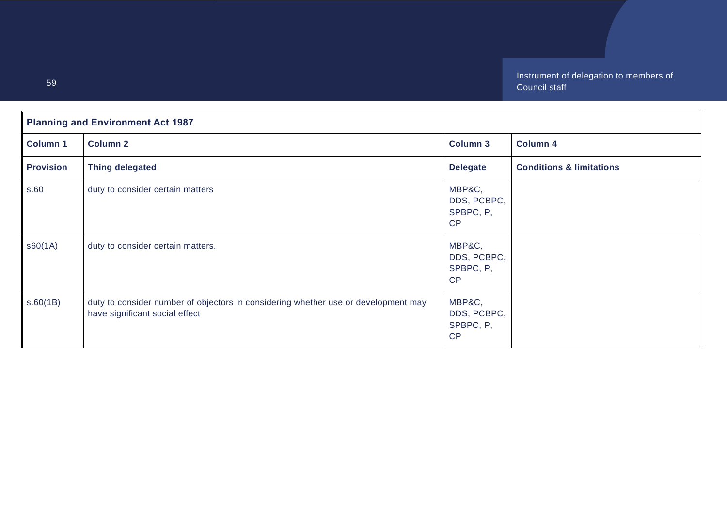| <b>Planning and Environment Act 1987</b> |                                                                                                                      |                                          |                                     |
|------------------------------------------|----------------------------------------------------------------------------------------------------------------------|------------------------------------------|-------------------------------------|
| <b>Column 1</b>                          | <b>Column 2</b>                                                                                                      | <b>Column 3</b>                          | <b>Column 4</b>                     |
| <b>Provision</b>                         | <b>Thing delegated</b>                                                                                               | <b>Delegate</b>                          | <b>Conditions &amp; limitations</b> |
| s.60                                     | duty to consider certain matters                                                                                     | MBP&C,<br>DDS, PCBPC,<br>SPBPC, P,<br>CP |                                     |
| \$60(1A)                                 | duty to consider certain matters.                                                                                    | MBP&C,<br>DDS, PCBPC,<br>SPBPC, P,<br>CP |                                     |
| s.60(1B)                                 | duty to consider number of objectors in considering whether use or development may<br>have significant social effect | MBP&C,<br>DDS, PCBPC,<br>SPBPC, P,<br>CP |                                     |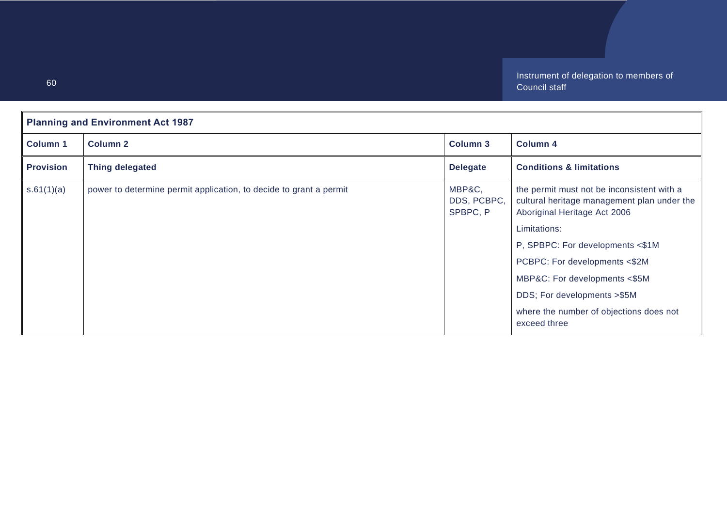| <b>Planning and Environment Act 1987</b> |                                                                    |                                   |                                                                                                                           |  |
|------------------------------------------|--------------------------------------------------------------------|-----------------------------------|---------------------------------------------------------------------------------------------------------------------------|--|
| <b>Column 1</b>                          | <b>Column 2</b>                                                    | <b>Column 3</b>                   | <b>Column 4</b>                                                                                                           |  |
| <b>Provision</b>                         | <b>Thing delegated</b>                                             | <b>Delegate</b>                   | <b>Conditions &amp; limitations</b>                                                                                       |  |
| s.61(1)(a)                               | power to determine permit application, to decide to grant a permit | MBP&C,<br>DDS, PCBPC,<br>SPBPC, P | the permit must not be inconsistent with a<br>cultural heritage management plan under the<br>Aboriginal Heritage Act 2006 |  |
|                                          |                                                                    |                                   | Limitations:                                                                                                              |  |
|                                          |                                                                    |                                   | P, SPBPC: For developments <\$1M                                                                                          |  |
|                                          |                                                                    |                                   | PCBPC: For developments <\$2M                                                                                             |  |
|                                          |                                                                    |                                   | MBP&C: For developments <\$5M                                                                                             |  |
|                                          |                                                                    |                                   | DDS; For developments > \$5M                                                                                              |  |
|                                          |                                                                    |                                   | where the number of objections does not<br>exceed three                                                                   |  |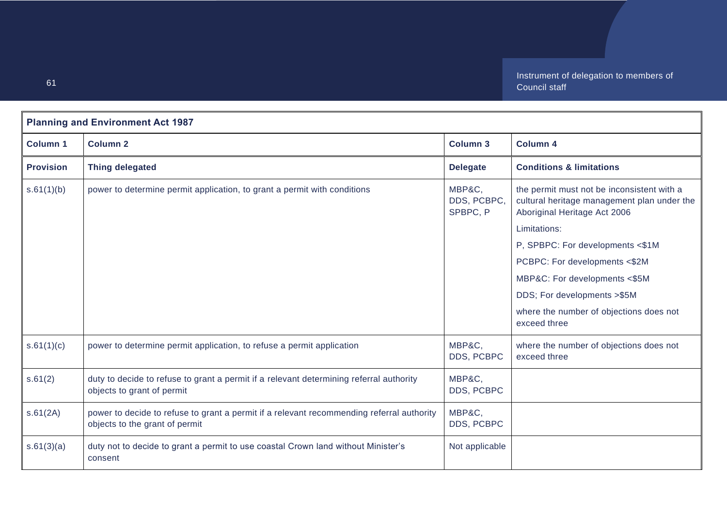| <b>Planning and Environment Act 1987</b> |                                                                                                                             |                                   |                                                                                                                           |
|------------------------------------------|-----------------------------------------------------------------------------------------------------------------------------|-----------------------------------|---------------------------------------------------------------------------------------------------------------------------|
| <b>Column 1</b>                          | <b>Column 2</b>                                                                                                             | <b>Column 3</b>                   | <b>Column 4</b>                                                                                                           |
| <b>Provision</b>                         | <b>Thing delegated</b>                                                                                                      | <b>Delegate</b>                   | <b>Conditions &amp; limitations</b>                                                                                       |
| s.61(1)(b)                               | power to determine permit application, to grant a permit with conditions                                                    | MBP&C,<br>DDS, PCBPC,<br>SPBPC, P | the permit must not be inconsistent with a<br>cultural heritage management plan under the<br>Aboriginal Heritage Act 2006 |
|                                          |                                                                                                                             |                                   | Limitations:                                                                                                              |
|                                          |                                                                                                                             |                                   | P, SPBPC: For developments <\$1M                                                                                          |
|                                          |                                                                                                                             |                                   | PCBPC: For developments <\$2M                                                                                             |
|                                          |                                                                                                                             |                                   | MBP&C: For developments <\$5M                                                                                             |
|                                          |                                                                                                                             |                                   | DDS; For developments >\$5M                                                                                               |
|                                          |                                                                                                                             |                                   | where the number of objections does not<br>exceed three                                                                   |
| s.61(1)(c)                               | power to determine permit application, to refuse a permit application                                                       | MBP&C,<br>DDS, PCBPC              | where the number of objections does not<br>exceed three                                                                   |
| s.61(2)                                  | duty to decide to refuse to grant a permit if a relevant determining referral authority<br>objects to grant of permit       | MBP&C,<br>DDS, PCBPC              |                                                                                                                           |
| s.61(2A)                                 | power to decide to refuse to grant a permit if a relevant recommending referral authority<br>objects to the grant of permit | MBP&C,<br>DDS, PCBPC              |                                                                                                                           |
| s.61(3)(a)                               | duty not to decide to grant a permit to use coastal Crown land without Minister's<br>consent                                | Not applicable                    |                                                                                                                           |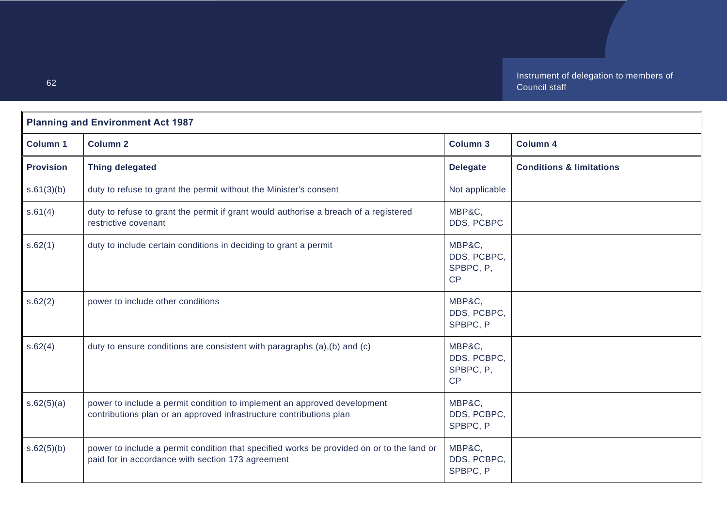| <b>Planning and Environment Act 1987</b> |                                                                                                                                                 |                                          |                                     |
|------------------------------------------|-------------------------------------------------------------------------------------------------------------------------------------------------|------------------------------------------|-------------------------------------|
| <b>Column 1</b>                          | <b>Column 2</b>                                                                                                                                 | <b>Column 3</b>                          | <b>Column 4</b>                     |
| <b>Provision</b>                         | <b>Thing delegated</b>                                                                                                                          | <b>Delegate</b>                          | <b>Conditions &amp; limitations</b> |
| s.61(3)(b)                               | duty to refuse to grant the permit without the Minister's consent                                                                               | Not applicable                           |                                     |
| s.61(4)                                  | duty to refuse to grant the permit if grant would authorise a breach of a registered<br>restrictive covenant                                    | MBP&C,<br>DDS, PCBPC                     |                                     |
| s.62(1)                                  | duty to include certain conditions in deciding to grant a permit                                                                                | MBP&C,<br>DDS, PCBPC,<br>SPBPC, P,<br>CP |                                     |
| s.62(2)                                  | power to include other conditions                                                                                                               | MBP&C,<br>DDS, PCBPC,<br>SPBPC, P        |                                     |
| s.62(4)                                  | duty to ensure conditions are consistent with paragraphs (a), (b) and (c)                                                                       | MBP&C,<br>DDS, PCBPC,<br>SPBPC, P,<br>CP |                                     |
| s.62(5)(a)                               | power to include a permit condition to implement an approved development<br>contributions plan or an approved infrastructure contributions plan | MBP&C,<br>DDS, PCBPC,<br>SPBPC, P        |                                     |
| s.62(5)(b)                               | power to include a permit condition that specified works be provided on or to the land or<br>paid for in accordance with section 173 agreement  | MBP&C,<br>DDS, PCBPC,<br>SPBPC, P        |                                     |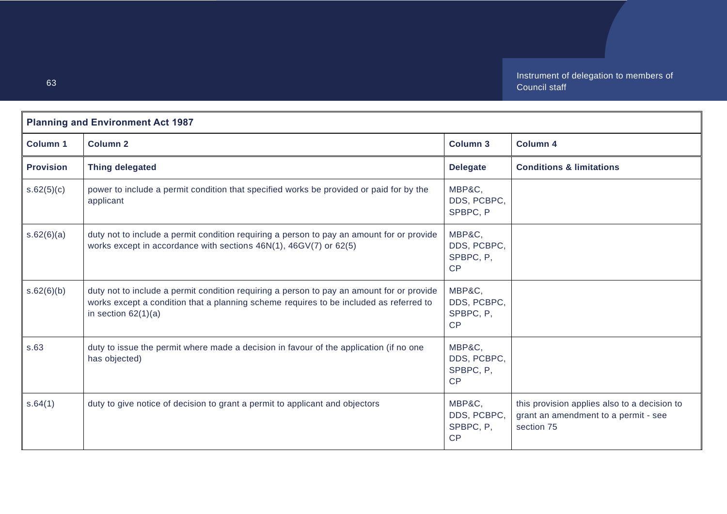| <b>Planning and Environment Act 1987</b> |                                                                                                                                                                                                              |                                          |                                                                                                    |
|------------------------------------------|--------------------------------------------------------------------------------------------------------------------------------------------------------------------------------------------------------------|------------------------------------------|----------------------------------------------------------------------------------------------------|
| <b>Column 1</b>                          | <b>Column 2</b>                                                                                                                                                                                              | <b>Column 3</b>                          | <b>Column 4</b>                                                                                    |
| <b>Provision</b>                         | <b>Thing delegated</b>                                                                                                                                                                                       | <b>Delegate</b>                          | <b>Conditions &amp; limitations</b>                                                                |
| s.62(5)(c)                               | power to include a permit condition that specified works be provided or paid for by the<br>applicant                                                                                                         | MBP&C,<br>DDS, PCBPC,<br>SPBPC, P        |                                                                                                    |
| s.62(6)(a)                               | duty not to include a permit condition requiring a person to pay an amount for or provide<br>works except in accordance with sections 46N(1), 46GV(7) or 62(5)                                               | MBP&C,<br>DDS, PCBPC,<br>SPBPC, P,<br>CP |                                                                                                    |
| s.62(6)(b)                               | duty not to include a permit condition requiring a person to pay an amount for or provide<br>works except a condition that a planning scheme requires to be included as referred to<br>in section $62(1)(a)$ | MBP&C,<br>DDS, PCBPC,<br>SPBPC, P,<br>CP |                                                                                                    |
| s.63                                     | duty to issue the permit where made a decision in favour of the application (if no one<br>has objected)                                                                                                      | MBP&C,<br>DDS, PCBPC,<br>SPBPC, P,<br>CP |                                                                                                    |
| s.64(1)                                  | duty to give notice of decision to grant a permit to applicant and objectors                                                                                                                                 | MBP&C,<br>DDS, PCBPC,<br>SPBPC, P,<br>CP | this provision applies also to a decision to<br>grant an amendment to a permit - see<br>section 75 |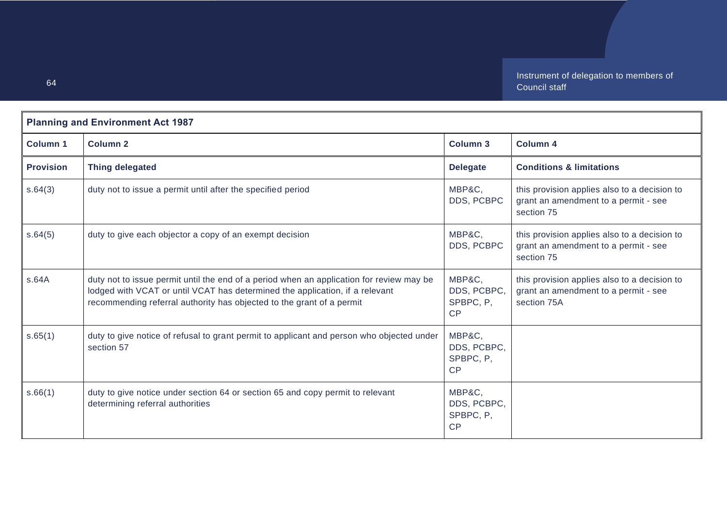| <b>Planning and Environment Act 1987</b> |                                                                                                                                                                                                                                                   |                                                 |                                                                                                     |
|------------------------------------------|---------------------------------------------------------------------------------------------------------------------------------------------------------------------------------------------------------------------------------------------------|-------------------------------------------------|-----------------------------------------------------------------------------------------------------|
| <b>Column 1</b>                          | <b>Column 2</b>                                                                                                                                                                                                                                   | <b>Column 3</b>                                 | <b>Column 4</b>                                                                                     |
| <b>Provision</b>                         | <b>Thing delegated</b>                                                                                                                                                                                                                            | <b>Delegate</b>                                 | <b>Conditions &amp; limitations</b>                                                                 |
| s.64(3)                                  | duty not to issue a permit until after the specified period                                                                                                                                                                                       | MBP&C,<br>DDS, PCBPC                            | this provision applies also to a decision to<br>grant an amendment to a permit - see<br>section 75  |
| s.64(5)                                  | duty to give each objector a copy of an exempt decision                                                                                                                                                                                           | MBP&C,<br>DDS, PCBPC                            | this provision applies also to a decision to<br>grant an amendment to a permit - see<br>section 75  |
| s.64A                                    | duty not to issue permit until the end of a period when an application for review may be<br>lodged with VCAT or until VCAT has determined the application, if a relevant<br>recommending referral authority has objected to the grant of a permit | MBP&C,<br>DDS, PCBPC,<br>SPBPC, P,<br><b>CP</b> | this provision applies also to a decision to<br>grant an amendment to a permit - see<br>section 75A |
| s.65(1)                                  | duty to give notice of refusal to grant permit to applicant and person who objected under<br>section 57                                                                                                                                           | MBP&C,<br>DDS, PCBPC,<br>SPBPC, P.<br>CP        |                                                                                                     |
| s.66(1)                                  | duty to give notice under section 64 or section 65 and copy permit to relevant<br>determining referral authorities                                                                                                                                | MBP&C,<br>DDS, PCBPC,<br>SPBPC, P,<br>CP        |                                                                                                     |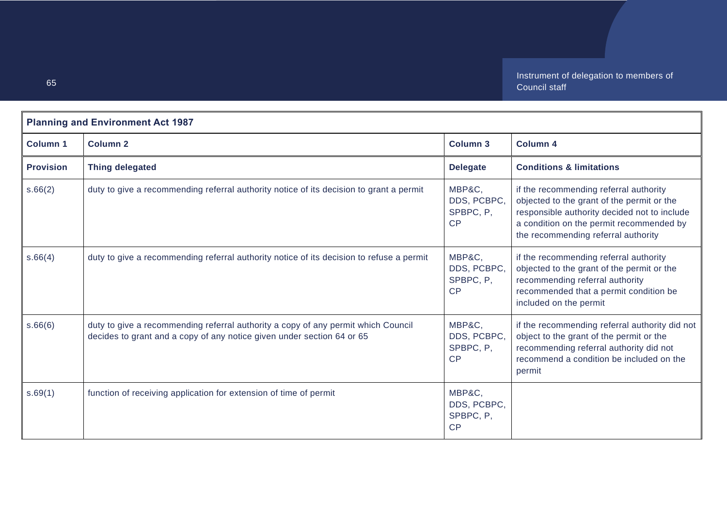| <b>Planning and Environment Act 1987</b> |                                                                                                                                                             |                                          |                                                                                                                                                                                                                         |
|------------------------------------------|-------------------------------------------------------------------------------------------------------------------------------------------------------------|------------------------------------------|-------------------------------------------------------------------------------------------------------------------------------------------------------------------------------------------------------------------------|
| Column 1                                 | <b>Column 2</b>                                                                                                                                             | <b>Column 3</b>                          | <b>Column 4</b>                                                                                                                                                                                                         |
| <b>Provision</b>                         | <b>Thing delegated</b>                                                                                                                                      | <b>Delegate</b>                          | <b>Conditions &amp; limitations</b>                                                                                                                                                                                     |
| s.66(2)                                  | duty to give a recommending referral authority notice of its decision to grant a permit                                                                     | MBP&C.<br>DDS, PCBPC,<br>SPBPC, P.<br>CP | if the recommending referral authority<br>objected to the grant of the permit or the<br>responsible authority decided not to include<br>a condition on the permit recommended by<br>the recommending referral authority |
| s.66(4)                                  | duty to give a recommending referral authority notice of its decision to refuse a permit                                                                    | MBP&C.<br>DDS, PCBPC,<br>SPBPC, P,<br>CP | if the recommending referral authority<br>objected to the grant of the permit or the<br>recommending referral authority<br>recommended that a permit condition be<br>included on the permit                             |
| s.66(6)                                  | duty to give a recommending referral authority a copy of any permit which Council<br>decides to grant and a copy of any notice given under section 64 or 65 | MBP&C,<br>DDS, PCBPC,<br>SPBPC, P,<br>CP | if the recommending referral authority did not<br>object to the grant of the permit or the<br>recommending referral authority did not<br>recommend a condition be included on the<br>permit                             |
| s.69(1)                                  | function of receiving application for extension of time of permit                                                                                           | MBP&C,<br>DDS, PCBPC,<br>SPBPC, P,<br>CP |                                                                                                                                                                                                                         |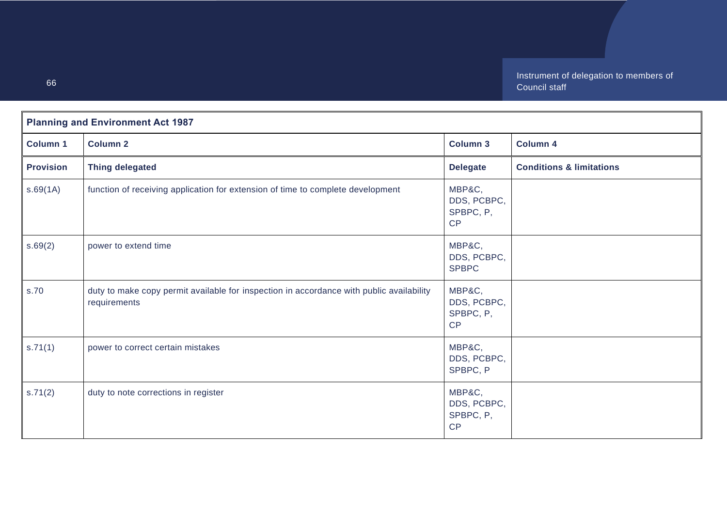| <b>Planning and Environment Act 1987</b> |                                                                                                          |                                          |                                     |
|------------------------------------------|----------------------------------------------------------------------------------------------------------|------------------------------------------|-------------------------------------|
| <b>Column 1</b>                          | <b>Column 2</b>                                                                                          | <b>Column 3</b>                          | Column 4                            |
| <b>Provision</b>                         | <b>Thing delegated</b>                                                                                   | <b>Delegate</b>                          | <b>Conditions &amp; limitations</b> |
| s.69(1A)                                 | function of receiving application for extension of time to complete development                          | MBP&C,<br>DDS, PCBPC,<br>SPBPC, P,<br>CP |                                     |
| s.69(2)                                  | power to extend time                                                                                     | MBP&C,<br>DDS, PCBPC,<br><b>SPBPC</b>    |                                     |
| s.70                                     | duty to make copy permit available for inspection in accordance with public availability<br>requirements | MBP&C,<br>DDS, PCBPC,<br>SPBPC, P,<br>CP |                                     |
| s.71(1)                                  | power to correct certain mistakes                                                                        | MBP&C,<br>DDS, PCBPC,<br>SPBPC, P        |                                     |
| s.71(2)                                  | duty to note corrections in register                                                                     | MBP&C,<br>DDS, PCBPC,<br>SPBPC, P,<br>CP |                                     |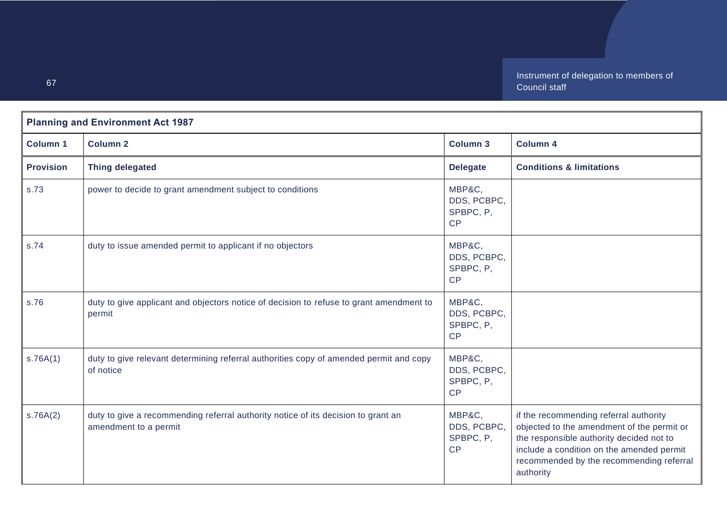| <b>Planning and Environment Act 1987</b> |                                                                                                            |                                          |                                                                                                                                                                                                                                        |
|------------------------------------------|------------------------------------------------------------------------------------------------------------|------------------------------------------|----------------------------------------------------------------------------------------------------------------------------------------------------------------------------------------------------------------------------------------|
| <b>Column 1</b>                          | <b>Column 2</b>                                                                                            | <b>Column 3</b>                          | Column 4                                                                                                                                                                                                                               |
| <b>Provision</b>                         | <b>Thing delegated</b>                                                                                     | <b>Delegate</b>                          | <b>Conditions &amp; limitations</b>                                                                                                                                                                                                    |
| s.73                                     | power to decide to grant amendment subject to conditions                                                   | MBP&C,<br>DDS, PCBPC,<br>SPBPC, P,<br>CP |                                                                                                                                                                                                                                        |
| s.74                                     | duty to issue amended permit to applicant if no objectors                                                  | MBP&C,<br>DDS, PCBPC,<br>SPBPC, P,<br>CP |                                                                                                                                                                                                                                        |
| s.76                                     | duty to give applicant and objectors notice of decision to refuse to grant amendment to<br>permit          | MBP&C,<br>DDS, PCBPC,<br>SPBPC, P,<br>CP |                                                                                                                                                                                                                                        |
| s.76A(1)                                 | duty to give relevant determining referral authorities copy of amended permit and copy<br>of notice        | MBP&C,<br>DDS, PCBPC,<br>SPBPC, P,<br>CP |                                                                                                                                                                                                                                        |
| s.76A(2)                                 | duty to give a recommending referral authority notice of its decision to grant an<br>amendment to a permit | MBP&C,<br>DDS, PCBPC,<br>SPBPC, P,<br>CP | if the recommending referral authority<br>objected to the amendment of the permit or<br>the responsible authority decided not to<br>include a condition on the amended permit<br>recommended by the recommending referral<br>authority |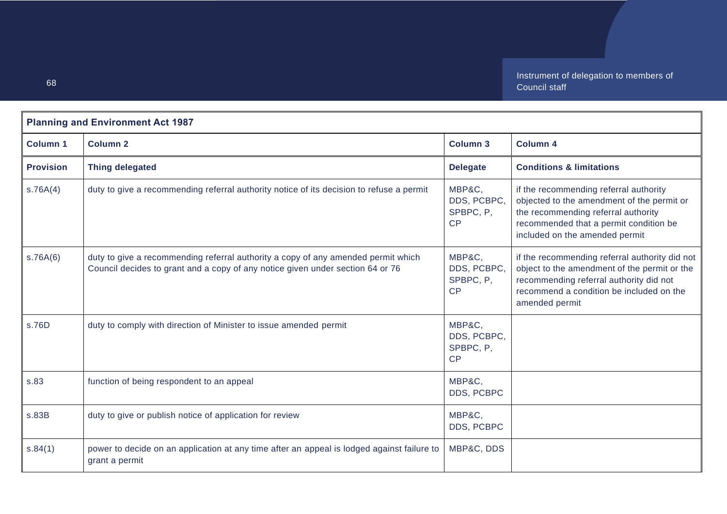| <b>Planning and Environment Act 1987</b> |                                                                                                                                                                     |                                          |                                                                                                                                                                                                         |
|------------------------------------------|---------------------------------------------------------------------------------------------------------------------------------------------------------------------|------------------------------------------|---------------------------------------------------------------------------------------------------------------------------------------------------------------------------------------------------------|
| <b>Column 1</b>                          | <b>Column 2</b>                                                                                                                                                     | <b>Column 3</b>                          | <b>Column 4</b>                                                                                                                                                                                         |
| <b>Provision</b>                         | <b>Thing delegated</b>                                                                                                                                              | <b>Delegate</b>                          | <b>Conditions &amp; limitations</b>                                                                                                                                                                     |
| s.76A(4)                                 | duty to give a recommending referral authority notice of its decision to refuse a permit                                                                            | MBP&C,<br>DDS, PCBPC,<br>SPBPC, P,<br>CP | if the recommending referral authority<br>objected to the amendment of the permit or<br>the recommending referral authority<br>recommended that a permit condition be<br>included on the amended permit |
| s.76A(6)                                 | duty to give a recommending referral authority a copy of any amended permit which<br>Council decides to grant and a copy of any notice given under section 64 or 76 | MBP&C,<br>DDS, PCBPC,<br>SPBPC, P,<br>CP | if the recommending referral authority did not<br>object to the amendment of the permit or the<br>recommending referral authority did not<br>recommend a condition be included on the<br>amended permit |
| s.76D                                    | duty to comply with direction of Minister to issue amended permit                                                                                                   | MBP&C,<br>DDS, PCBPC,<br>SPBPC, P,<br>CP |                                                                                                                                                                                                         |
| s.83                                     | function of being respondent to an appeal                                                                                                                           | MBP&C,<br>DDS, PCBPC                     |                                                                                                                                                                                                         |
| s.83B                                    | duty to give or publish notice of application for review                                                                                                            | MBP&C,<br>DDS, PCBPC                     |                                                                                                                                                                                                         |
| s.84(1)                                  | power to decide on an application at any time after an appeal is lodged against failure to<br>grant a permit                                                        | MBP&C, DDS                               |                                                                                                                                                                                                         |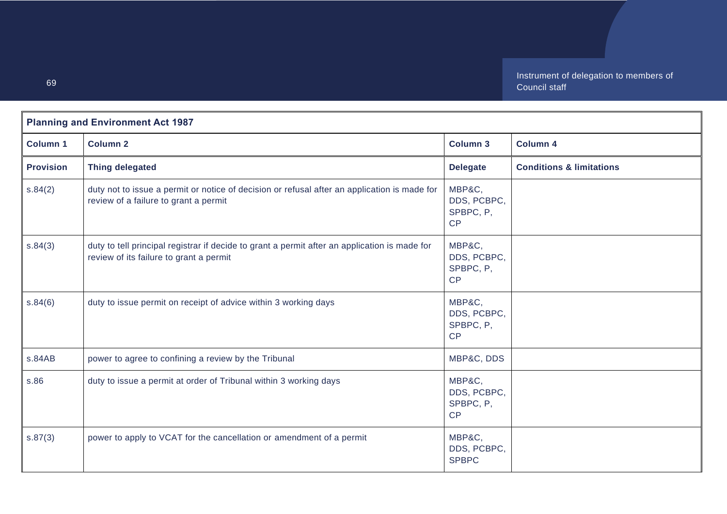| <b>Planning and Environment Act 1987</b> |                                                                                                                                          |                                          |                                     |
|------------------------------------------|------------------------------------------------------------------------------------------------------------------------------------------|------------------------------------------|-------------------------------------|
| <b>Column 1</b>                          | <b>Column 2</b>                                                                                                                          | Column 3                                 | <b>Column 4</b>                     |
| <b>Provision</b>                         | <b>Thing delegated</b>                                                                                                                   | <b>Delegate</b>                          | <b>Conditions &amp; limitations</b> |
| s.84(2)                                  | duty not to issue a permit or notice of decision or refusal after an application is made for<br>review of a failure to grant a permit    | MBP&C,<br>DDS, PCBPC,<br>SPBPC, P,<br>CP |                                     |
| s.84(3)                                  | duty to tell principal registrar if decide to grant a permit after an application is made for<br>review of its failure to grant a permit | MBP&C,<br>DDS, PCBPC,<br>SPBPC, P,<br>CP |                                     |
| s.84(6)                                  | duty to issue permit on receipt of advice within 3 working days                                                                          | MBP&C,<br>DDS, PCBPC,<br>SPBPC, P,<br>CP |                                     |
| s.84AB                                   | power to agree to confining a review by the Tribunal                                                                                     | MBP&C, DDS                               |                                     |
| s.86                                     | duty to issue a permit at order of Tribunal within 3 working days                                                                        | MBP&C,<br>DDS, PCBPC,<br>SPBPC, P,<br>CP |                                     |
| s.87(3)                                  | power to apply to VCAT for the cancellation or amendment of a permit                                                                     | MBP&C,<br>DDS, PCBPC,<br><b>SPBPC</b>    |                                     |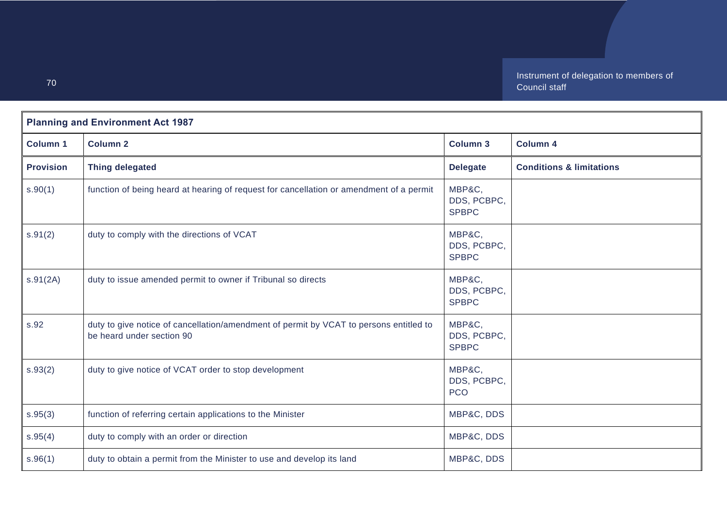| <b>Planning and Environment Act 1987</b> |                                                                                                                     |                                       |                                     |
|------------------------------------------|---------------------------------------------------------------------------------------------------------------------|---------------------------------------|-------------------------------------|
| <b>Column 1</b>                          | <b>Column 2</b>                                                                                                     | <b>Column 3</b>                       | Column 4                            |
| <b>Provision</b>                         | <b>Thing delegated</b>                                                                                              | <b>Delegate</b>                       | <b>Conditions &amp; limitations</b> |
| s.90(1)                                  | function of being heard at hearing of request for cancellation or amendment of a permit                             | MBP&C,<br>DDS, PCBPC,<br><b>SPBPC</b> |                                     |
| s.91(2)                                  | duty to comply with the directions of VCAT                                                                          | MBP&C,<br>DDS, PCBPC,<br><b>SPBPC</b> |                                     |
| s.91(2A)                                 | duty to issue amended permit to owner if Tribunal so directs                                                        | MBP&C,<br>DDS, PCBPC,<br><b>SPBPC</b> |                                     |
| s.92                                     | duty to give notice of cancellation/amendment of permit by VCAT to persons entitled to<br>be heard under section 90 | MBP&C,<br>DDS, PCBPC,<br><b>SPBPC</b> |                                     |
| s.93(2)                                  | duty to give notice of VCAT order to stop development                                                               | MBP&C,<br>DDS, PCBPC,<br><b>PCO</b>   |                                     |
| s.95(3)                                  | function of referring certain applications to the Minister                                                          | MBP&C, DDS                            |                                     |
| s.95(4)                                  | duty to comply with an order or direction                                                                           | MBP&C, DDS                            |                                     |
| s.96(1)                                  | duty to obtain a permit from the Minister to use and develop its land                                               | MBP&C, DDS                            |                                     |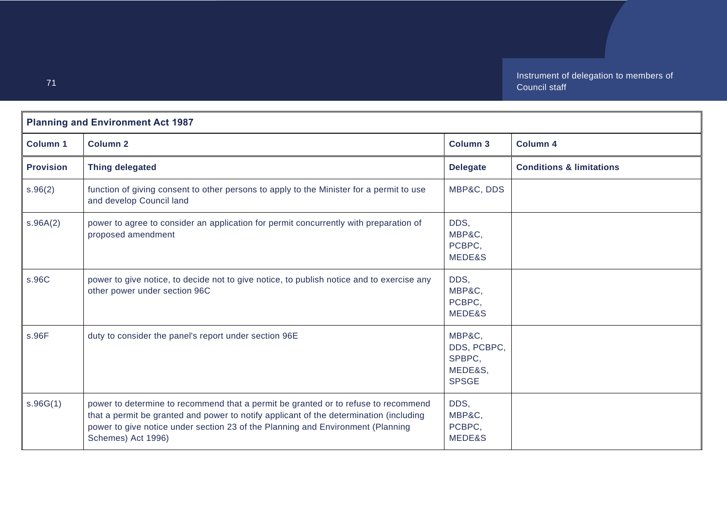| <b>Planning and Environment Act 1987</b> |                                                                                                                                                                                                                                                                                       |                                                            |                                     |  |
|------------------------------------------|---------------------------------------------------------------------------------------------------------------------------------------------------------------------------------------------------------------------------------------------------------------------------------------|------------------------------------------------------------|-------------------------------------|--|
| <b>Column 1</b>                          | <b>Column 2</b>                                                                                                                                                                                                                                                                       | <b>Column 3</b>                                            | <b>Column 4</b>                     |  |
| <b>Provision</b>                         | <b>Thing delegated</b>                                                                                                                                                                                                                                                                | <b>Delegate</b>                                            | <b>Conditions &amp; limitations</b> |  |
| s.96(2)                                  | function of giving consent to other persons to apply to the Minister for a permit to use<br>and develop Council land                                                                                                                                                                  | MBP&C, DDS                                                 |                                     |  |
| s.96A(2)                                 | power to agree to consider an application for permit concurrently with preparation of<br>proposed amendment                                                                                                                                                                           | DDS,<br>MBP&C,<br>PCBPC,<br>MEDE&S                         |                                     |  |
| s.96C                                    | power to give notice, to decide not to give notice, to publish notice and to exercise any<br>other power under section 96C                                                                                                                                                            | DDS,<br>MBP&C,<br>PCBPC.<br>MEDE&S                         |                                     |  |
| s.96F                                    | duty to consider the panel's report under section 96E                                                                                                                                                                                                                                 | MBP&C,<br>DDS, PCBPC,<br>SPBPC,<br>MEDE&S,<br><b>SPSGE</b> |                                     |  |
| s.96G(1)                                 | power to determine to recommend that a permit be granted or to refuse to recommend<br>that a permit be granted and power to notify applicant of the determination (including<br>power to give notice under section 23 of the Planning and Environment (Planning<br>Schemes) Act 1996) | DDS,<br>MBP&C,<br>PCBPC,<br>MEDE&S                         |                                     |  |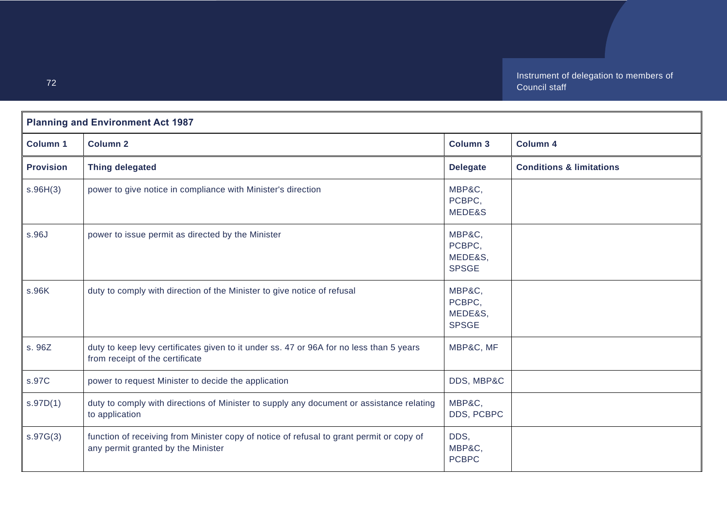| <b>Planning and Environment Act 1987</b> |                                                                                                                                |                                             |                                     |
|------------------------------------------|--------------------------------------------------------------------------------------------------------------------------------|---------------------------------------------|-------------------------------------|
| <b>Column 1</b>                          | <b>Column 2</b>                                                                                                                | Column 3                                    | <b>Column 4</b>                     |
| <b>Provision</b>                         | <b>Thing delegated</b>                                                                                                         | <b>Delegate</b>                             | <b>Conditions &amp; limitations</b> |
| s.96H(3)                                 | power to give notice in compliance with Minister's direction                                                                   | MBP&C,<br>PCBPC,<br>MEDE&S                  |                                     |
| s.96J                                    | power to issue permit as directed by the Minister                                                                              | MBP&C,<br>PCBPC,<br>MEDE&S,<br><b>SPSGE</b> |                                     |
| s.96K                                    | duty to comply with direction of the Minister to give notice of refusal                                                        | MBP&C,<br>PCBPC,<br>MEDE&S,<br><b>SPSGE</b> |                                     |
| s. 96Z                                   | duty to keep levy certificates given to it under ss. 47 or 96A for no less than 5 years<br>from receipt of the certificate     | MBP&C, MF                                   |                                     |
| s.97C                                    | power to request Minister to decide the application                                                                            | DDS, MBP&C                                  |                                     |
| s.97D(1)                                 | duty to comply with directions of Minister to supply any document or assistance relating<br>to application                     | MBP&C,<br>DDS, PCBPC                        |                                     |
| s.97G(3)                                 | function of receiving from Minister copy of notice of refusal to grant permit or copy of<br>any permit granted by the Minister | DDS,<br>MBP&C,<br><b>PCBPC</b>              |                                     |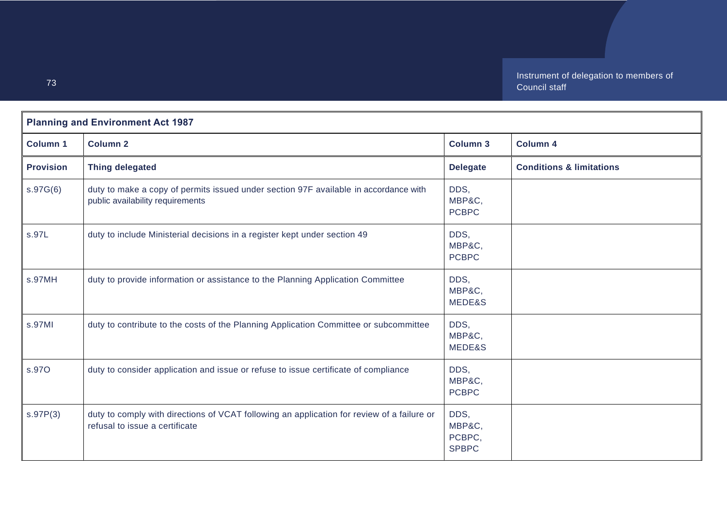| <b>Planning and Environment Act 1987</b> |                                                                                                                              |                                          |                                     |
|------------------------------------------|------------------------------------------------------------------------------------------------------------------------------|------------------------------------------|-------------------------------------|
| <b>Column 1</b>                          | <b>Column 2</b>                                                                                                              | <b>Column 3</b>                          | <b>Column 4</b>                     |
| <b>Provision</b>                         | <b>Thing delegated</b>                                                                                                       | <b>Delegate</b>                          | <b>Conditions &amp; limitations</b> |
| s.97G(6)                                 | duty to make a copy of permits issued under section 97F available in accordance with<br>public availability requirements     | DDS,<br>MBP&C,<br><b>PCBPC</b>           |                                     |
| s.97L                                    | duty to include Ministerial decisions in a register kept under section 49                                                    | DDS,<br>MBP&C,<br><b>PCBPC</b>           |                                     |
| s.97MH                                   | duty to provide information or assistance to the Planning Application Committee                                              | DDS,<br>MBP&C,<br>MEDE&S                 |                                     |
| s.97MI                                   | duty to contribute to the costs of the Planning Application Committee or subcommittee                                        | DDS,<br>MBP&C,<br>MEDE&S                 |                                     |
| s.97O                                    | duty to consider application and issue or refuse to issue certificate of compliance                                          | DDS,<br>MBP&C,<br><b>PCBPC</b>           |                                     |
| s.97P(3)                                 | duty to comply with directions of VCAT following an application for review of a failure or<br>refusal to issue a certificate | DDS,<br>MBP&C,<br>PCBPC,<br><b>SPBPC</b> |                                     |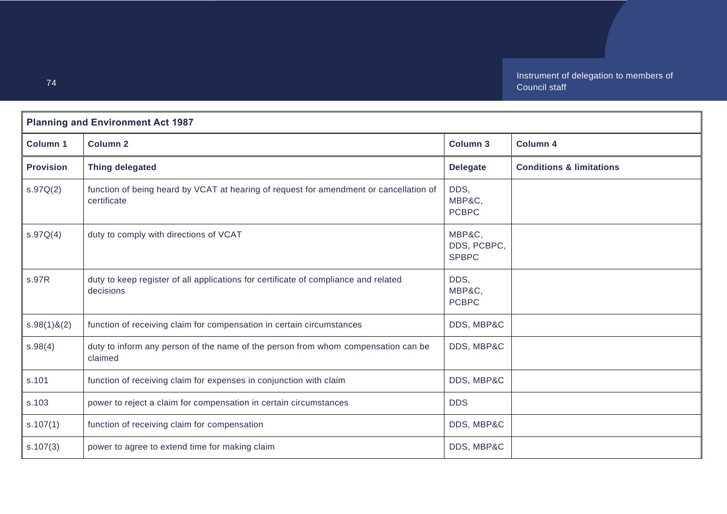| <b>Planning and Environment Act 1987</b> |                                                                                                       |                                       |                                     |
|------------------------------------------|-------------------------------------------------------------------------------------------------------|---------------------------------------|-------------------------------------|
| <b>Column 1</b>                          | <b>Column 2</b>                                                                                       | <b>Column 3</b>                       | <b>Column 4</b>                     |
| <b>Provision</b>                         | <b>Thing delegated</b>                                                                                | <b>Delegate</b>                       | <b>Conditions &amp; limitations</b> |
| S.97Q(2)                                 | function of being heard by VCAT at hearing of request for amendment or cancellation of<br>certificate | DDS,<br>MBP&C,<br><b>PCBPC</b>        |                                     |
| S.97Q(4)                                 | duty to comply with directions of VCAT                                                                | MBP&C,<br>DDS, PCBPC,<br><b>SPBPC</b> |                                     |
| s.97R                                    | duty to keep register of all applications for certificate of compliance and related<br>decisions      | DDS,<br>MBP&C,<br><b>PCBPC</b>        |                                     |
| $s.98(1)$ &(2)                           | function of receiving claim for compensation in certain circumstances                                 | DDS, MBP&C                            |                                     |
| s.98(4)                                  | duty to inform any person of the name of the person from whom compensation can be<br>claimed          | DDS, MBP&C                            |                                     |
| s.101                                    | function of receiving claim for expenses in conjunction with claim                                    | DDS, MBP&C                            |                                     |
| s.103                                    | power to reject a claim for compensation in certain circumstances                                     | <b>DDS</b>                            |                                     |
| s.107(1)                                 | function of receiving claim for compensation                                                          | DDS, MBP&C                            |                                     |
| s.107(3)                                 | power to agree to extend time for making claim                                                        | DDS, MBP&C                            |                                     |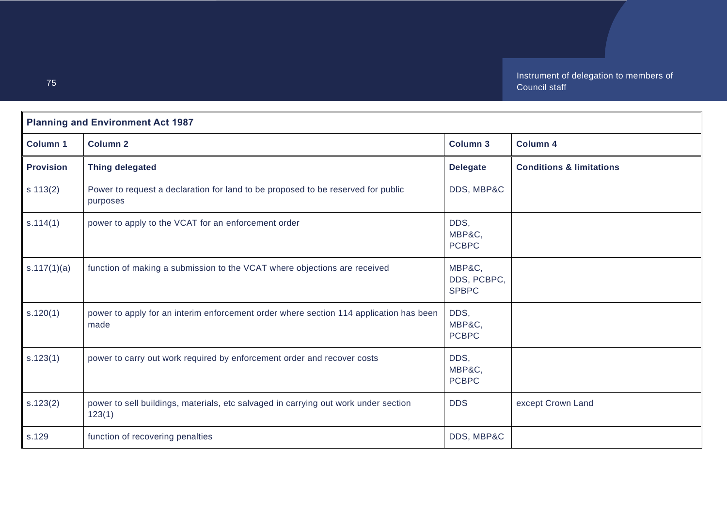| <b>Planning and Environment Act 1987</b> |                                                                                                |                                       |                                     |  |
|------------------------------------------|------------------------------------------------------------------------------------------------|---------------------------------------|-------------------------------------|--|
| <b>Column 1</b>                          | <b>Column 2</b>                                                                                | <b>Column 3</b>                       | <b>Column 4</b>                     |  |
| <b>Provision</b>                         | <b>Thing delegated</b>                                                                         | <b>Delegate</b>                       | <b>Conditions &amp; limitations</b> |  |
| $s \ 113(2)$                             | Power to request a declaration for land to be proposed to be reserved for public<br>purposes   | DDS, MBP&C                            |                                     |  |
| s.114(1)                                 | power to apply to the VCAT for an enforcement order                                            | DDS,<br>MBP&C,<br><b>PCBPC</b>        |                                     |  |
| s.117(1)(a)                              | function of making a submission to the VCAT where objections are received                      | MBP&C,<br>DDS, PCBPC,<br><b>SPBPC</b> |                                     |  |
| s.120(1)                                 | power to apply for an interim enforcement order where section 114 application has been<br>made | DDS,<br>MBP&C,<br><b>PCBPC</b>        |                                     |  |
| s.123(1)                                 | power to carry out work required by enforcement order and recover costs                        | DDS,<br>MBP&C,<br><b>PCBPC</b>        |                                     |  |
| s.123(2)                                 | power to sell buildings, materials, etc salvaged in carrying out work under section<br>123(1)  | <b>DDS</b>                            | except Crown Land                   |  |
| s.129                                    | function of recovering penalties                                                               | DDS, MBP&C                            |                                     |  |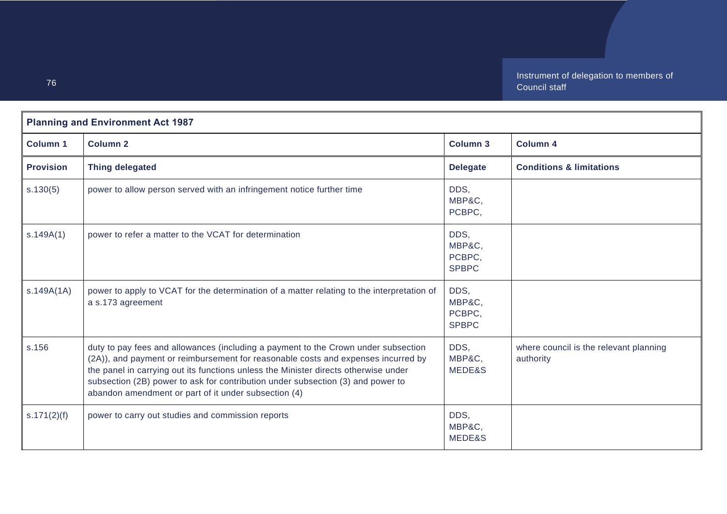| <b>Planning and Environment Act 1987</b> |                                                                                                                                                                                                                                                                                                                                                                                                           |                                          |                                                     |
|------------------------------------------|-----------------------------------------------------------------------------------------------------------------------------------------------------------------------------------------------------------------------------------------------------------------------------------------------------------------------------------------------------------------------------------------------------------|------------------------------------------|-----------------------------------------------------|
| <b>Column 1</b>                          | <b>Column 2</b>                                                                                                                                                                                                                                                                                                                                                                                           | <b>Column 3</b>                          | <b>Column 4</b>                                     |
| <b>Provision</b>                         | <b>Thing delegated</b>                                                                                                                                                                                                                                                                                                                                                                                    | <b>Delegate</b>                          | <b>Conditions &amp; limitations</b>                 |
| s.130(5)                                 | power to allow person served with an infringement notice further time                                                                                                                                                                                                                                                                                                                                     | DDS,<br>MBP&C,<br>PCBPC,                 |                                                     |
| s.149A(1)                                | power to refer a matter to the VCAT for determination                                                                                                                                                                                                                                                                                                                                                     | DDS,<br>MBP&C,<br>PCBPC,<br><b>SPBPC</b> |                                                     |
| s.149A(1A)                               | power to apply to VCAT for the determination of a matter relating to the interpretation of<br>a s.173 agreement                                                                                                                                                                                                                                                                                           | DDS,<br>MBP&C,<br>PCBPC,<br><b>SPBPC</b> |                                                     |
| s.156                                    | duty to pay fees and allowances (including a payment to the Crown under subsection<br>(2A)), and payment or reimbursement for reasonable costs and expenses incurred by<br>the panel in carrying out its functions unless the Minister directs otherwise under<br>subsection (2B) power to ask for contribution under subsection (3) and power to<br>abandon amendment or part of it under subsection (4) | DDS,<br>MBP&C,<br>MEDE&S                 | where council is the relevant planning<br>authority |
| s.171(2)(f)                              | power to carry out studies and commission reports                                                                                                                                                                                                                                                                                                                                                         | DDS,<br>MBP&C,<br>MEDE&S                 |                                                     |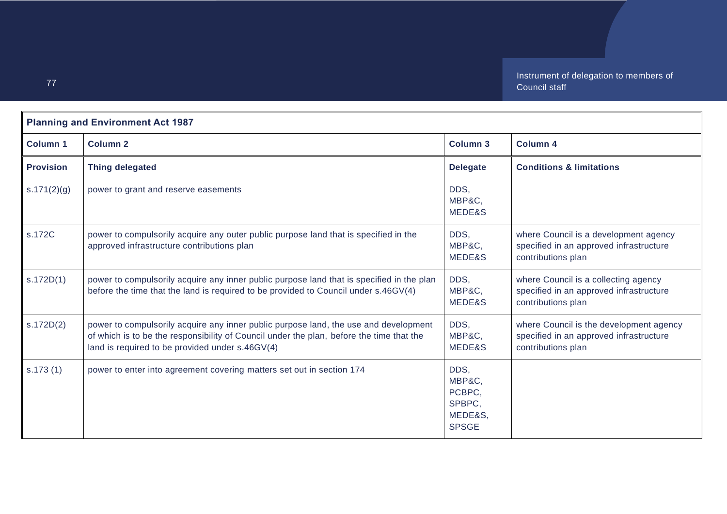| <b>Planning and Environment Act 1987</b> |                                                                                                                                                                                                                                     |                                                               |                                                                                                          |
|------------------------------------------|-------------------------------------------------------------------------------------------------------------------------------------------------------------------------------------------------------------------------------------|---------------------------------------------------------------|----------------------------------------------------------------------------------------------------------|
| <b>Column 1</b>                          | <b>Column 2</b>                                                                                                                                                                                                                     | Column 3                                                      | <b>Column 4</b>                                                                                          |
| <b>Provision</b>                         | <b>Thing delegated</b>                                                                                                                                                                                                              | <b>Delegate</b>                                               | <b>Conditions &amp; limitations</b>                                                                      |
| s.171(2)(g)                              | power to grant and reserve easements                                                                                                                                                                                                | DDS.<br>MBP&C,<br>MEDE&S                                      |                                                                                                          |
| s.172C                                   | power to compulsorily acquire any outer public purpose land that is specified in the<br>approved infrastructure contributions plan                                                                                                  | DDS,<br>MBP&C,<br>MEDE&S                                      | where Council is a development agency<br>specified in an approved infrastructure<br>contributions plan   |
| s.172D(1)                                | power to compulsorily acquire any inner public purpose land that is specified in the plan<br>before the time that the land is required to be provided to Council under s.46GV(4)                                                    | DDS,<br>MBP&C,<br>MEDE&S                                      | where Council is a collecting agency<br>specified in an approved infrastructure<br>contributions plan    |
| s.172D(2)                                | power to compulsorily acquire any inner public purpose land, the use and development<br>of which is to be the responsibility of Council under the plan, before the time that the<br>land is required to be provided under s.46GV(4) | DDS,<br>MBP&C,<br>MEDE&S                                      | where Council is the development agency<br>specified in an approved infrastructure<br>contributions plan |
| s.173(1)                                 | power to enter into agreement covering matters set out in section 174                                                                                                                                                               | DDS.<br>MBP&C,<br>PCBPC.<br>SPBPC,<br>MEDE&S,<br><b>SPSGE</b> |                                                                                                          |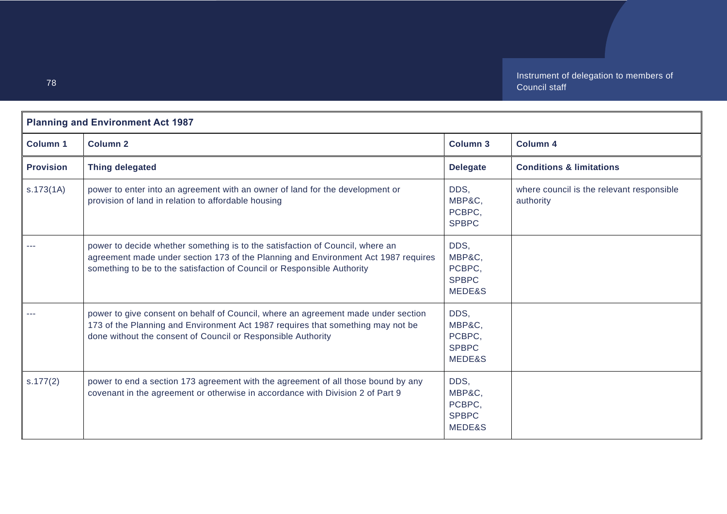| <b>Planning and Environment Act 1987</b> |                                                                                                                                                                                                                                                |                                                    |                                                        |
|------------------------------------------|------------------------------------------------------------------------------------------------------------------------------------------------------------------------------------------------------------------------------------------------|----------------------------------------------------|--------------------------------------------------------|
| <b>Column 1</b>                          | <b>Column 2</b>                                                                                                                                                                                                                                | <b>Column 3</b>                                    | <b>Column 4</b>                                        |
| <b>Provision</b>                         | <b>Thing delegated</b>                                                                                                                                                                                                                         | <b>Delegate</b>                                    | <b>Conditions &amp; limitations</b>                    |
| s.173(1A)                                | power to enter into an agreement with an owner of land for the development or<br>provision of land in relation to affordable housing                                                                                                           | DDS.<br>MBP&C,<br>PCBPC,<br><b>SPBPC</b>           | where council is the relevant responsible<br>authority |
|                                          | power to decide whether something is to the satisfaction of Council, where an<br>agreement made under section 173 of the Planning and Environment Act 1987 requires<br>something to be to the satisfaction of Council or Responsible Authority | DDS,<br>MBP&C,<br>PCBPC,<br><b>SPBPC</b><br>MEDE&S |                                                        |
|                                          | power to give consent on behalf of Council, where an agreement made under section<br>173 of the Planning and Environment Act 1987 requires that something may not be<br>done without the consent of Council or Responsible Authority           | DDS.<br>MBP&C,<br>PCBPC,<br><b>SPBPC</b><br>MEDE&S |                                                        |
| s.177(2)                                 | power to end a section 173 agreement with the agreement of all those bound by any<br>covenant in the agreement or otherwise in accordance with Division 2 of Part 9                                                                            | DDS,<br>MBP&C,<br>PCBPC,<br><b>SPBPC</b><br>MEDE&S |                                                        |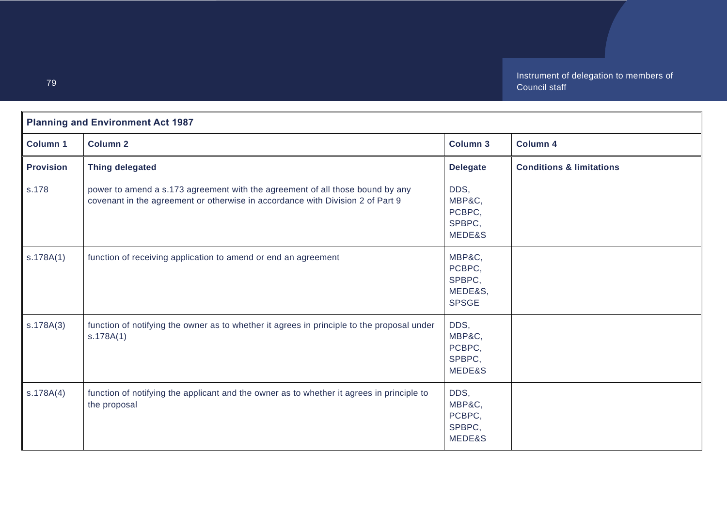| <b>Planning and Environment Act 1987</b> |                                                                                                                                                                 |                                                       |                                     |
|------------------------------------------|-----------------------------------------------------------------------------------------------------------------------------------------------------------------|-------------------------------------------------------|-------------------------------------|
| <b>Column 1</b>                          | <b>Column 2</b>                                                                                                                                                 | <b>Column 3</b>                                       | Column 4                            |
| <b>Provision</b>                         | <b>Thing delegated</b>                                                                                                                                          | <b>Delegate</b>                                       | <b>Conditions &amp; limitations</b> |
| s.178                                    | power to amend a s.173 agreement with the agreement of all those bound by any<br>covenant in the agreement or otherwise in accordance with Division 2 of Part 9 | DDS,<br>MBP&C,<br>PCBPC,<br>SPBPC,<br>MEDE&S          |                                     |
| s.178A(1)                                | function of receiving application to amend or end an agreement                                                                                                  | MBP&C,<br>PCBPC,<br>SPBPC,<br>MEDE&S,<br><b>SPSGE</b> |                                     |
| S.178A(3)                                | function of notifying the owner as to whether it agrees in principle to the proposal under<br>s.178A(1)                                                         | DDS,<br>MBP&C,<br>PCBPC,<br>SPBPC,<br>MEDE&S          |                                     |
| S.178A(4)                                | function of notifying the applicant and the owner as to whether it agrees in principle to<br>the proposal                                                       | DDS,<br>MBP&C,<br>PCBPC,<br>SPBPC,<br>MEDE&S          |                                     |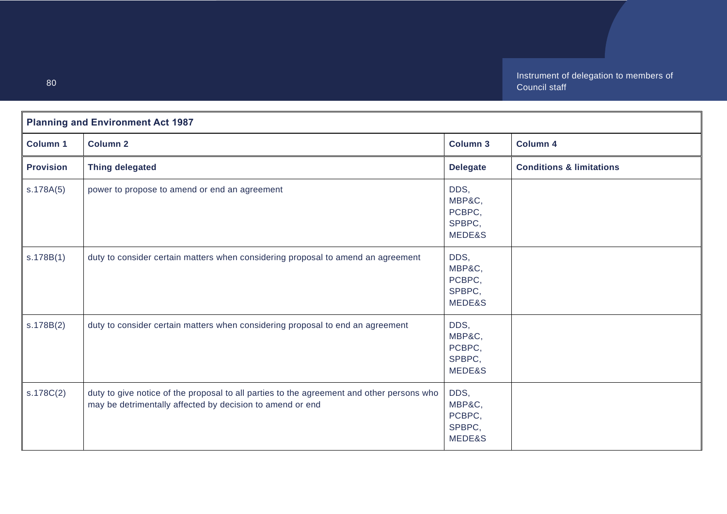| <b>Planning and Environment Act 1987</b> |                                                                                                                                                        |                                              |                                     |
|------------------------------------------|--------------------------------------------------------------------------------------------------------------------------------------------------------|----------------------------------------------|-------------------------------------|
| <b>Column 1</b>                          | <b>Column 2</b>                                                                                                                                        | <b>Column 3</b>                              | Column 4                            |
| <b>Provision</b>                         | <b>Thing delegated</b>                                                                                                                                 | <b>Delegate</b>                              | <b>Conditions &amp; limitations</b> |
| s.178A(5)                                | power to propose to amend or end an agreement                                                                                                          | DDS,<br>MBP&C,<br>PCBPC,<br>SPBPC,<br>MEDE&S |                                     |
| s.178B(1)                                | duty to consider certain matters when considering proposal to amend an agreement                                                                       | DDS,<br>MBP&C,<br>PCBPC,<br>SPBPC,<br>MEDE&S |                                     |
| s.178B(2)                                | duty to consider certain matters when considering proposal to end an agreement                                                                         | DDS,<br>MBP&C,<br>PCBPC,<br>SPBPC,<br>MEDE&S |                                     |
| s.178C(2)                                | duty to give notice of the proposal to all parties to the agreement and other persons who<br>may be detrimentally affected by decision to amend or end | DDS,<br>MBP&C,<br>PCBPC,<br>SPBPC,<br>MEDE&S |                                     |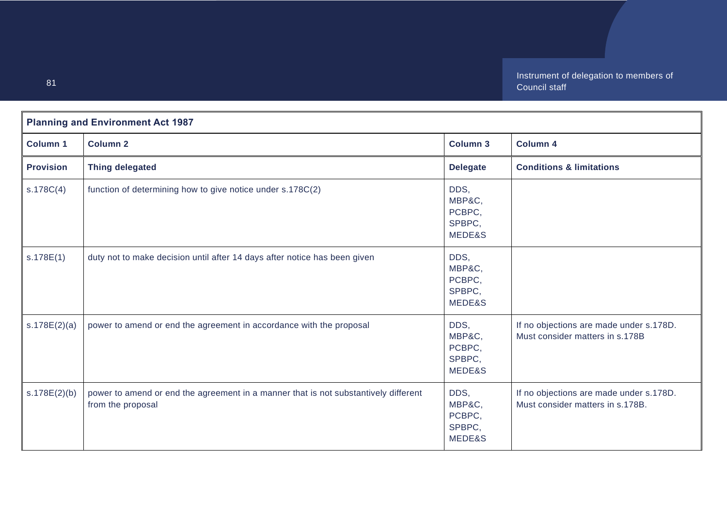| <b>Planning and Environment Act 1987</b> |                                                                                                          |                                              |                                                                             |
|------------------------------------------|----------------------------------------------------------------------------------------------------------|----------------------------------------------|-----------------------------------------------------------------------------|
| <b>Column 1</b>                          | <b>Column 2</b>                                                                                          | <b>Column 3</b>                              | <b>Column 4</b>                                                             |
| <b>Provision</b>                         | <b>Thing delegated</b>                                                                                   | <b>Delegate</b>                              | <b>Conditions &amp; limitations</b>                                         |
| s.178C(4)                                | function of determining how to give notice under s.178C(2)                                               | DDS,<br>MBP&C,<br>PCBPC,<br>SPBPC,<br>MEDE&S |                                                                             |
| s.178E(1)                                | duty not to make decision until after 14 days after notice has been given                                | DDS,<br>MBP&C,<br>PCBPC,<br>SPBPC,<br>MEDE&S |                                                                             |
| s.178E(2)(a)                             | power to amend or end the agreement in accordance with the proposal                                      | DDS,<br>MBP&C,<br>PCBPC,<br>SPBPC,<br>MEDE&S | If no objections are made under s.178D.<br>Must consider matters in s.178B  |
| s.178E(2)(b)                             | power to amend or end the agreement in a manner that is not substantively different<br>from the proposal | DDS,<br>MBP&C,<br>PCBPC,<br>SPBPC,<br>MEDE&S | If no objections are made under s.178D.<br>Must consider matters in s.178B. |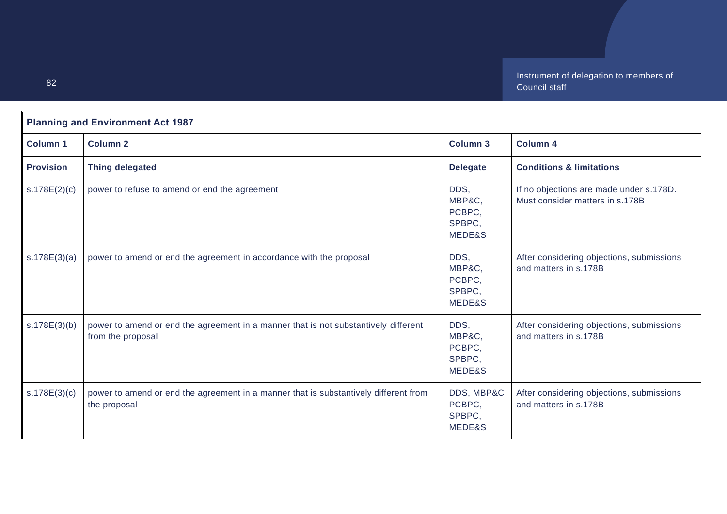| <b>Planning and Environment Act 1987</b> |                                                                                                          |                                              |                                                                            |
|------------------------------------------|----------------------------------------------------------------------------------------------------------|----------------------------------------------|----------------------------------------------------------------------------|
| Column 1                                 | <b>Column 2</b>                                                                                          | <b>Column 3</b>                              | <b>Column 4</b>                                                            |
| <b>Provision</b>                         | <b>Thing delegated</b>                                                                                   | <b>Delegate</b>                              | <b>Conditions &amp; limitations</b>                                        |
| s.178E(2)(c)                             | power to refuse to amend or end the agreement                                                            | DDS,<br>MBP&C,<br>PCBPC,<br>SPBPC,<br>MEDE&S | If no objections are made under s.178D.<br>Must consider matters in s.178B |
| s.178E(3)(a)                             | power to amend or end the agreement in accordance with the proposal                                      | DDS,<br>MBP&C,<br>PCBPC,<br>SPBPC,<br>MEDE&S | After considering objections, submissions<br>and matters in s.178B         |
| s.178E(3)(b)                             | power to amend or end the agreement in a manner that is not substantively different<br>from the proposal | DDS,<br>MBP&C,<br>PCBPC,<br>SPBPC,<br>MEDE&S | After considering objections, submissions<br>and matters in s.178B         |
| s.178E(3)(c)                             | power to amend or end the agreement in a manner that is substantively different from<br>the proposal     | DDS, MBP&C<br>PCBPC,<br>SPBPC,<br>MEDE&S     | After considering objections, submissions<br>and matters in s.178B         |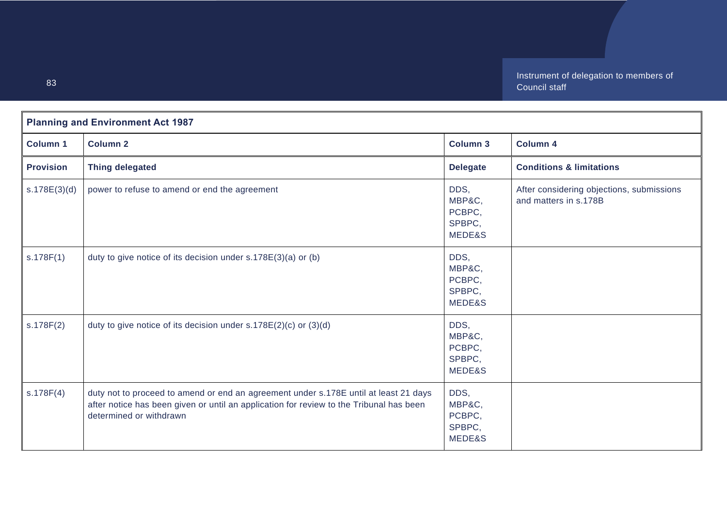| <b>Planning and Environment Act 1987</b> |                                                                                                                                                                                                            |                                              |                                                                    |
|------------------------------------------|------------------------------------------------------------------------------------------------------------------------------------------------------------------------------------------------------------|----------------------------------------------|--------------------------------------------------------------------|
| <b>Column 1</b>                          | <b>Column 2</b>                                                                                                                                                                                            | <b>Column 3</b>                              | <b>Column 4</b>                                                    |
| <b>Provision</b>                         | <b>Thing delegated</b>                                                                                                                                                                                     | <b>Delegate</b>                              | <b>Conditions &amp; limitations</b>                                |
| s.178E(3)(d)                             | power to refuse to amend or end the agreement                                                                                                                                                              | DDS,<br>MBP&C,<br>PCBPC,<br>SPBPC,<br>MEDE&S | After considering objections, submissions<br>and matters in s.178B |
| s.178F(1)                                | duty to give notice of its decision under s.178E(3)(a) or (b)                                                                                                                                              | DDS,<br>MBP&C,<br>PCBPC,<br>SPBPC,<br>MEDE&S |                                                                    |
| s.178F(2)                                | duty to give notice of its decision under $s.178E(2)(c)$ or $(3)(d)$                                                                                                                                       | DDS,<br>MBP&C,<br>PCBPC,<br>SPBPC,<br>MEDE&S |                                                                    |
| s.178F(4)                                | duty not to proceed to amend or end an agreement under s.178E until at least 21 days<br>after notice has been given or until an application for review to the Tribunal has been<br>determined or withdrawn | DDS,<br>MBP&C,<br>PCBPC,<br>SPBPC,<br>MEDE&S |                                                                    |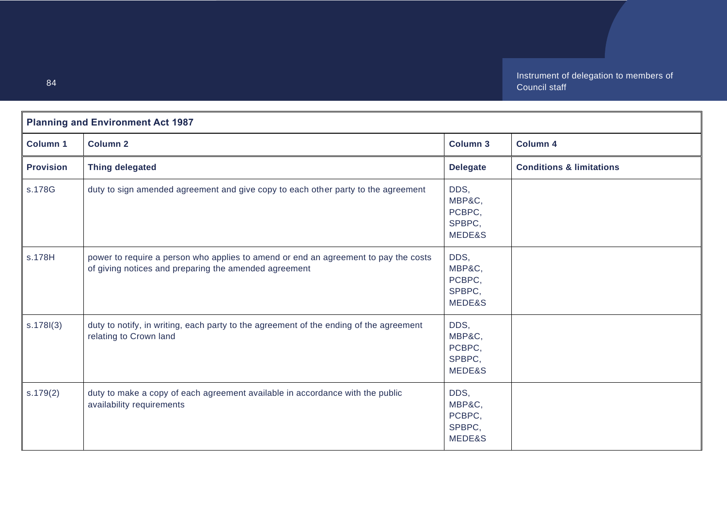| <b>Planning and Environment Act 1987</b> |                                                                                                                                              |                                              |                                     |
|------------------------------------------|----------------------------------------------------------------------------------------------------------------------------------------------|----------------------------------------------|-------------------------------------|
| <b>Column 1</b>                          | <b>Column 2</b>                                                                                                                              | <b>Column 3</b>                              | <b>Column 4</b>                     |
| <b>Provision</b>                         | <b>Thing delegated</b>                                                                                                                       | <b>Delegate</b>                              | <b>Conditions &amp; limitations</b> |
| s.178G                                   | duty to sign amended agreement and give copy to each other party to the agreement                                                            | DDS,<br>MBP&C,<br>PCBPC,<br>SPBPC,<br>MEDE&S |                                     |
| s.178H                                   | power to require a person who applies to amend or end an agreement to pay the costs<br>of giving notices and preparing the amended agreement | DDS,<br>MBP&C,<br>PCBPC,<br>SPBPC.<br>MEDE&S |                                     |
| s.178(3)                                 | duty to notify, in writing, each party to the agreement of the ending of the agreement<br>relating to Crown land                             | DDS,<br>MBP&C,<br>PCBPC,<br>SPBPC,<br>MEDE&S |                                     |
| s.179(2)                                 | duty to make a copy of each agreement available in accordance with the public<br>availability requirements                                   | DDS,<br>MBP&C,<br>PCBPC,<br>SPBPC,<br>MEDE&S |                                     |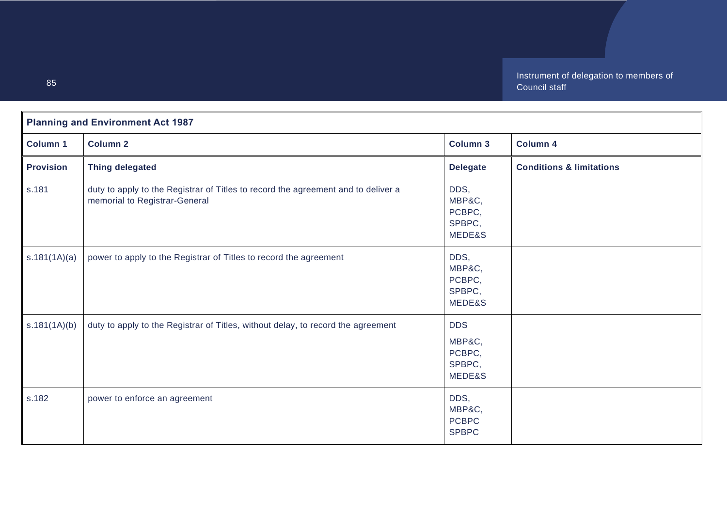| <b>Planning and Environment Act 1987</b> |                                                                                                                    |                                                    |                                     |
|------------------------------------------|--------------------------------------------------------------------------------------------------------------------|----------------------------------------------------|-------------------------------------|
| <b>Column 1</b>                          | <b>Column 2</b>                                                                                                    | <b>Column 3</b>                                    | <b>Column 4</b>                     |
| <b>Provision</b>                         | <b>Thing delegated</b>                                                                                             | <b>Delegate</b>                                    | <b>Conditions &amp; limitations</b> |
| s.181                                    | duty to apply to the Registrar of Titles to record the agreement and to deliver a<br>memorial to Registrar-General | DDS,<br>MBP&C,<br>PCBPC,<br>SPBPC,<br>MEDE&S       |                                     |
| s.181(1A)(a)                             | power to apply to the Registrar of Titles to record the agreement                                                  | DDS,<br>MBP&C,<br>PCBPC,<br>SPBPC,<br>MEDE&S       |                                     |
| s.181(1A)(b)                             | duty to apply to the Registrar of Titles, without delay, to record the agreement                                   | <b>DDS</b><br>MBP&C,<br>PCBPC,<br>SPBPC,<br>MEDE&S |                                     |
| s.182                                    | power to enforce an agreement                                                                                      | DDS,<br>MBP&C,<br><b>PCBPC</b><br><b>SPBPC</b>     |                                     |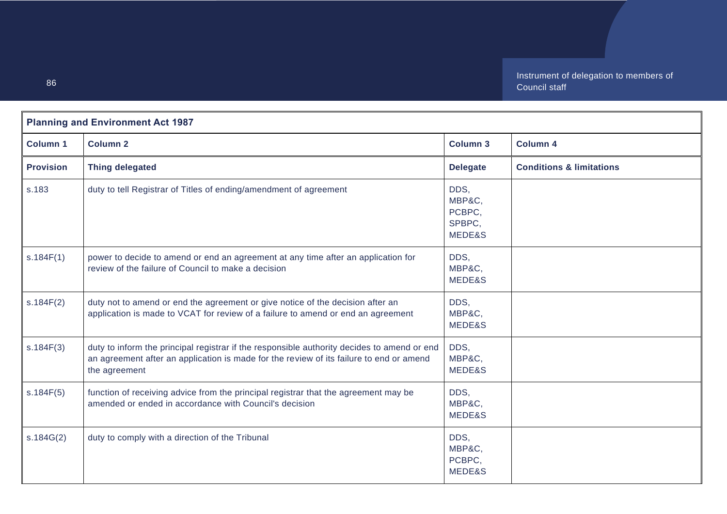| <b>Planning and Environment Act 1987</b> |                                                                                                                                                                                                         |                                              |                                     |
|------------------------------------------|---------------------------------------------------------------------------------------------------------------------------------------------------------------------------------------------------------|----------------------------------------------|-------------------------------------|
| <b>Column 1</b>                          | <b>Column 2</b>                                                                                                                                                                                         | <b>Column 3</b>                              | <b>Column 4</b>                     |
| <b>Provision</b>                         | <b>Thing delegated</b>                                                                                                                                                                                  | <b>Delegate</b>                              | <b>Conditions &amp; limitations</b> |
| s.183                                    | duty to tell Registrar of Titles of ending/amendment of agreement                                                                                                                                       | DDS,<br>MBP&C,<br>PCBPC,<br>SPBPC,<br>MEDE&S |                                     |
| s.184F(1)                                | power to decide to amend or end an agreement at any time after an application for<br>review of the failure of Council to make a decision                                                                | DDS,<br>MBP&C,<br>MEDE&S                     |                                     |
| s.184F(2)                                | duty not to amend or end the agreement or give notice of the decision after an<br>application is made to VCAT for review of a failure to amend or end an agreement                                      | DDS,<br>MBP&C,<br>MEDE&S                     |                                     |
| s.184F(3)                                | duty to inform the principal registrar if the responsible authority decides to amend or end<br>an agreement after an application is made for the review of its failure to end or amend<br>the agreement | DDS,<br>MBP&C,<br>MEDE&S                     |                                     |
| s.184F(5)                                | function of receiving advice from the principal registrar that the agreement may be<br>amended or ended in accordance with Council's decision                                                           | DDS,<br>MBP&C,<br>MEDE&S                     |                                     |
| s.184G(2)                                | duty to comply with a direction of the Tribunal                                                                                                                                                         | DDS,<br>MBP&C,<br>PCBPC,<br>MEDE&S           |                                     |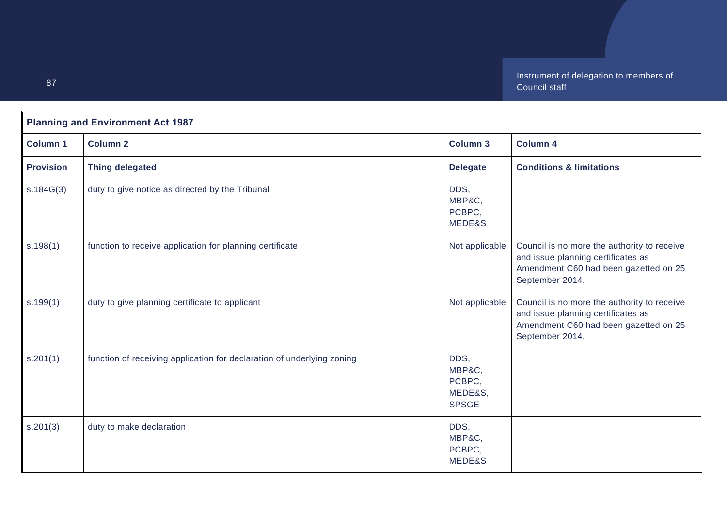| <b>Planning and Environment Act 1987</b> |                                                                        |                                                     |                                                                                                                                               |
|------------------------------------------|------------------------------------------------------------------------|-----------------------------------------------------|-----------------------------------------------------------------------------------------------------------------------------------------------|
| <b>Column 1</b>                          | <b>Column 2</b>                                                        | <b>Column 3</b>                                     | Column 4                                                                                                                                      |
| <b>Provision</b>                         | <b>Thing delegated</b>                                                 | <b>Delegate</b>                                     | <b>Conditions &amp; limitations</b>                                                                                                           |
| s.184G(3)                                | duty to give notice as directed by the Tribunal                        | DDS,<br>MBP&C,<br>PCBPC,<br>MEDE&S                  |                                                                                                                                               |
| s.198(1)                                 | function to receive application for planning certificate               | Not applicable                                      | Council is no more the authority to receive<br>and issue planning certificates as<br>Amendment C60 had been gazetted on 25<br>September 2014. |
| s.199(1)                                 | duty to give planning certificate to applicant                         | Not applicable                                      | Council is no more the authority to receive<br>and issue planning certificates as<br>Amendment C60 had been gazetted on 25<br>September 2014. |
| s.201(1)                                 | function of receiving application for declaration of underlying zoning | DDS,<br>MBP&C,<br>PCBPC,<br>MEDE&S,<br><b>SPSGE</b> |                                                                                                                                               |
| s.201(3)                                 | duty to make declaration                                               | DDS,<br>MBP&C,<br>PCBPC,<br>MEDE&S                  |                                                                                                                                               |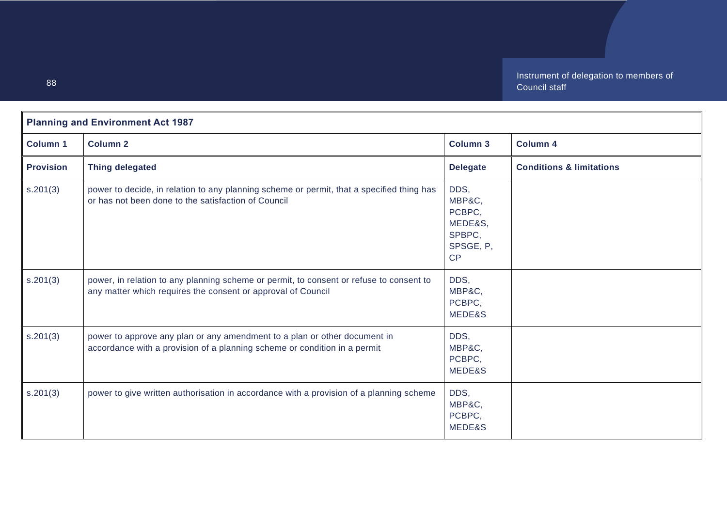| <b>Planning and Environment Act 1987</b> |                                                                                                                                                         |                                                                  |                                     |
|------------------------------------------|---------------------------------------------------------------------------------------------------------------------------------------------------------|------------------------------------------------------------------|-------------------------------------|
| <b>Column 1</b>                          | <b>Column 2</b>                                                                                                                                         | <b>Column 3</b>                                                  | <b>Column 4</b>                     |
| <b>Provision</b>                         | <b>Thing delegated</b>                                                                                                                                  | <b>Delegate</b>                                                  | <b>Conditions &amp; limitations</b> |
| s.201(3)                                 | power to decide, in relation to any planning scheme or permit, that a specified thing has<br>or has not been done to the satisfaction of Council        | DDS,<br>MBP&C,<br>PCBPC,<br>MEDE&S,<br>SPBPC,<br>SPSGE, P,<br>CP |                                     |
| s.201(3)                                 | power, in relation to any planning scheme or permit, to consent or refuse to consent to<br>any matter which requires the consent or approval of Council | DDS,<br>MBP&C,<br>PCBPC,<br>MEDE&S                               |                                     |
| s.201(3)                                 | power to approve any plan or any amendment to a plan or other document in<br>accordance with a provision of a planning scheme or condition in a permit  | DDS,<br>MBP&C,<br>PCBPC,<br>MEDE&S                               |                                     |
| s.201(3)                                 | power to give written authorisation in accordance with a provision of a planning scheme                                                                 | DDS,<br>MBP&C,<br>PCBPC,<br>MEDE&S                               |                                     |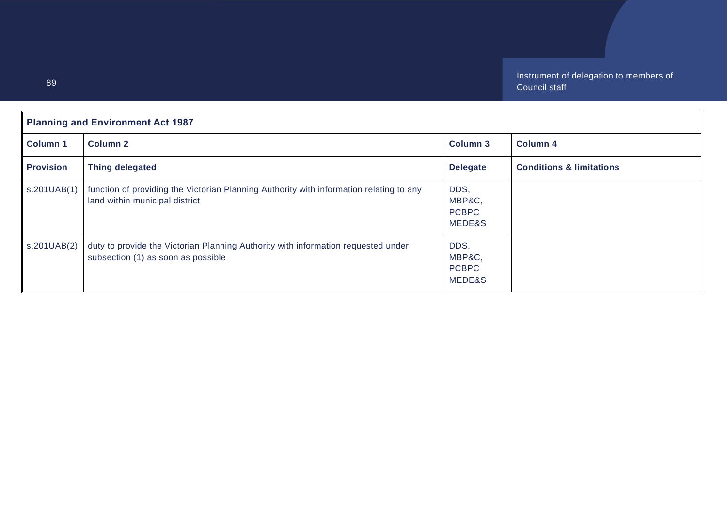| <b>Planning and Environment Act 1987</b> |                                                                                                                           |                                          |                                     |
|------------------------------------------|---------------------------------------------------------------------------------------------------------------------------|------------------------------------------|-------------------------------------|
| <b>Column 1</b>                          | <b>Column 2</b>                                                                                                           | <b>Column 3</b>                          | <b>Column 4</b>                     |
| <b>Provision</b>                         | <b>Thing delegated</b>                                                                                                    | <b>Delegate</b>                          | <b>Conditions &amp; limitations</b> |
| s.201UAB(1)                              | function of providing the Victorian Planning Authority with information relating to any<br>land within municipal district | DDS,<br>MBP&C,<br><b>PCBPC</b><br>MEDE&S |                                     |
| s.201UAB(2)                              | duty to provide the Victorian Planning Authority with information requested under<br>subsection (1) as soon as possible   | DDS,<br>MBP&C,<br><b>PCBPC</b><br>MEDE&S |                                     |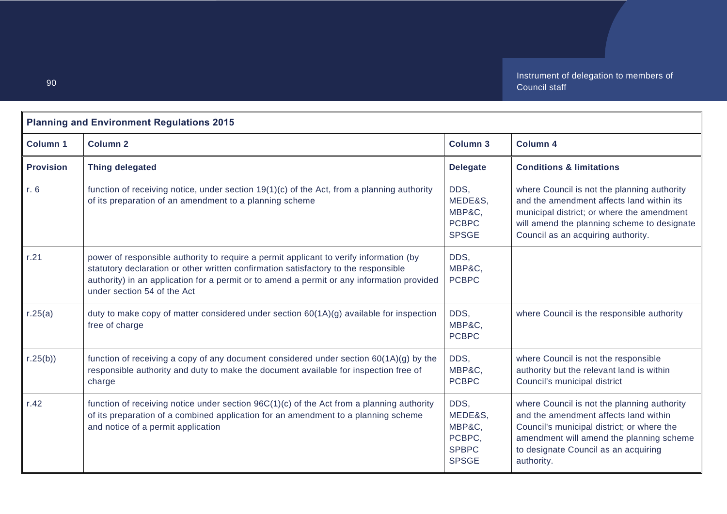| <b>Planning and Environment Regulations 2015</b> |                                                                                                                                                                                                                                                                                                            |                                                                     |                                                                                                                                                                                                                                      |
|--------------------------------------------------|------------------------------------------------------------------------------------------------------------------------------------------------------------------------------------------------------------------------------------------------------------------------------------------------------------|---------------------------------------------------------------------|--------------------------------------------------------------------------------------------------------------------------------------------------------------------------------------------------------------------------------------|
| <b>Column 1</b>                                  | <b>Column 2</b>                                                                                                                                                                                                                                                                                            | <b>Column 3</b>                                                     | <b>Column 4</b>                                                                                                                                                                                                                      |
| <b>Provision</b>                                 | <b>Thing delegated</b>                                                                                                                                                                                                                                                                                     | <b>Delegate</b>                                                     | <b>Conditions &amp; limitations</b>                                                                                                                                                                                                  |
| r. 6                                             | function of receiving notice, under section $19(1)(c)$ of the Act, from a planning authority<br>of its preparation of an amendment to a planning scheme                                                                                                                                                    | DDS.<br>MEDE&S,<br>MBP&C,<br><b>PCBPC</b><br><b>SPSGE</b>           | where Council is not the planning authority<br>and the amendment affects land within its<br>municipal district; or where the amendment<br>will amend the planning scheme to designate<br>Council as an acquiring authority.          |
| r.21                                             | power of responsible authority to require a permit applicant to verify information (by<br>statutory declaration or other written confirmation satisfactory to the responsible<br>authority) in an application for a permit or to amend a permit or any information provided<br>under section 54 of the Act | DDS.<br>MBP&C.<br><b>PCBPC</b>                                      |                                                                                                                                                                                                                                      |
| r.25(a)                                          | duty to make copy of matter considered under section $60(1A)(g)$ available for inspection<br>free of charge                                                                                                                                                                                                | DDS,<br>MBP&C,<br><b>PCBPC</b>                                      | where Council is the responsible authority                                                                                                                                                                                           |
| r.25(b)                                          | function of receiving a copy of any document considered under section $60(1A)(g)$ by the<br>responsible authority and duty to make the document available for inspection free of<br>charge                                                                                                                 | DDS,<br>MBP&C,<br><b>PCBPC</b>                                      | where Council is not the responsible<br>authority but the relevant land is within<br>Council's municipal district                                                                                                                    |
| r.42                                             | function of receiving notice under section $96C(1)(c)$ of the Act from a planning authority<br>of its preparation of a combined application for an amendment to a planning scheme<br>and notice of a permit application                                                                                    | DDS.<br>MEDE&S,<br>MBP&C,<br>PCBPC,<br><b>SPBPC</b><br><b>SPSGE</b> | where Council is not the planning authority<br>and the amendment affects land within<br>Council's municipal district; or where the<br>amendment will amend the planning scheme<br>to designate Council as an acquiring<br>authority. |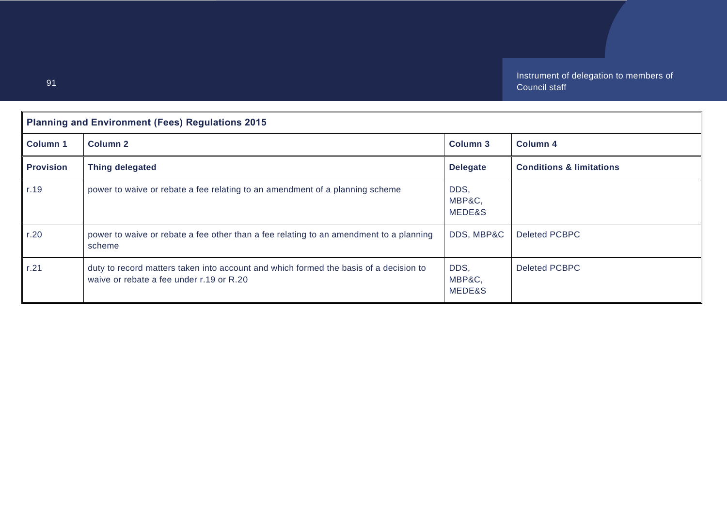| <b>Planning and Environment (Fees) Regulations 2015</b> |                                                                                                                                   |                          |                                     |
|---------------------------------------------------------|-----------------------------------------------------------------------------------------------------------------------------------|--------------------------|-------------------------------------|
| <b>Column 1</b>                                         | Column 2                                                                                                                          | <b>Column 3</b>          | Column <sub>4</sub>                 |
| <b>Provision</b>                                        | Thing delegated                                                                                                                   | <b>Delegate</b>          | <b>Conditions &amp; limitations</b> |
| r.19                                                    | power to waive or rebate a fee relating to an amendment of a planning scheme                                                      | DDS,<br>MBP&C,<br>MEDE&S |                                     |
| r.20                                                    | power to waive or rebate a fee other than a fee relating to an amendment to a planning<br>scheme                                  | DDS, MBP&C               | Deleted PCBPC                       |
| r.21                                                    | duty to record matters taken into account and which formed the basis of a decision to<br>waive or rebate a fee under r.19 or R.20 | DDS,<br>MBP&C,<br>MEDE&S | Deleted PCBPC                       |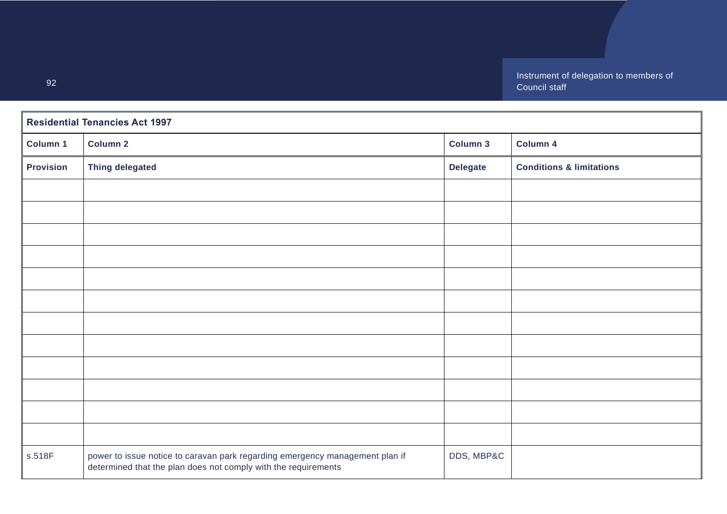| <b>Residential Tenancies Act 1997</b> |                                                                                                                                                |                 |                                     |
|---------------------------------------|------------------------------------------------------------------------------------------------------------------------------------------------|-----------------|-------------------------------------|
| Column 1                              | <b>Column 2</b>                                                                                                                                | <b>Column 3</b> | Column 4                            |
| <b>Provision</b>                      | <b>Thing delegated</b>                                                                                                                         | <b>Delegate</b> | <b>Conditions &amp; limitations</b> |
|                                       |                                                                                                                                                |                 |                                     |
|                                       |                                                                                                                                                |                 |                                     |
|                                       |                                                                                                                                                |                 |                                     |
|                                       |                                                                                                                                                |                 |                                     |
|                                       |                                                                                                                                                |                 |                                     |
|                                       |                                                                                                                                                |                 |                                     |
|                                       |                                                                                                                                                |                 |                                     |
|                                       |                                                                                                                                                |                 |                                     |
|                                       |                                                                                                                                                |                 |                                     |
|                                       |                                                                                                                                                |                 |                                     |
|                                       |                                                                                                                                                |                 |                                     |
|                                       |                                                                                                                                                |                 |                                     |
| s.518F                                | power to issue notice to caravan park regarding emergency management plan if<br>determined that the plan does not comply with the requirements | DDS, MBP&C      |                                     |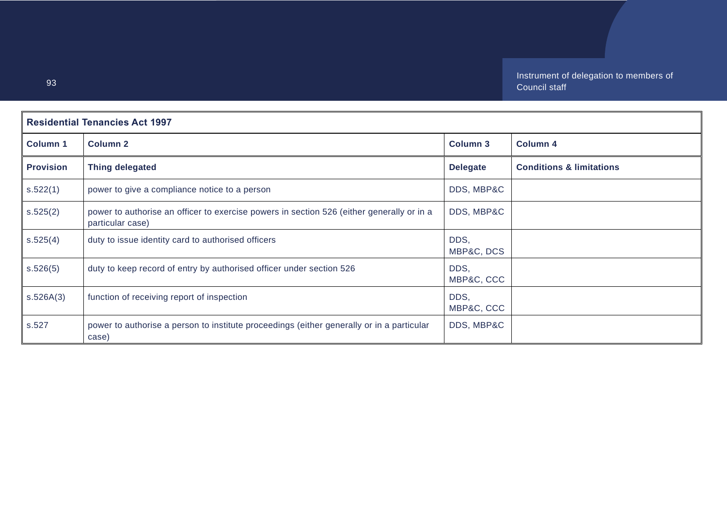| <b>Residential Tenancies Act 1997</b> |                                                                                                               |                    |                                     |
|---------------------------------------|---------------------------------------------------------------------------------------------------------------|--------------------|-------------------------------------|
| <b>Column 1</b>                       | <b>Column 2</b>                                                                                               | <b>Column 3</b>    | <b>Column 4</b>                     |
| <b>Provision</b>                      | Thing delegated                                                                                               | <b>Delegate</b>    | <b>Conditions &amp; limitations</b> |
| s.522(1)                              | power to give a compliance notice to a person                                                                 | DDS, MBP&C         |                                     |
| s.525(2)                              | power to authorise an officer to exercise powers in section 526 (either generally or in a<br>particular case) | DDS, MBP&C         |                                     |
| s.525(4)                              | duty to issue identity card to authorised officers                                                            | DDS,<br>MBP&C, DCS |                                     |
| s.526(5)                              | duty to keep record of entry by authorised officer under section 526                                          | DDS,<br>MBP&C, CCC |                                     |
| s.526A(3)                             | function of receiving report of inspection                                                                    | DDS,<br>MBP&C, CCC |                                     |
| s.527                                 | power to authorise a person to institute proceedings (either generally or in a particular<br>case)            | DDS, MBP&C         |                                     |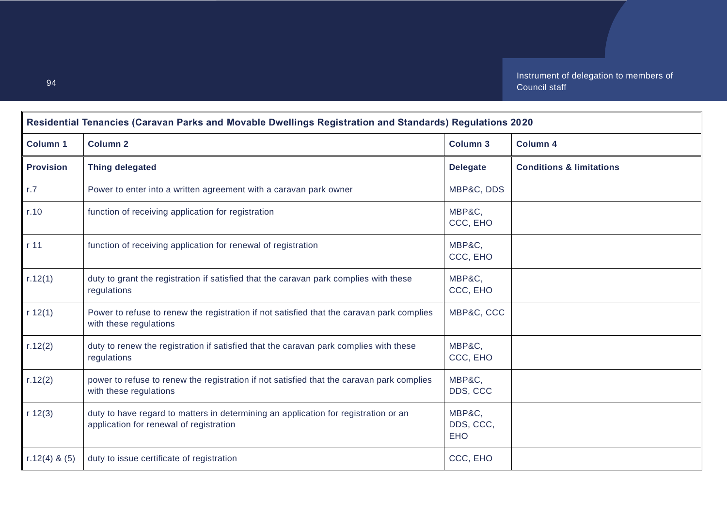| Residential Tenancies (Caravan Parks and Movable Dwellings Registration and Standards) Regulations 2020 |                                                                                                                                |                                   |                                     |
|---------------------------------------------------------------------------------------------------------|--------------------------------------------------------------------------------------------------------------------------------|-----------------------------------|-------------------------------------|
| <b>Column 1</b>                                                                                         | <b>Column 2</b>                                                                                                                | <b>Column 3</b>                   | <b>Column 4</b>                     |
| <b>Provision</b>                                                                                        | <b>Thing delegated</b>                                                                                                         | <b>Delegate</b>                   | <b>Conditions &amp; limitations</b> |
| r.7                                                                                                     | Power to enter into a written agreement with a caravan park owner                                                              | MBP&C, DDS                        |                                     |
| r.10                                                                                                    | function of receiving application for registration                                                                             | MBP&C,<br>CCC, EHO                |                                     |
| r <sub>11</sub>                                                                                         | function of receiving application for renewal of registration                                                                  | MBP&C,<br>CCC, EHO                |                                     |
| r.12(1)                                                                                                 | duty to grant the registration if satisfied that the caravan park complies with these<br>regulations                           | MBP&C,<br>CCC, EHO                |                                     |
| r 12(1)                                                                                                 | Power to refuse to renew the registration if not satisfied that the caravan park complies<br>with these regulations            | MBP&C, CCC                        |                                     |
| r.12(2)                                                                                                 | duty to renew the registration if satisfied that the caravan park complies with these<br>regulations                           | MBP&C,<br>CCC, EHO                |                                     |
| r.12(2)                                                                                                 | power to refuse to renew the registration if not satisfied that the caravan park complies<br>with these regulations            | MBP&C,<br>DDS, CCC                |                                     |
| r 12(3)                                                                                                 | duty to have regard to matters in determining an application for registration or an<br>application for renewal of registration | MBP&C,<br>DDS, CCC,<br><b>EHO</b> |                                     |
| $r.12(4)$ & (5)                                                                                         | duty to issue certificate of registration                                                                                      | CCC, EHO                          |                                     |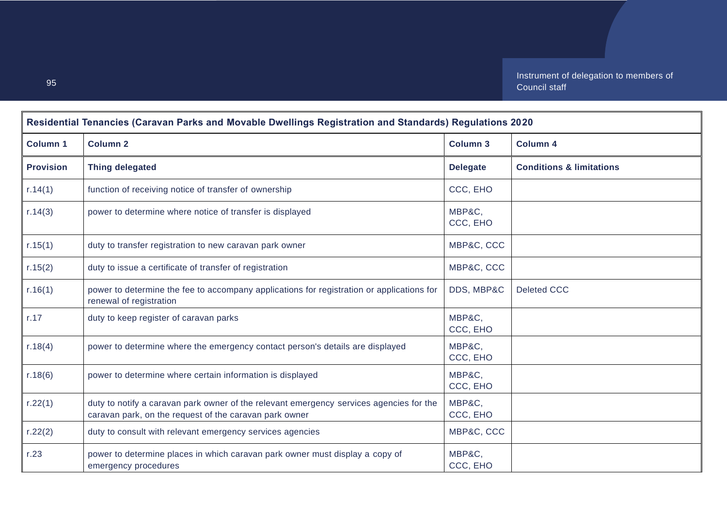| Residential Tenancies (Caravan Parks and Movable Dwellings Registration and Standards) Regulations 2020 |                                                                                                                                                   |                    |                                     |
|---------------------------------------------------------------------------------------------------------|---------------------------------------------------------------------------------------------------------------------------------------------------|--------------------|-------------------------------------|
| <b>Column 1</b>                                                                                         | <b>Column 2</b>                                                                                                                                   | <b>Column 3</b>    | <b>Column 4</b>                     |
| <b>Provision</b>                                                                                        | <b>Thing delegated</b>                                                                                                                            | <b>Delegate</b>    | <b>Conditions &amp; limitations</b> |
| r.14(1)                                                                                                 | function of receiving notice of transfer of ownership                                                                                             | CCC, EHO           |                                     |
| r.14(3)                                                                                                 | power to determine where notice of transfer is displayed                                                                                          | MBP&C,<br>CCC, EHO |                                     |
| r.15(1)                                                                                                 | duty to transfer registration to new caravan park owner                                                                                           | MBP&C, CCC         |                                     |
| r.15(2)                                                                                                 | duty to issue a certificate of transfer of registration                                                                                           | MBP&C, CCC         |                                     |
| r.16(1)                                                                                                 | power to determine the fee to accompany applications for registration or applications for<br>renewal of registration                              | DDS, MBP&C         | <b>Deleted CCC</b>                  |
| r.17                                                                                                    | duty to keep register of caravan parks                                                                                                            | MBP&C,<br>CCC, EHO |                                     |
| r.18(4)                                                                                                 | power to determine where the emergency contact person's details are displayed                                                                     | MBP&C,<br>CCC, EHO |                                     |
| r.18(6)                                                                                                 | power to determine where certain information is displayed                                                                                         | MBP&C.<br>CCC, EHO |                                     |
| r.22(1)                                                                                                 | duty to notify a caravan park owner of the relevant emergency services agencies for the<br>caravan park, on the request of the caravan park owner | MBP&C,<br>CCC, EHO |                                     |
| r.22(2)                                                                                                 | duty to consult with relevant emergency services agencies                                                                                         | MBP&C, CCC         |                                     |
| r.23                                                                                                    | power to determine places in which caravan park owner must display a copy of<br>emergency procedures                                              | MBP&C,<br>CCC, EHO |                                     |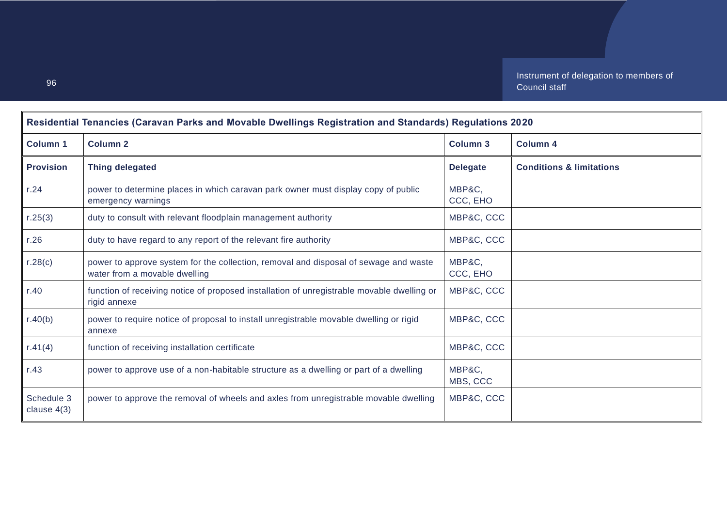| Residential Tenancies (Caravan Parks and Movable Dwellings Registration and Standards) Regulations 2020 |                                                                                                                       |                    |                                     |
|---------------------------------------------------------------------------------------------------------|-----------------------------------------------------------------------------------------------------------------------|--------------------|-------------------------------------|
| <b>Column 1</b>                                                                                         | <b>Column 2</b>                                                                                                       | <b>Column 3</b>    | <b>Column 4</b>                     |
| <b>Provision</b>                                                                                        | <b>Thing delegated</b>                                                                                                | <b>Delegate</b>    | <b>Conditions &amp; limitations</b> |
| r.24                                                                                                    | power to determine places in which caravan park owner must display copy of public<br>emergency warnings               | MBP&C.<br>CCC, EHO |                                     |
| r.25(3)                                                                                                 | duty to consult with relevant floodplain management authority                                                         | MBP&C, CCC         |                                     |
| r.26                                                                                                    | duty to have regard to any report of the relevant fire authority                                                      | MBP&C, CCC         |                                     |
| r.28(c)                                                                                                 | power to approve system for the collection, removal and disposal of sewage and waste<br>water from a movable dwelling | MBP&C,<br>CCC, EHO |                                     |
| r.40                                                                                                    | function of receiving notice of proposed installation of unregistrable movable dwelling or<br>rigid annexe            | MBP&C, CCC         |                                     |
| r.40(b)                                                                                                 | power to require notice of proposal to install unregistrable movable dwelling or rigid<br>annexe                      | MBP&C, CCC         |                                     |
| r.41(4)                                                                                                 | function of receiving installation certificate                                                                        | MBP&C, CCC         |                                     |
| r.43                                                                                                    | power to approve use of a non-habitable structure as a dwelling or part of a dwelling                                 | MBP&C,<br>MBS, CCC |                                     |
| Schedule 3<br>clause $4(3)$                                                                             | power to approve the removal of wheels and axles from unregistrable movable dwelling                                  | MBP&C, CCC         |                                     |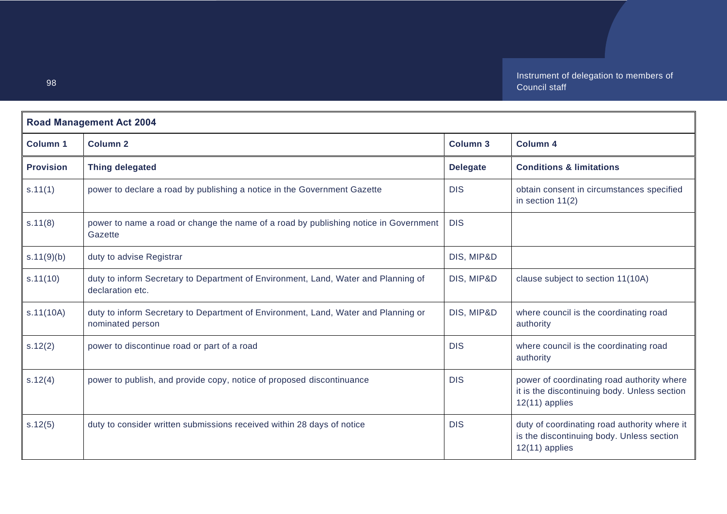| <b>Road Management Act 2004</b> |                                                                                                        |                 |                                                                                                                |
|---------------------------------|--------------------------------------------------------------------------------------------------------|-----------------|----------------------------------------------------------------------------------------------------------------|
| Column <sub>1</sub>             | Column <sub>2</sub>                                                                                    | <b>Column 3</b> | <b>Column 4</b>                                                                                                |
| <b>Provision</b>                | <b>Thing delegated</b>                                                                                 | <b>Delegate</b> | <b>Conditions &amp; limitations</b>                                                                            |
| s.11(1)                         | power to declare a road by publishing a notice in the Government Gazette                               | <b>DIS</b>      | obtain consent in circumstances specified<br>in section $11(2)$                                                |
| s.11(8)                         | power to name a road or change the name of a road by publishing notice in Government<br>Gazette        | <b>DIS</b>      |                                                                                                                |
| s.11(9)(b)                      | duty to advise Registrar                                                                               | DIS, MIP&D      |                                                                                                                |
| s.11(10)                        | duty to inform Secretary to Department of Environment, Land, Water and Planning of<br>declaration etc. | DIS, MIP&D      | clause subject to section 11(10A)                                                                              |
| s.11(10A)                       | duty to inform Secretary to Department of Environment, Land, Water and Planning or<br>nominated person | DIS, MIP&D      | where council is the coordinating road<br>authority                                                            |
| s.12(2)                         | power to discontinue road or part of a road                                                            | <b>DIS</b>      | where council is the coordinating road<br>authority                                                            |
| s.12(4)                         | power to publish, and provide copy, notice of proposed discontinuance                                  | <b>DIS</b>      | power of coordinating road authority where<br>it is the discontinuing body. Unless section<br>$12(11)$ applies |
| s.12(5)                         | duty to consider written submissions received within 28 days of notice                                 | <b>DIS</b>      | duty of coordinating road authority where it<br>is the discontinuing body. Unless section<br>$12(11)$ applies  |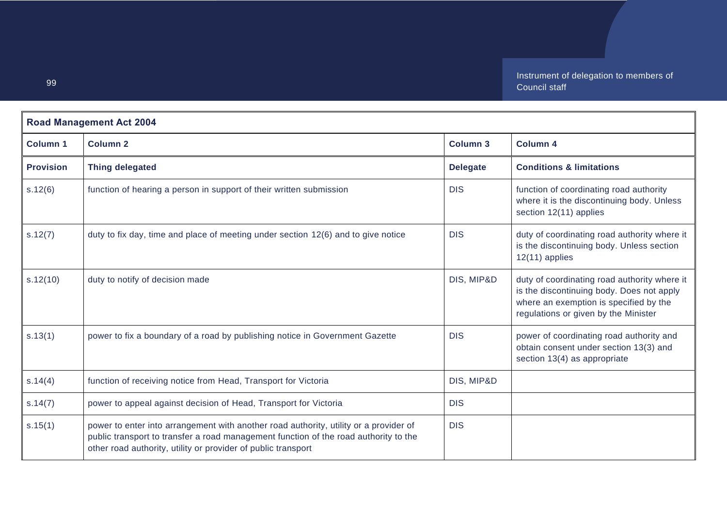| <b>Road Management Act 2004</b> |                                                                                                                                                                                                                                                |                 |                                                                                                                                                                             |
|---------------------------------|------------------------------------------------------------------------------------------------------------------------------------------------------------------------------------------------------------------------------------------------|-----------------|-----------------------------------------------------------------------------------------------------------------------------------------------------------------------------|
| <b>Column 1</b>                 | <b>Column 2</b>                                                                                                                                                                                                                                | <b>Column 3</b> | <b>Column 4</b>                                                                                                                                                             |
| <b>Provision</b>                | <b>Thing delegated</b>                                                                                                                                                                                                                         | <b>Delegate</b> | <b>Conditions &amp; limitations</b>                                                                                                                                         |
| s.12(6)                         | function of hearing a person in support of their written submission                                                                                                                                                                            | <b>DIS</b>      | function of coordinating road authority<br>where it is the discontinuing body. Unless<br>section 12(11) applies                                                             |
| s.12(7)                         | duty to fix day, time and place of meeting under section 12(6) and to give notice                                                                                                                                                              | <b>DIS</b>      | duty of coordinating road authority where it<br>is the discontinuing body. Unless section<br>$12(11)$ applies                                                               |
| s.12(10)                        | duty to notify of decision made                                                                                                                                                                                                                | DIS, MIP&D      | duty of coordinating road authority where it<br>is the discontinuing body. Does not apply<br>where an exemption is specified by the<br>regulations or given by the Minister |
| s.13(1)                         | power to fix a boundary of a road by publishing notice in Government Gazette                                                                                                                                                                   | <b>DIS</b>      | power of coordinating road authority and<br>obtain consent under section 13(3) and<br>section 13(4) as appropriate                                                          |
| s.14(4)                         | function of receiving notice from Head, Transport for Victoria                                                                                                                                                                                 | DIS, MIP&D      |                                                                                                                                                                             |
| s.14(7)                         | power to appeal against decision of Head, Transport for Victoria                                                                                                                                                                               | <b>DIS</b>      |                                                                                                                                                                             |
| s.15(1)                         | power to enter into arrangement with another road authority, utility or a provider of<br>public transport to transfer a road management function of the road authority to the<br>other road authority, utility or provider of public transport | <b>DIS</b>      |                                                                                                                                                                             |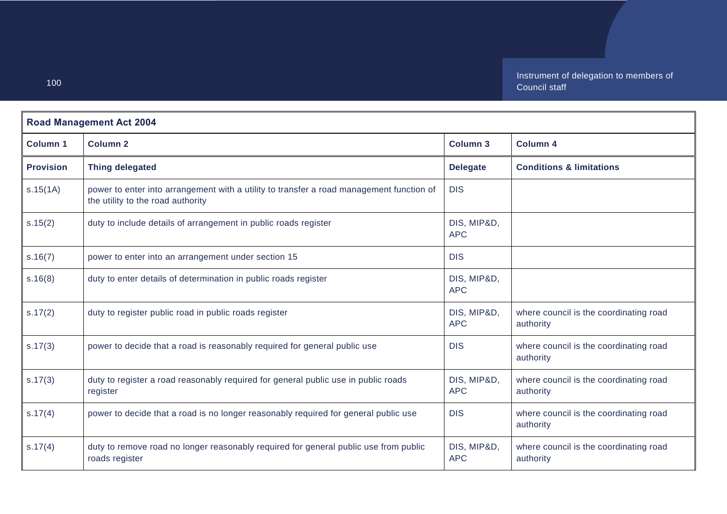| <b>Road Management Act 2004</b> |                                                                                                                               |                           |                                                     |
|---------------------------------|-------------------------------------------------------------------------------------------------------------------------------|---------------------------|-----------------------------------------------------|
| <b>Column 1</b>                 | <b>Column 2</b>                                                                                                               | <b>Column 3</b>           | <b>Column 4</b>                                     |
| <b>Provision</b>                | <b>Thing delegated</b>                                                                                                        | <b>Delegate</b>           | <b>Conditions &amp; limitations</b>                 |
| s.15(1A)                        | power to enter into arrangement with a utility to transfer a road management function of<br>the utility to the road authority | <b>DIS</b>                |                                                     |
| s.15(2)                         | duty to include details of arrangement in public roads register                                                               | DIS, MIP&D,<br><b>APC</b> |                                                     |
| s.16(7)                         | power to enter into an arrangement under section 15                                                                           | <b>DIS</b>                |                                                     |
| s.16(8)                         | duty to enter details of determination in public roads register                                                               | DIS, MIP&D,<br><b>APC</b> |                                                     |
| s.17(2)                         | duty to register public road in public roads register                                                                         | DIS, MIP&D,<br><b>APC</b> | where council is the coordinating road<br>authority |
| s.17(3)                         | power to decide that a road is reasonably required for general public use                                                     | <b>DIS</b>                | where council is the coordinating road<br>authority |
| s.17(3)                         | duty to register a road reasonably required for general public use in public roads<br>register                                | DIS, MIP&D,<br><b>APC</b> | where council is the coordinating road<br>authority |
| s.17(4)                         | power to decide that a road is no longer reasonably required for general public use                                           | <b>DIS</b>                | where council is the coordinating road<br>authority |
| s.17(4)                         | duty to remove road no longer reasonably required for general public use from public<br>roads register                        | DIS, MIP&D,<br><b>APC</b> | where council is the coordinating road<br>authority |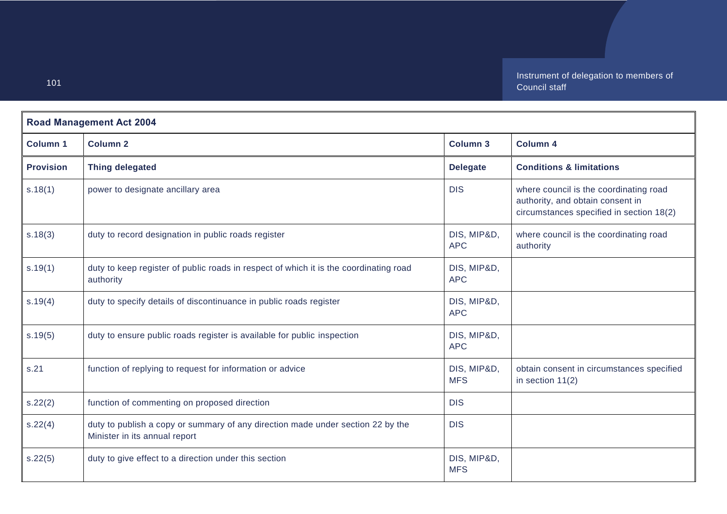| <b>Road Management Act 2004</b> |                                                                                                                  |                           |                                                                                                                        |
|---------------------------------|------------------------------------------------------------------------------------------------------------------|---------------------------|------------------------------------------------------------------------------------------------------------------------|
| <b>Column 1</b>                 | <b>Column 2</b>                                                                                                  | Column 3                  | Column 4                                                                                                               |
| <b>Provision</b>                | <b>Thing delegated</b>                                                                                           | <b>Delegate</b>           | <b>Conditions &amp; limitations</b>                                                                                    |
| s.18(1)                         | power to designate ancillary area                                                                                | <b>DIS</b>                | where council is the coordinating road<br>authority, and obtain consent in<br>circumstances specified in section 18(2) |
| s.18(3)                         | duty to record designation in public roads register                                                              | DIS, MIP&D,<br><b>APC</b> | where council is the coordinating road<br>authority                                                                    |
| s.19(1)                         | duty to keep register of public roads in respect of which it is the coordinating road<br>authority               | DIS, MIP&D,<br><b>APC</b> |                                                                                                                        |
| s.19(4)                         | duty to specify details of discontinuance in public roads register                                               | DIS, MIP&D,<br><b>APC</b> |                                                                                                                        |
| s.19(5)                         | duty to ensure public roads register is available for public inspection                                          | DIS, MIP&D,<br><b>APC</b> |                                                                                                                        |
| s.21                            | function of replying to request for information or advice                                                        | DIS, MIP&D,<br><b>MFS</b> | obtain consent in circumstances specified<br>in section $11(2)$                                                        |
| s.22(2)                         | function of commenting on proposed direction                                                                     | <b>DIS</b>                |                                                                                                                        |
| s.22(4)                         | duty to publish a copy or summary of any direction made under section 22 by the<br>Minister in its annual report | <b>DIS</b>                |                                                                                                                        |
| s.22(5)                         | duty to give effect to a direction under this section                                                            | DIS, MIP&D,<br><b>MFS</b> |                                                                                                                        |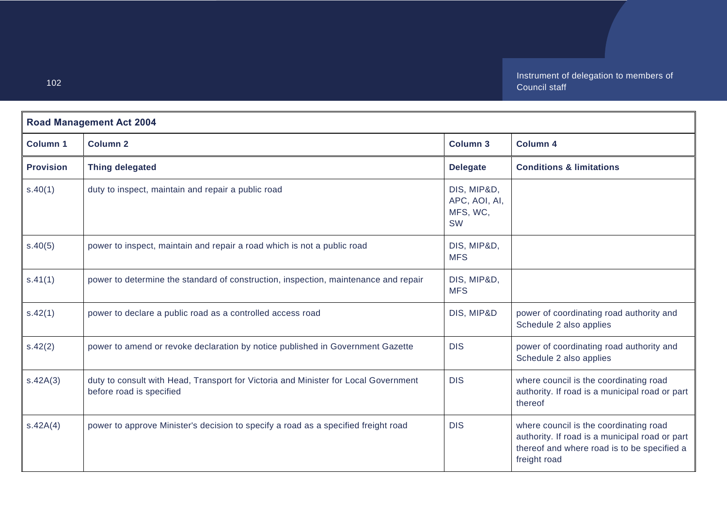| <b>Road Management Act 2004</b> |                                                                                                                 |                                                       |                                                                                                                                                         |
|---------------------------------|-----------------------------------------------------------------------------------------------------------------|-------------------------------------------------------|---------------------------------------------------------------------------------------------------------------------------------------------------------|
| Column <sub>1</sub>             | <b>Column 2</b>                                                                                                 | <b>Column 3</b>                                       | <b>Column 4</b>                                                                                                                                         |
| <b>Provision</b>                | <b>Thing delegated</b>                                                                                          | <b>Delegate</b>                                       | <b>Conditions &amp; limitations</b>                                                                                                                     |
| s.40(1)                         | duty to inspect, maintain and repair a public road                                                              | DIS, MIP&D,<br>APC, AOI, AI,<br>MFS, WC,<br><b>SW</b> |                                                                                                                                                         |
| s.40(5)                         | power to inspect, maintain and repair a road which is not a public road                                         | DIS, MIP&D,<br><b>MFS</b>                             |                                                                                                                                                         |
| s.41(1)                         | power to determine the standard of construction, inspection, maintenance and repair                             | DIS, MIP&D,<br><b>MFS</b>                             |                                                                                                                                                         |
| s.42(1)                         | power to declare a public road as a controlled access road                                                      | DIS, MIP&D                                            | power of coordinating road authority and<br>Schedule 2 also applies                                                                                     |
| s.42(2)                         | power to amend or revoke declaration by notice published in Government Gazette                                  | <b>DIS</b>                                            | power of coordinating road authority and<br>Schedule 2 also applies                                                                                     |
| s.42A(3)                        | duty to consult with Head, Transport for Victoria and Minister for Local Government<br>before road is specified | <b>DIS</b>                                            | where council is the coordinating road<br>authority. If road is a municipal road or part<br>thereof                                                     |
| s.42A(4)                        | power to approve Minister's decision to specify a road as a specified freight road                              | <b>DIS</b>                                            | where council is the coordinating road<br>authority. If road is a municipal road or part<br>thereof and where road is to be specified a<br>freight road |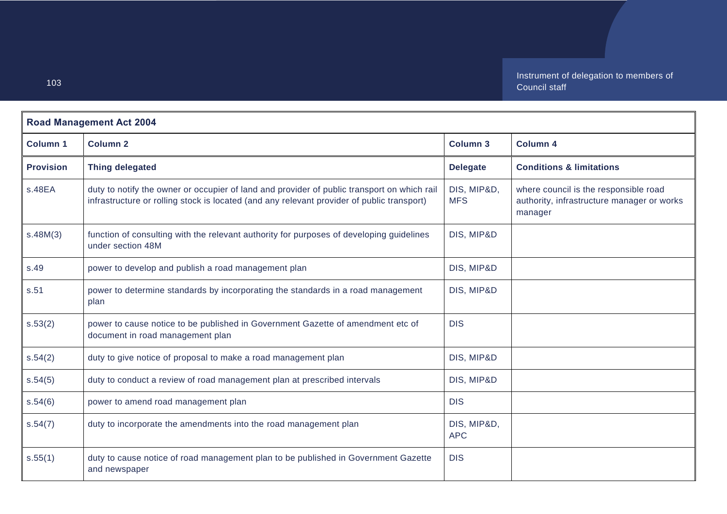| <b>Road Management Act 2004</b> |                                                                                                                                                                                           |                           |                                                                                                |
|---------------------------------|-------------------------------------------------------------------------------------------------------------------------------------------------------------------------------------------|---------------------------|------------------------------------------------------------------------------------------------|
| <b>Column 1</b>                 | <b>Column 2</b>                                                                                                                                                                           | <b>Column 3</b>           | <b>Column 4</b>                                                                                |
| <b>Provision</b>                | <b>Thing delegated</b>                                                                                                                                                                    | <b>Delegate</b>           | <b>Conditions &amp; limitations</b>                                                            |
| s.48EA                          | duty to notify the owner or occupier of land and provider of public transport on which rail<br>infrastructure or rolling stock is located (and any relevant provider of public transport) | DIS, MIP&D,<br><b>MFS</b> | where council is the responsible road<br>authority, infrastructure manager or works<br>manager |
| s.48M(3)                        | function of consulting with the relevant authority for purposes of developing guidelines<br>under section 48M                                                                             | DIS, MIP&D                |                                                                                                |
| s.49                            | power to develop and publish a road management plan                                                                                                                                       | DIS, MIP&D                |                                                                                                |
| s.51                            | power to determine standards by incorporating the standards in a road management<br>plan                                                                                                  | DIS, MIP&D                |                                                                                                |
| s.53(2)                         | power to cause notice to be published in Government Gazette of amendment etc of<br>document in road management plan                                                                       | <b>DIS</b>                |                                                                                                |
| s.54(2)                         | duty to give notice of proposal to make a road management plan                                                                                                                            | DIS, MIP&D                |                                                                                                |
| s.54(5)                         | duty to conduct a review of road management plan at prescribed intervals                                                                                                                  | DIS, MIP&D                |                                                                                                |
| s.54(6)                         | power to amend road management plan                                                                                                                                                       | <b>DIS</b>                |                                                                                                |
| s.54(7)                         | duty to incorporate the amendments into the road management plan                                                                                                                          | DIS, MIP&D,<br><b>APC</b> |                                                                                                |
| s.55(1)                         | duty to cause notice of road management plan to be published in Government Gazette<br>and newspaper                                                                                       | <b>DIS</b>                |                                                                                                |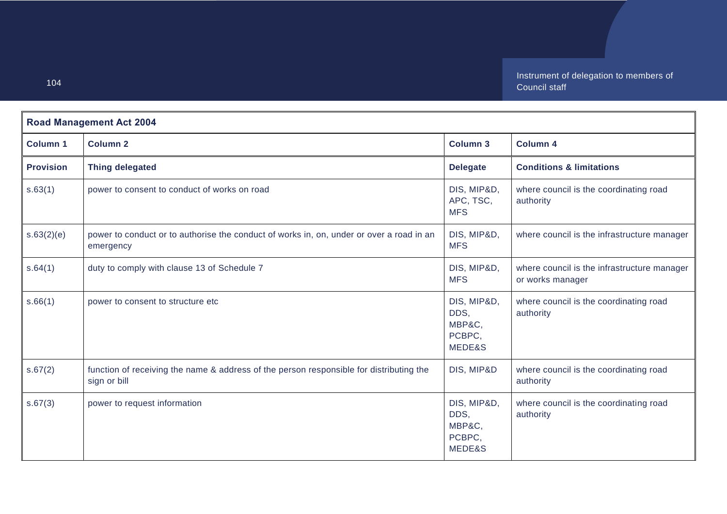| <b>Road Management Act 2004</b> |                                                                                                         |                                                   |                                                                 |
|---------------------------------|---------------------------------------------------------------------------------------------------------|---------------------------------------------------|-----------------------------------------------------------------|
| <b>Column 1</b>                 | <b>Column 2</b>                                                                                         | <b>Column 3</b>                                   | <b>Column 4</b>                                                 |
| <b>Provision</b>                | <b>Thing delegated</b>                                                                                  | <b>Delegate</b>                                   | <b>Conditions &amp; limitations</b>                             |
| s.63(1)                         | power to consent to conduct of works on road                                                            | DIS, MIP&D,<br>APC, TSC,<br><b>MFS</b>            | where council is the coordinating road<br>authority             |
| s.63(2)(e)                      | power to conduct or to authorise the conduct of works in, on, under or over a road in an<br>emergency   | DIS, MIP&D,<br><b>MFS</b>                         | where council is the infrastructure manager                     |
| s.64(1)                         | duty to comply with clause 13 of Schedule 7                                                             | DIS, MIP&D,<br><b>MFS</b>                         | where council is the infrastructure manager<br>or works manager |
| s.66(1)                         | power to consent to structure etc                                                                       | DIS, MIP&D,<br>DDS,<br>MBP&C,<br>PCBPC,<br>MEDE&S | where council is the coordinating road<br>authority             |
| s.67(2)                         | function of receiving the name & address of the person responsible for distributing the<br>sign or bill | DIS, MIP&D                                        | where council is the coordinating road<br>authority             |
| s.67(3)                         | power to request information                                                                            | DIS, MIP&D,<br>DDS,<br>MBP&C,<br>PCBPC,<br>MEDE&S | where council is the coordinating road<br>authority             |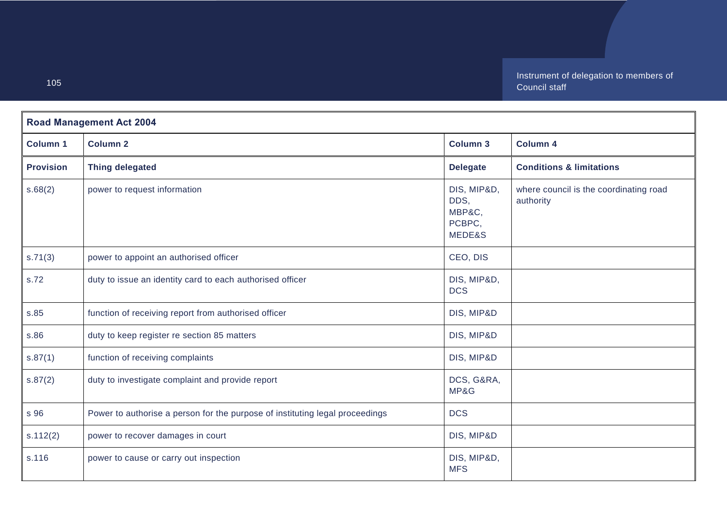| <b>Road Management Act 2004</b> |                                                                              |                                                   |                                                     |
|---------------------------------|------------------------------------------------------------------------------|---------------------------------------------------|-----------------------------------------------------|
| <b>Column 1</b>                 | <b>Column 2</b>                                                              | Column 3                                          | Column 4                                            |
| <b>Provision</b>                | <b>Thing delegated</b>                                                       | <b>Delegate</b>                                   | <b>Conditions &amp; limitations</b>                 |
| s.68(2)                         | power to request information                                                 | DIS, MIP&D,<br>DDS,<br>MBP&C,<br>PCBPC,<br>MEDE&S | where council is the coordinating road<br>authority |
| s.71(3)                         | power to appoint an authorised officer                                       | CEO, DIS                                          |                                                     |
| s.72                            | duty to issue an identity card to each authorised officer                    | DIS, MIP&D,<br><b>DCS</b>                         |                                                     |
| s.85                            | function of receiving report from authorised officer                         | DIS, MIP&D                                        |                                                     |
| s.86                            | duty to keep register re section 85 matters                                  | DIS, MIP&D                                        |                                                     |
| s.87(1)                         | function of receiving complaints                                             | DIS, MIP&D                                        |                                                     |
| s.87(2)                         | duty to investigate complaint and provide report                             | DCS, G&RA,<br>MP&G                                |                                                     |
| s 96                            | Power to authorise a person for the purpose of instituting legal proceedings | <b>DCS</b>                                        |                                                     |
| s.112(2)                        | power to recover damages in court                                            | DIS, MIP&D                                        |                                                     |
| s.116                           | power to cause or carry out inspection                                       | DIS, MIP&D,<br><b>MFS</b>                         |                                                     |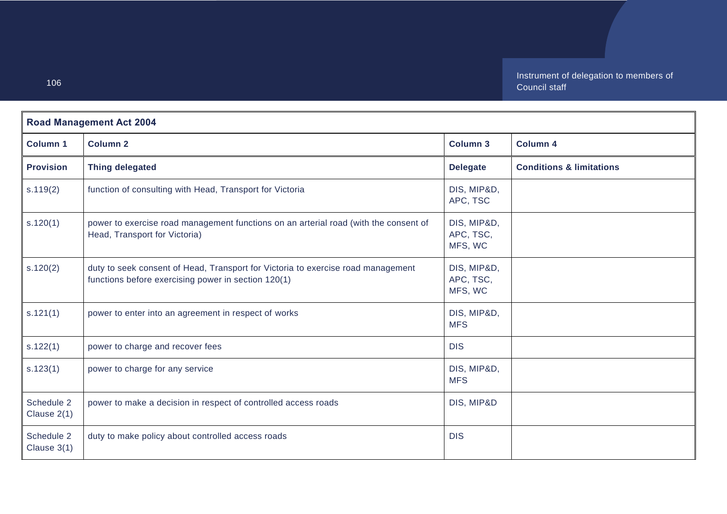| <b>Road Management Act 2004</b> |                                                                                                                                         |                                     |                                     |
|---------------------------------|-----------------------------------------------------------------------------------------------------------------------------------------|-------------------------------------|-------------------------------------|
| <b>Column 1</b>                 | <b>Column 2</b>                                                                                                                         | <b>Column 3</b>                     | <b>Column 4</b>                     |
| <b>Provision</b>                | <b>Thing delegated</b>                                                                                                                  | <b>Delegate</b>                     | <b>Conditions &amp; limitations</b> |
| s.119(2)                        | function of consulting with Head, Transport for Victoria                                                                                | DIS, MIP&D,<br>APC, TSC             |                                     |
| s.120(1)                        | power to exercise road management functions on an arterial road (with the consent of<br>Head, Transport for Victoria)                   | DIS, MIP&D,<br>APC, TSC,<br>MFS, WC |                                     |
| s.120(2)                        | duty to seek consent of Head, Transport for Victoria to exercise road management<br>functions before exercising power in section 120(1) | DIS, MIP&D,<br>APC, TSC,<br>MFS, WC |                                     |
| s.121(1)                        | power to enter into an agreement in respect of works                                                                                    | DIS, MIP&D,<br><b>MFS</b>           |                                     |
| s.122(1)                        | power to charge and recover fees                                                                                                        | <b>DIS</b>                          |                                     |
| s.123(1)                        | power to charge for any service                                                                                                         | DIS, MIP&D,<br><b>MFS</b>           |                                     |
| Schedule 2<br>Clause $2(1)$     | power to make a decision in respect of controlled access roads                                                                          | DIS, MIP&D                          |                                     |
| Schedule 2<br>Clause $3(1)$     | duty to make policy about controlled access roads                                                                                       | <b>DIS</b>                          |                                     |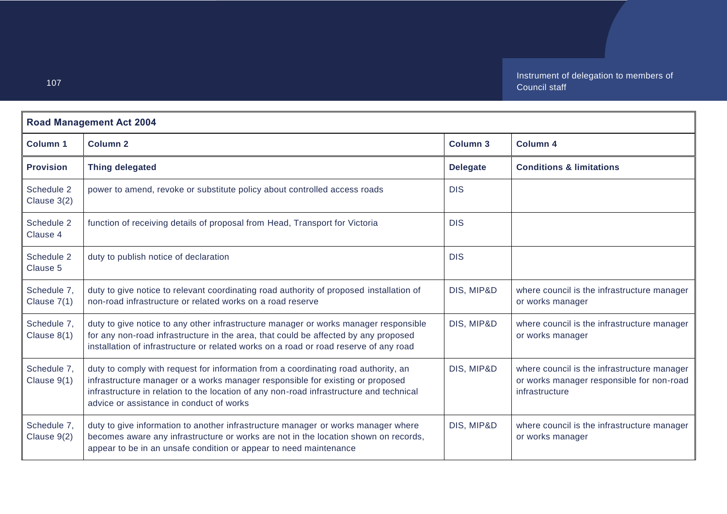| <b>Road Management Act 2004</b> |                                                                                                                                                                                                                                                                                                             |                 |                                                                                                            |
|---------------------------------|-------------------------------------------------------------------------------------------------------------------------------------------------------------------------------------------------------------------------------------------------------------------------------------------------------------|-----------------|------------------------------------------------------------------------------------------------------------|
| <b>Column 1</b>                 | <b>Column 2</b>                                                                                                                                                                                                                                                                                             | <b>Column 3</b> | <b>Column 4</b>                                                                                            |
| <b>Provision</b>                | <b>Thing delegated</b>                                                                                                                                                                                                                                                                                      | <b>Delegate</b> | <b>Conditions &amp; limitations</b>                                                                        |
| Schedule 2<br>Clause 3(2)       | power to amend, revoke or substitute policy about controlled access roads                                                                                                                                                                                                                                   | <b>DIS</b>      |                                                                                                            |
| Schedule 2<br>Clause 4          | function of receiving details of proposal from Head, Transport for Victoria                                                                                                                                                                                                                                 | <b>DIS</b>      |                                                                                                            |
| Schedule 2<br>Clause 5          | duty to publish notice of declaration                                                                                                                                                                                                                                                                       | <b>DIS</b>      |                                                                                                            |
| Schedule 7,<br>Clause 7(1)      | duty to give notice to relevant coordinating road authority of proposed installation of<br>non-road infrastructure or related works on a road reserve                                                                                                                                                       | DIS, MIP&D      | where council is the infrastructure manager<br>or works manager                                            |
| Schedule 7,<br>Clause 8(1)      | duty to give notice to any other infrastructure manager or works manager responsible<br>for any non-road infrastructure in the area, that could be affected by any proposed<br>installation of infrastructure or related works on a road or road reserve of any road                                        | DIS, MIP&D      | where council is the infrastructure manager<br>or works manager                                            |
| Schedule 7,<br>Clause 9(1)      | duty to comply with request for information from a coordinating road authority, an<br>infrastructure manager or a works manager responsible for existing or proposed<br>infrastructure in relation to the location of any non-road infrastructure and technical<br>advice or assistance in conduct of works | DIS, MIP&D      | where council is the infrastructure manager<br>or works manager responsible for non-road<br>infrastructure |
| Schedule 7,<br>Clause 9(2)      | duty to give information to another infrastructure manager or works manager where<br>becomes aware any infrastructure or works are not in the location shown on records,<br>appear to be in an unsafe condition or appear to need maintenance                                                               | DIS, MIP&D      | where council is the infrastructure manager<br>or works manager                                            |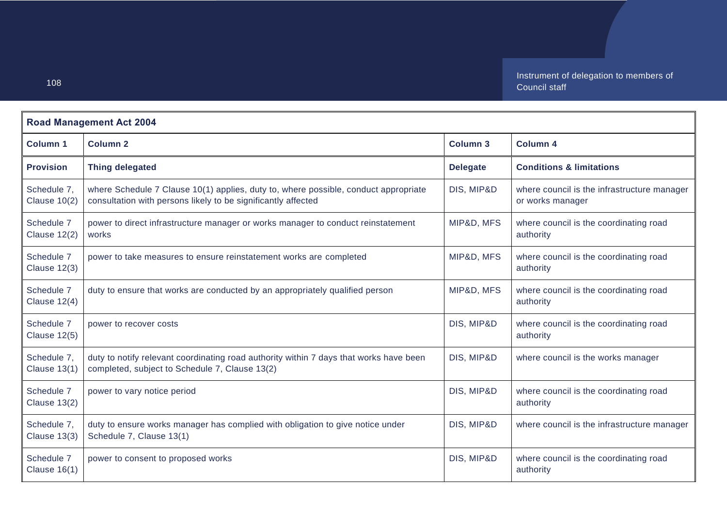| <b>Road Management Act 2004</b>    |                                                                                                                                                      |                 |                                                                 |
|------------------------------------|------------------------------------------------------------------------------------------------------------------------------------------------------|-----------------|-----------------------------------------------------------------|
| <b>Column 1</b>                    | <b>Column 2</b>                                                                                                                                      | <b>Column 3</b> | <b>Column 4</b>                                                 |
| <b>Provision</b>                   | <b>Thing delegated</b>                                                                                                                               | <b>Delegate</b> | <b>Conditions &amp; limitations</b>                             |
| Schedule 7,<br><b>Clause 10(2)</b> | where Schedule 7 Clause 10(1) applies, duty to, where possible, conduct appropriate<br>consultation with persons likely to be significantly affected | DIS, MIP&D      | where council is the infrastructure manager<br>or works manager |
| Schedule 7<br><b>Clause 12(2)</b>  | power to direct infrastructure manager or works manager to conduct reinstatement<br>works                                                            | MIP&D, MFS      | where council is the coordinating road<br>authority             |
| Schedule 7<br><b>Clause 12(3)</b>  | power to take measures to ensure reinstatement works are completed                                                                                   | MIP&D, MFS      | where council is the coordinating road<br>authority             |
| Schedule 7<br>Clause $12(4)$       | duty to ensure that works are conducted by an appropriately qualified person                                                                         | MIP&D, MFS      | where council is the coordinating road<br>authority             |
| Schedule 7<br><b>Clause 12(5)</b>  | power to recover costs                                                                                                                               | DIS, MIP&D      | where council is the coordinating road<br>authority             |
| Schedule 7,<br><b>Clause 13(1)</b> | duty to notify relevant coordinating road authority within 7 days that works have been<br>completed, subject to Schedule 7, Clause 13(2)             | DIS, MIP&D      | where council is the works manager                              |
| Schedule 7<br><b>Clause 13(2)</b>  | power to vary notice period                                                                                                                          | DIS, MIP&D      | where council is the coordinating road<br>authority             |
| Schedule 7,<br><b>Clause 13(3)</b> | duty to ensure works manager has complied with obligation to give notice under<br>Schedule 7, Clause 13(1)                                           | DIS, MIP&D      | where council is the infrastructure manager                     |
| Schedule 7<br><b>Clause 16(1)</b>  | power to consent to proposed works                                                                                                                   | DIS, MIP&D      | where council is the coordinating road<br>authority             |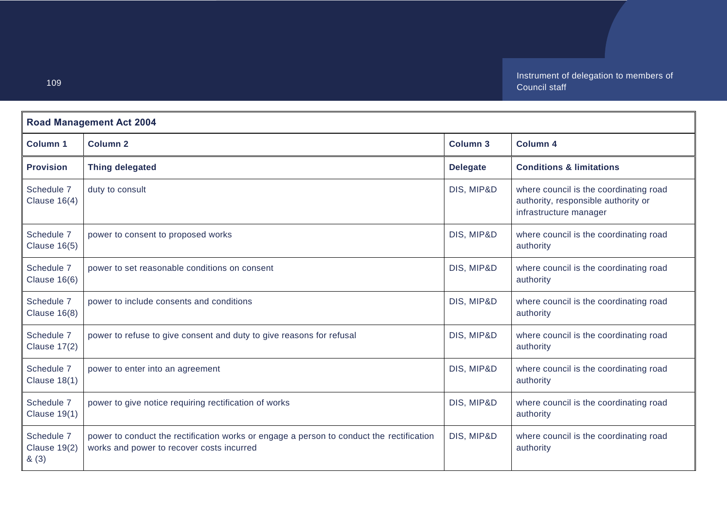Instrument of delegation to members of Council staff

| <b>Road Management Act 2004</b>           |                                                                                                                                       |                 |                                                                                                         |
|-------------------------------------------|---------------------------------------------------------------------------------------------------------------------------------------|-----------------|---------------------------------------------------------------------------------------------------------|
| <b>Column 1</b>                           | <b>Column 2</b>                                                                                                                       | <b>Column 3</b> | <b>Column 4</b>                                                                                         |
| <b>Provision</b>                          | <b>Thing delegated</b>                                                                                                                | <b>Delegate</b> | <b>Conditions &amp; limitations</b>                                                                     |
| Schedule 7<br>Clause $16(4)$              | duty to consult                                                                                                                       | DIS, MIP&D      | where council is the coordinating road<br>authority, responsible authority or<br>infrastructure manager |
| Schedule 7<br><b>Clause 16(5)</b>         | power to consent to proposed works                                                                                                    | DIS, MIP&D      | where council is the coordinating road<br>authority                                                     |
| Schedule 7<br><b>Clause 16(6)</b>         | power to set reasonable conditions on consent                                                                                         | DIS, MIP&D      | where council is the coordinating road<br>authority                                                     |
| Schedule 7<br><b>Clause 16(8)</b>         | power to include consents and conditions                                                                                              | DIS, MIP&D      | where council is the coordinating road<br>authority                                                     |
| Schedule 7<br><b>Clause 17(2)</b>         | power to refuse to give consent and duty to give reasons for refusal                                                                  | DIS, MIP&D      | where council is the coordinating road<br>authority                                                     |
| Schedule 7<br><b>Clause 18(1)</b>         | power to enter into an agreement                                                                                                      | DIS, MIP&D      | where council is the coordinating road<br>authority                                                     |
| Schedule 7<br><b>Clause 19(1)</b>         | power to give notice requiring rectification of works                                                                                 | DIS, MIP&D      | where council is the coordinating road<br>authority                                                     |
| Schedule 7<br><b>Clause 19(2)</b><br>&(3) | power to conduct the rectification works or engage a person to conduct the rectification<br>works and power to recover costs incurred | DIS, MIP&D      | where council is the coordinating road<br>authority                                                     |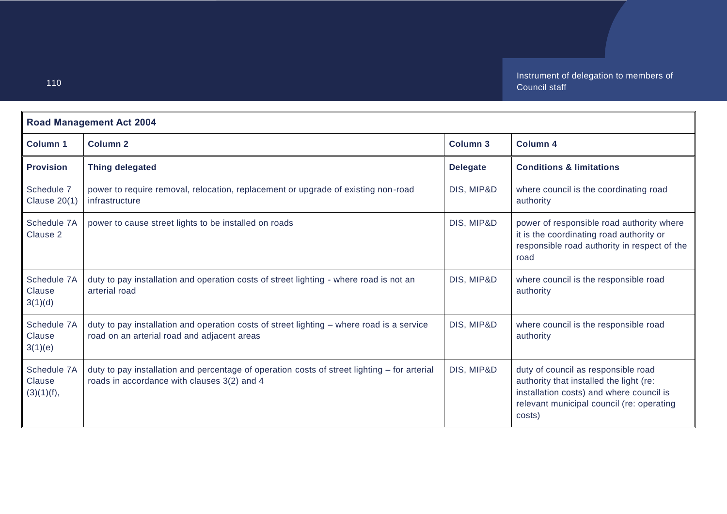Instrument of delegation to members of Council staff

| <b>Road Management Act 2004</b>     |                                                                                                                                             |                 |                                                                                                                                                                                   |
|-------------------------------------|---------------------------------------------------------------------------------------------------------------------------------------------|-----------------|-----------------------------------------------------------------------------------------------------------------------------------------------------------------------------------|
| <b>Column 1</b>                     | <b>Column 2</b>                                                                                                                             | <b>Column 3</b> | <b>Column 4</b>                                                                                                                                                                   |
| <b>Provision</b>                    | <b>Thing delegated</b>                                                                                                                      | <b>Delegate</b> | <b>Conditions &amp; limitations</b>                                                                                                                                               |
| Schedule 7<br><b>Clause 20(1)</b>   | power to require removal, relocation, replacement or upgrade of existing non-road<br>infrastructure                                         | DIS, MIP&D      | where council is the coordinating road<br>authority                                                                                                                               |
| Schedule 7A<br>Clause 2             | power to cause street lights to be installed on roads                                                                                       | DIS, MIP&D      | power of responsible road authority where<br>it is the coordinating road authority or<br>responsible road authority in respect of the<br>road                                     |
| Schedule 7A<br>Clause<br>3(1)(d)    | duty to pay installation and operation costs of street lighting - where road is not an<br>arterial road                                     | DIS, MIP&D      | where council is the responsible road<br>authority                                                                                                                                |
| Schedule 7A<br>Clause<br>3(1)(e)    | duty to pay installation and operation costs of street lighting - where road is a service<br>road on an arterial road and adjacent areas    | DIS, MIP&D      | where council is the responsible road<br>authority                                                                                                                                |
| Schedule 7A<br>Clause<br>(3)(1)(f), | duty to pay installation and percentage of operation costs of street lighting - for arterial<br>roads in accordance with clauses 3(2) and 4 | DIS, MIP&D      | duty of council as responsible road<br>authority that installed the light (re:<br>installation costs) and where council is<br>relevant municipal council (re: operating<br>costs) |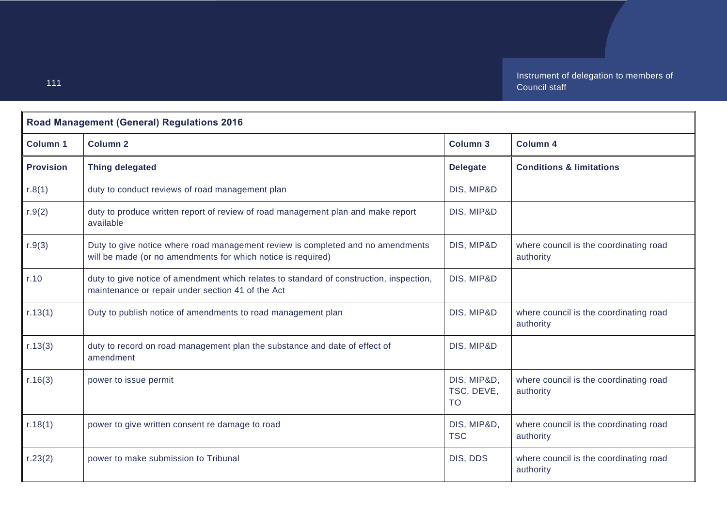Instrument of delegation to members of Council staff

| <b>Road Management (General) Regulations 2016</b> |                                                                                                                                                 |                                        |                                                     |
|---------------------------------------------------|-------------------------------------------------------------------------------------------------------------------------------------------------|----------------------------------------|-----------------------------------------------------|
| <b>Column 1</b>                                   | <b>Column 2</b>                                                                                                                                 | <b>Column 3</b>                        | <b>Column 4</b>                                     |
| <b>Provision</b>                                  | <b>Thing delegated</b>                                                                                                                          | <b>Delegate</b>                        | <b>Conditions &amp; limitations</b>                 |
| r.8(1)                                            | duty to conduct reviews of road management plan                                                                                                 | DIS, MIP&D                             |                                                     |
| r.9(2)                                            | duty to produce written report of review of road management plan and make report<br>available                                                   | DIS, MIP&D                             |                                                     |
| r.9(3)                                            | Duty to give notice where road management review is completed and no amendments<br>will be made (or no amendments for which notice is required) | DIS, MIP&D                             | where council is the coordinating road<br>authority |
| r.10                                              | duty to give notice of amendment which relates to standard of construction, inspection,<br>maintenance or repair under section 41 of the Act    | DIS, MIP&D                             |                                                     |
| r.13(1)                                           | Duty to publish notice of amendments to road management plan                                                                                    | DIS, MIP&D                             | where council is the coordinating road<br>authority |
| r.13(3)                                           | duty to record on road management plan the substance and date of effect of<br>amendment                                                         | DIS, MIP&D                             |                                                     |
| r.16(3)                                           | power to issue permit                                                                                                                           | DIS, MIP&D,<br>TSC, DEVE,<br><b>TO</b> | where council is the coordinating road<br>authority |
| r.18(1)                                           | power to give written consent re damage to road                                                                                                 | DIS, MIP&D,<br><b>TSC</b>              | where council is the coordinating road<br>authority |
| r.23(2)                                           | power to make submission to Tribunal                                                                                                            | DIS, DDS                               | where council is the coordinating road<br>authority |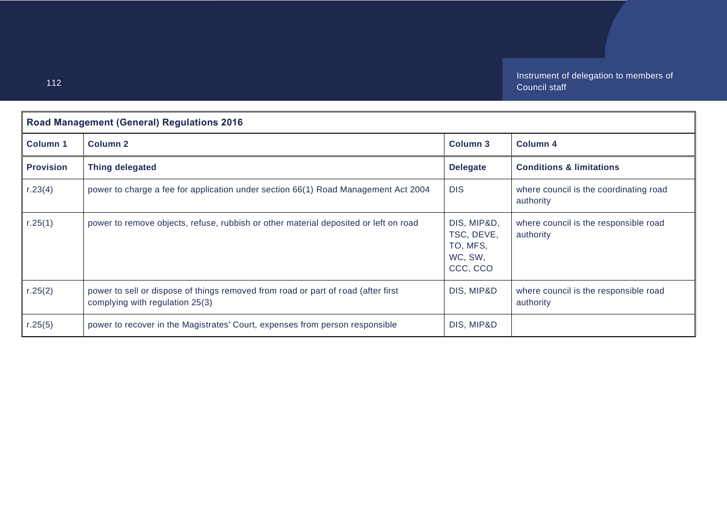| <b>Road Management (General) Regulations 2016</b> |                                                                                                                      |                                                              |                                                     |
|---------------------------------------------------|----------------------------------------------------------------------------------------------------------------------|--------------------------------------------------------------|-----------------------------------------------------|
| <b>Column 1</b>                                   | Column <sub>2</sub>                                                                                                  | Column <sub>3</sub>                                          | <b>Column 4</b>                                     |
| <b>Provision</b>                                  | <b>Thing delegated</b>                                                                                               | <b>Delegate</b>                                              | <b>Conditions &amp; limitations</b>                 |
| r.23(4)                                           | power to charge a fee for application under section 66(1) Road Management Act 2004                                   | <b>DIS</b>                                                   | where council is the coordinating road<br>authority |
| r.25(1)                                           | power to remove objects, refuse, rubbish or other material deposited or left on road                                 | DIS, MIP&D,<br>TSC, DEVE,<br>TO, MFS,<br>WC, SW,<br>CCC, CCO | where council is the responsible road<br>authority  |
| r.25(2)                                           | power to sell or dispose of things removed from road or part of road (after first<br>complying with regulation 25(3) | DIS, MIP&D                                                   | where council is the responsible road<br>authority  |
| r.25 $(5)$                                        | power to recover in the Magistrates' Court, expenses from person responsible                                         | DIS, MIP&D                                                   |                                                     |